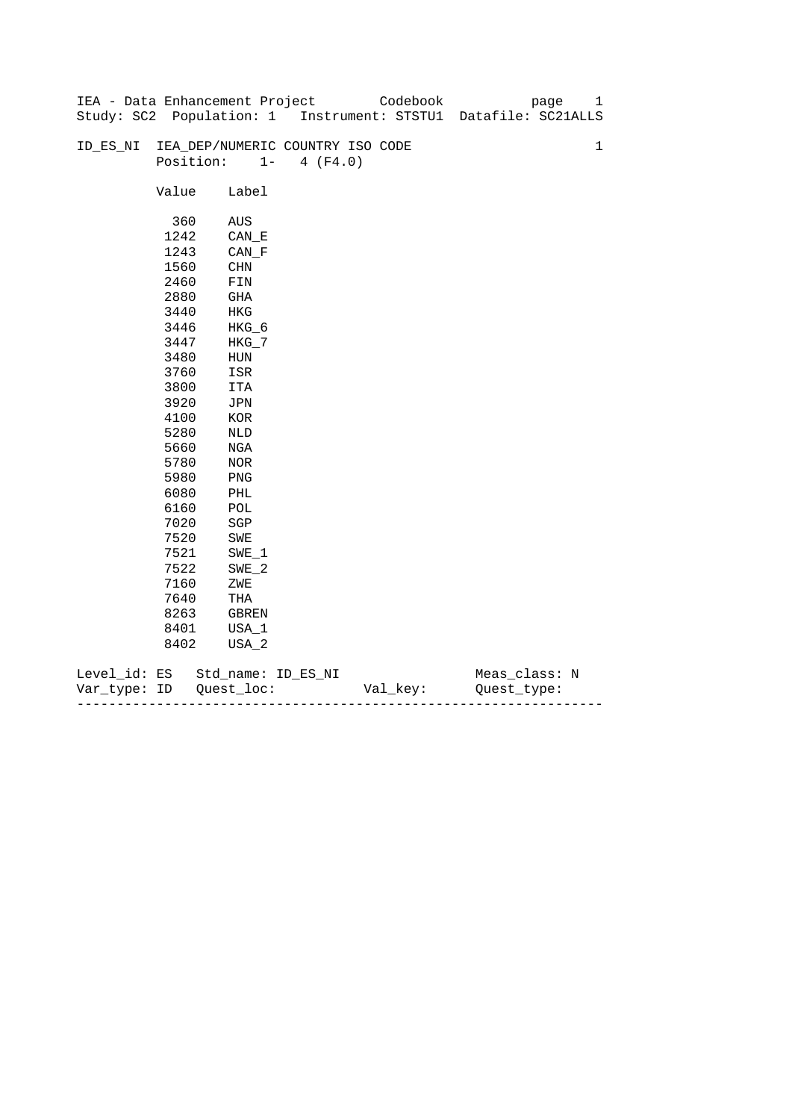|              |       | IEA - Data Enhancement Project   |                   | Codebook | page                                                           | 1           |
|--------------|-------|----------------------------------|-------------------|----------|----------------------------------------------------------------|-------------|
|              |       |                                  |                   |          | Study: SC2 Population: 1 Instrument: STSTU1 Datafile: SC21ALLS |             |
|              |       |                                  |                   |          |                                                                |             |
| ID_ES_NI     |       | IEA_DEP/NUMERIC COUNTRY ISO CODE |                   |          |                                                                | $\mathbf 1$ |
|              |       | Position:                        | $1 -$<br>4 (F4.0) |          |                                                                |             |
|              |       |                                  |                   |          |                                                                |             |
|              | Value | Label                            |                   |          |                                                                |             |
|              |       |                                  |                   |          |                                                                |             |
|              | 360   | AUS                              |                   |          |                                                                |             |
|              | 1242  | $CAN$ <sub><math>E</math></sub>  |                   |          |                                                                |             |
|              | 1243  | $CAN_F$                          |                   |          |                                                                |             |
|              | 1560  | <b>CHN</b>                       |                   |          |                                                                |             |
|              | 2460  | ${\tt FIN}$                      |                   |          |                                                                |             |
|              | 2880  | GHA                              |                   |          |                                                                |             |
|              | 3440  | HKG                              |                   |          |                                                                |             |
|              | 3446  | $HKG_6$                          |                   |          |                                                                |             |
|              | 3447  | $HKG_7$                          |                   |          |                                                                |             |
|              | 3480  | ${\tt HUN}$                      |                   |          |                                                                |             |
|              | 3760  | ISR                              |                   |          |                                                                |             |
|              | 3800  | ITA                              |                   |          |                                                                |             |
|              | 3920  | JPN                              |                   |          |                                                                |             |
|              | 4100  | $_{\rm KOR}$                     |                   |          |                                                                |             |
|              | 5280  | NLD                              |                   |          |                                                                |             |
|              | 5660  | NGA                              |                   |          |                                                                |             |
|              | 5780  | $_{\rm NOR}$                     |                   |          |                                                                |             |
|              | 5980  | PNG                              |                   |          |                                                                |             |
|              | 6080  | PHL                              |                   |          |                                                                |             |
|              | 6160  | POL                              |                   |          |                                                                |             |
|              | 7020  | $_{\rm SGP}$                     |                   |          |                                                                |             |
|              | 7520  | SWE                              |                   |          |                                                                |             |
|              | 7521  | $SWE_1$                          |                   |          |                                                                |             |
|              | 7522  | $SWE_2$                          |                   |          |                                                                |             |
|              | 7160  | ZWE                              |                   |          |                                                                |             |
|              | 7640  | THA                              |                   |          |                                                                |             |
|              | 8263  | GBREN                            |                   |          |                                                                |             |
|              | 8401  | USA_1                            |                   |          |                                                                |             |
|              | 8402  | USA_2                            |                   |          |                                                                |             |
| Level_id: ES |       | Std_name: ID_ES_NI               |                   |          | Meas_class: N                                                  |             |

| Var<br>тvpe.<br>. | TΡ | $ -$ | - |
|-------------------|----|------|---|
|                   |    |      |   |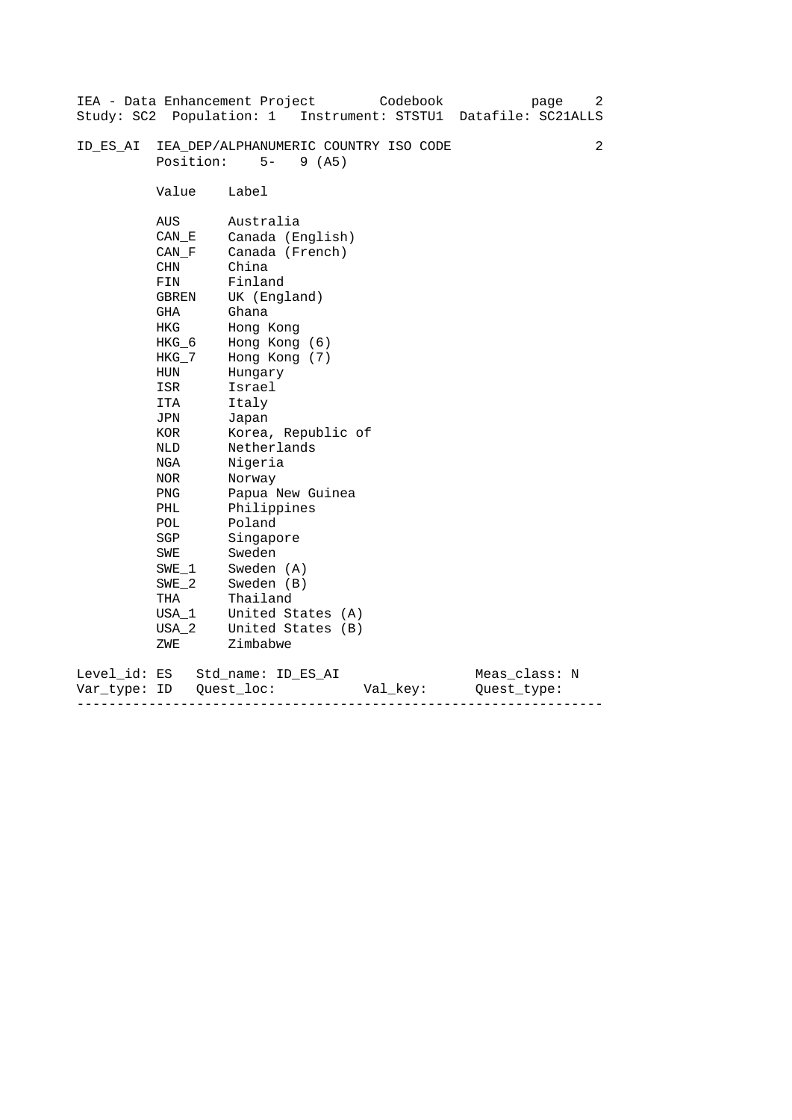| Study: SC2 Population: 1     |                                                                                                                                                                                                                                  | IEA - Data Enhancement Project<br>Codebook<br>page<br>Instrument: STSTU1<br>Datafile: SC21ALLS                                                                                                                                                                                                                                                                                 | 2 |
|------------------------------|----------------------------------------------------------------------------------------------------------------------------------------------------------------------------------------------------------------------------------|--------------------------------------------------------------------------------------------------------------------------------------------------------------------------------------------------------------------------------------------------------------------------------------------------------------------------------------------------------------------------------|---|
| ID ES AI                     | Position:                                                                                                                                                                                                                        | IEA DEP/ALPHANUMERIC COUNTRY ISO CODE<br>$5-$<br>9(AB)                                                                                                                                                                                                                                                                                                                         | 2 |
|                              | Value                                                                                                                                                                                                                            | Label                                                                                                                                                                                                                                                                                                                                                                          |   |
|                              | AUS<br>CAN E<br>CAN F<br>CHN<br>FIN<br>GBREN<br>GHA<br>HKG<br>HKG_6<br>HKG_7<br><b>HUN</b><br>ISR<br>ITA<br>JPN<br>KOR<br><b>NLD</b><br>NGA<br><b>NOR</b><br>PNG<br>PHL<br>POL<br>SGP<br>SWE<br>SWE 1<br>$SWE_2$<br>THA<br>USA 1 | Australia<br>Canada (English)<br>Canada (French)<br>China<br>Finland<br>UK (England)<br>Ghana<br>Hong Kong<br>Hong Kong (6)<br>Hong Kong (7)<br>Hungary<br>Israel<br>Italy<br>Japan<br>Korea, Republic of<br>Netherlands<br>Nigeria<br>Norway<br>Papua New Guinea<br>Philippines<br>Poland<br>Singapore<br>Sweden<br>Sweden (A)<br>Sweden (B)<br>Thailand<br>United States (A) |   |
|                              | $USA_2$<br>ZWE                                                                                                                                                                                                                   | United States (B)<br>Zimbabwe                                                                                                                                                                                                                                                                                                                                                  |   |
| Level_id: ES<br>Var type: ID |                                                                                                                                                                                                                                  | Meas_class: N<br>Std name: ID ES AI<br>Quest loc:<br>Val key:<br>Ouest type:                                                                                                                                                                                                                                                                                                   |   |

------------------------------------------------------------------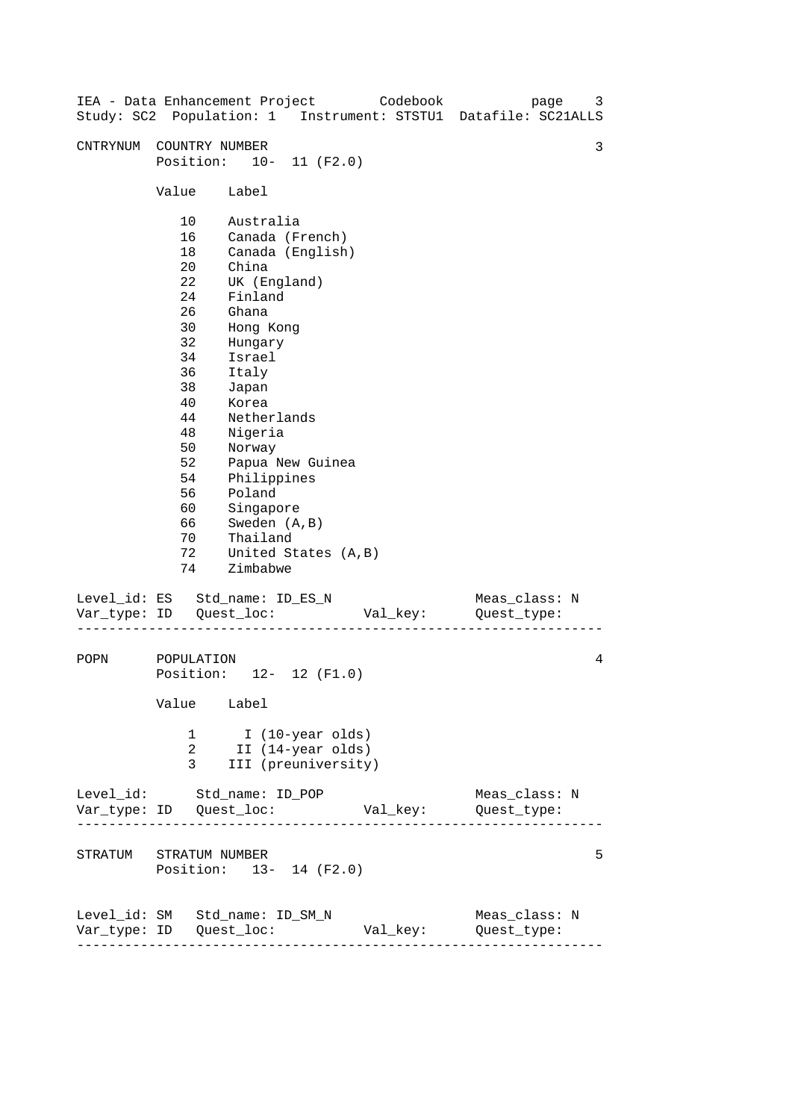| IEA - Data Enhancement Project Codebook                         |                                                                                                                                        |                                                                                                                                                                                                                                                                                           |                     | Study: SC2 Population: 1 Instrument: STSTU1 Datafile: SC21ALLS | 3<br>page     |
|-----------------------------------------------------------------|----------------------------------------------------------------------------------------------------------------------------------------|-------------------------------------------------------------------------------------------------------------------------------------------------------------------------------------------------------------------------------------------------------------------------------------------|---------------------|----------------------------------------------------------------|---------------|
| CNTRYNUM                                                        | COUNTRY NUMBER<br>Position: 10- 11 (F2.0)                                                                                              |                                                                                                                                                                                                                                                                                           |                     |                                                                | 3             |
|                                                                 | Value                                                                                                                                  | Label                                                                                                                                                                                                                                                                                     |                     |                                                                |               |
|                                                                 | 10<br>16<br>18<br>20<br>22<br>24<br>26<br>30<br>32<br>34<br>36<br>38<br>40<br>44<br>48<br>50<br>52<br>54<br>56<br>60<br>66<br>70<br>72 | Australia<br>Canada (French)<br>Canada (English)<br>China<br>UK (England)<br>Finland<br>Ghana<br>Hong Kong<br>Hungary<br>Israel<br>Italy<br>Japan<br>Korea<br>Netherlands<br>Nigeria<br>Norway<br>Philippines<br>Poland<br>Singapore<br>Sweden (A, B)<br>Thailand<br>United States (A, B) | Papua New Guinea    |                                                                |               |
| Level_id: ES Std_name: ID_ES_N                                  | 74                                                                                                                                     | Zimbabwe                                                                                                                                                                                                                                                                                  |                     | Val_key:           Quest_type:                                 | Meas_class: N |
| POPN                                                            | POPULATION<br>Position: 12- 12 (F1.0)<br>Value Label                                                                                   |                                                                                                                                                                                                                                                                                           |                     |                                                                | 4             |
|                                                                 | 2<br>3                                                                                                                                 | 1 I (10-year olds)<br>II (14-year olds)                                                                                                                                                                                                                                                   | III (preuniversity) |                                                                |               |
| Level_id: Std_name: ID_POP                                      |                                                                                                                                        |                                                                                                                                                                                                                                                                                           |                     |                                                                | Meas_class: N |
| STRATUM STRATUM NUMBER                                          | Position: 13- 14 (F2.0)                                                                                                                |                                                                                                                                                                                                                                                                                           |                     |                                                                | 5             |
| Level_id: SM Std_name: ID_SM_N<br>----------------------------- |                                                                                                                                        |                                                                                                                                                                                                                                                                                           |                     | Val_key: Quest_type:                                           | Meas_class: N |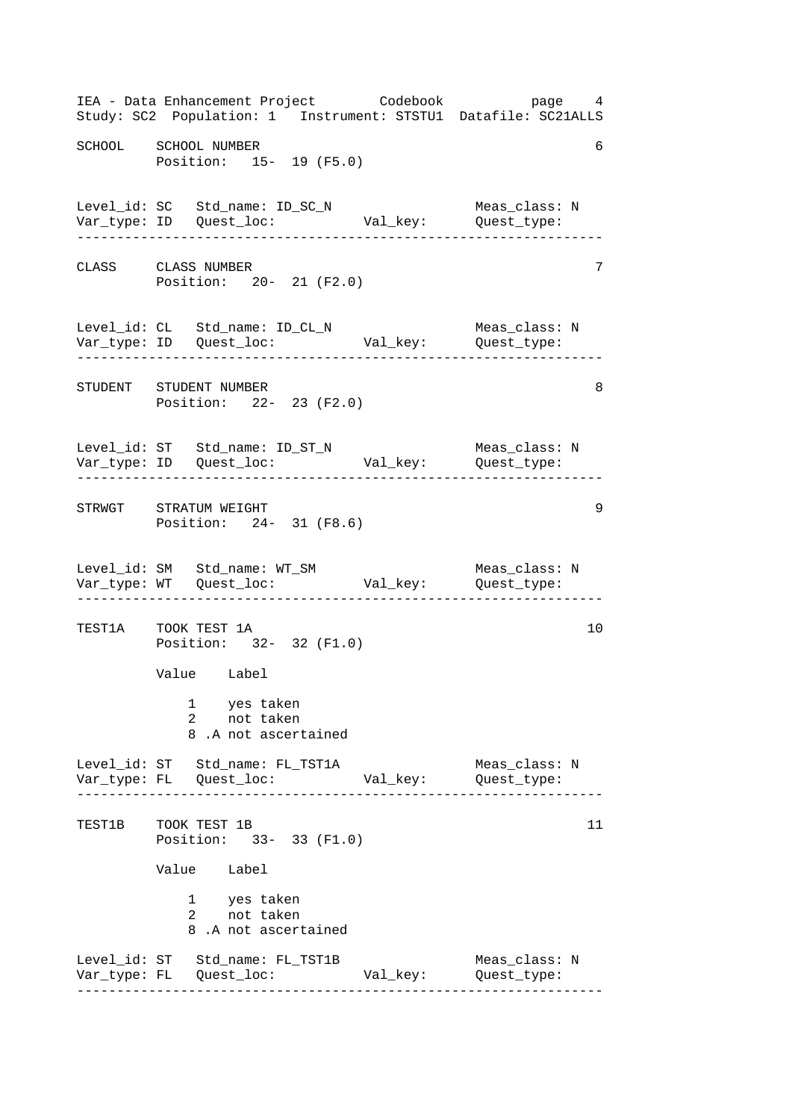------------------------------------------------------------------ ------------------------------------------------------------------ ------------------------------------------------------------------ ------------------------------------------------------------------ ------------------------------------------------------------------ ------------------------------------------------------------------ IEA - Data Enhancement Project Codebook page 4 Study: SC2 Population: 1 Instrument: STSTU1 Datafile: SC21ALLS SCHOOL SCHOOL NUMBER 6 Position: 15- 19 (F5.0) Level\_id: SC Std\_name: ID\_SC\_N Meas\_class: N Var\_type: ID Quest\_loc: Val\_key: Quest\_type: CLASS CLASS NUMBER 7 Position: 20- 21 (F2.0) Level\_id: CL Std\_name: ID\_CL\_N Meas\_class: N Var\_type: ID Quest\_loc: Val\_key: Quest\_type: STUDENT STUDENT NUMBER 8 Position: 22- 23 (F2.0) Level\_id: ST Std\_name: ID\_ST\_N Meas\_class: N Var\_type: ID Quest\_loc: Val\_key: Quest\_type: STRWGT STRATUM WEIGHT 9 Position: 24- 31 (F8.6) Level\_id: SM Std\_name: WT\_SM Meas\_class: N Var\_type: WT Quest\_loc: Val\_key: Quest\_type: TEST1A TOOK TEST 1A 10 Position: 32- 32 (F1.0) Value Label 1 yes taken 2 not taken 8 .A not ascertained Level\_id: ST Std\_name: FL\_TST1A Meas\_class: N Var\_type: FL Quest\_loc: Val\_key: Quest\_type: TEST1B TOOK TEST 1B Position: 33- 33 (F1.0) Value Label 1 2 yes taken not taken 8 .A not ascertained Level\_id: ST Std\_name: FL\_TST1B Meas\_class: N Var\_type: FL Quest\_loc: Val\_key: Quest\_type: 11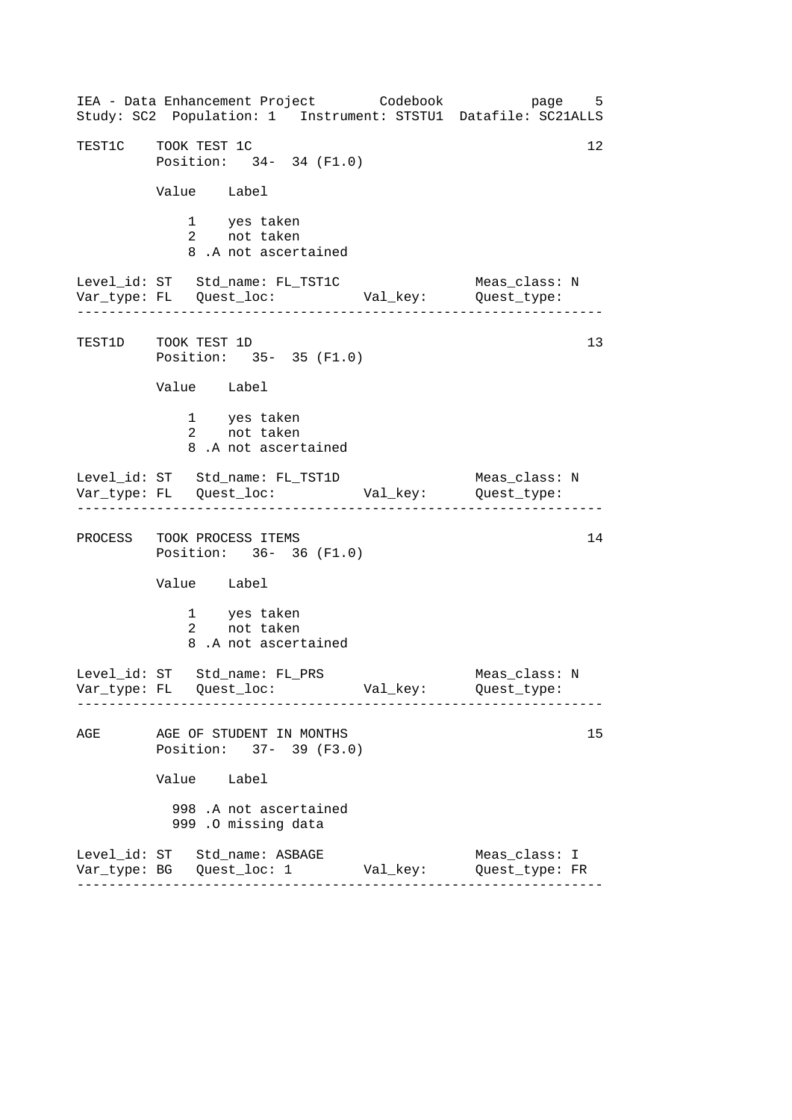------------------------------------------------------------------ ------------------------------------------------------------------ ------------------------------------------------------------------ IEA - Data Enhancement Project Codebook page 5 Study: SC2 Population: 1 Instrument: STSTU1 Datafile: SC21ALLS TEST1C TOOK TEST 1C Position: 34- 34 (F1.0) Value Label 1 yes taken 2 not taken 8 .A not ascertained Level\_id: ST Std\_name: FL\_TST1C Meas\_class: N Var\_type: FL Quest\_loc: Val\_key: Quest\_type: TEST1D TOOK TEST 1D Position: 35- 35 (F1.0) Value Label 1 yes taken 2 not taken 8 .A not ascertained Level\_id: ST Std\_name: FL\_TST1D Meas\_class: N Var\_type: FL Quest\_loc: Val\_key: Quest\_type: PROCESS TOOK PROCESS ITEMS 14 Position: 36- 36 (F1.0) Value Label 1 yes taken 2 not taken 8 .A not ascertained Level\_id: ST Std\_name: FL\_PRS Meas\_class: N Var\_type: FL Quest\_loc: Val\_key: Quest\_type: AGE AGE OF STUDENT IN MONTHS 15 Position: 37- 39 (F3.0) Value Label 998 .A not ascertained 999 .O missing data Level\_id: ST Std\_name: ASBAGE Meas\_class: I Var\_type: BG Quest\_loc: 1 Val\_key: Quest\_type: FR 13

------------------------------------------------------------------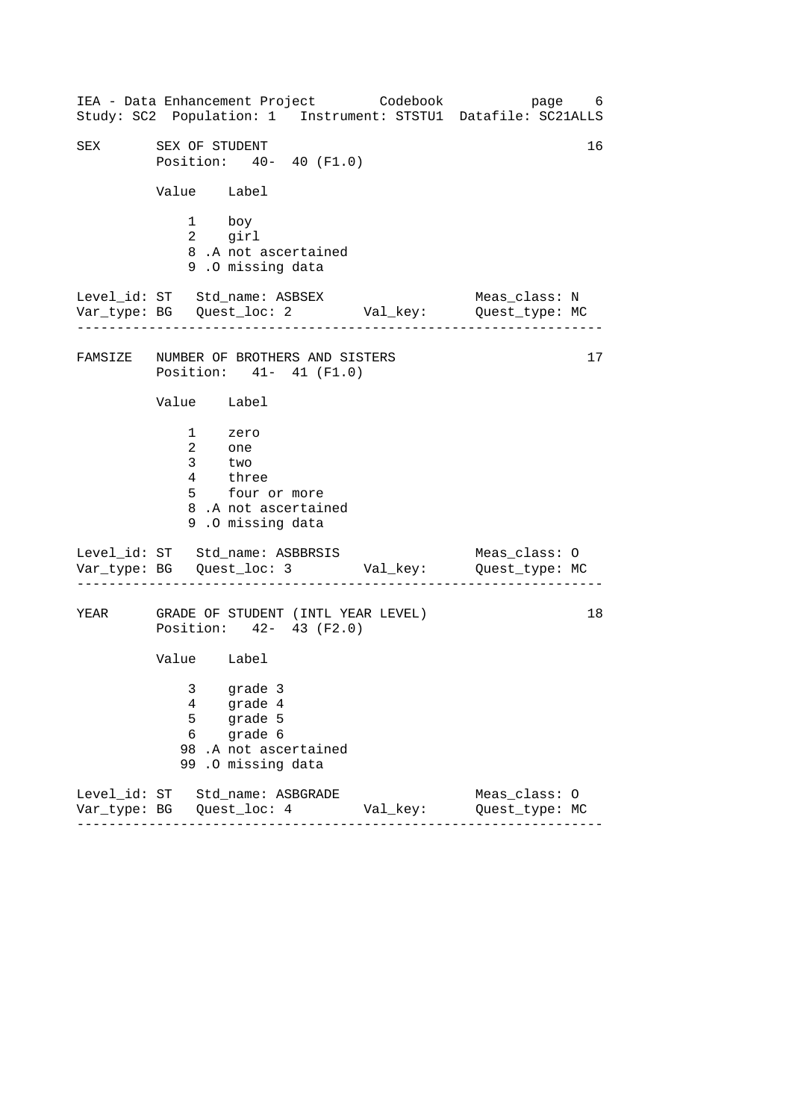------------------------------------------------------------------ ------------------------------------------------------------------ ------------------------------------------------------------------ IEA - Data Enhancement Project Codebook page 6 Study: SC2 Population: 1 Instrument: STSTU1 Datafile: SC21ALLS SEX SEX OF STUDENT 16 Position: 40- 40 (F1.0) Value Label 1 boy 2 girl 8 .A not ascertained 9 .O missing data Level\_id: ST Std\_name: ASBSEX Meas\_class: N Var\_type: BG Quest\_loc: 2 Val\_key: Quest\_type: MC FAMSIZE NUMBER OF BROTHERS AND SISTERS 17 Position: 41- 41 (F1.0) Value Label 1 zero 2 one 3 two 4 three 5 four or more 8 .A not ascertained 9 .O missing data Level\_id: ST Std\_name: ASBBRSIS Meas\_class: 0 Var\_type: BG Quest\_loc: 3 Val\_key: Quest\_type: MC YEAR GRADE OF STUDENT (INTL YEAR LEVEL) Position: 42- 43 (F2.0) Value Label 3 grade 3 4 grade 4 5 grade 5 6 grade 6 98 .A not ascertained 99 .O missing data Level\_id: ST Std\_name: ASBGRADE Meas\_class: O Var\_type: BG Quest\_loc: 4 Val\_key: Quest\_type: MC 18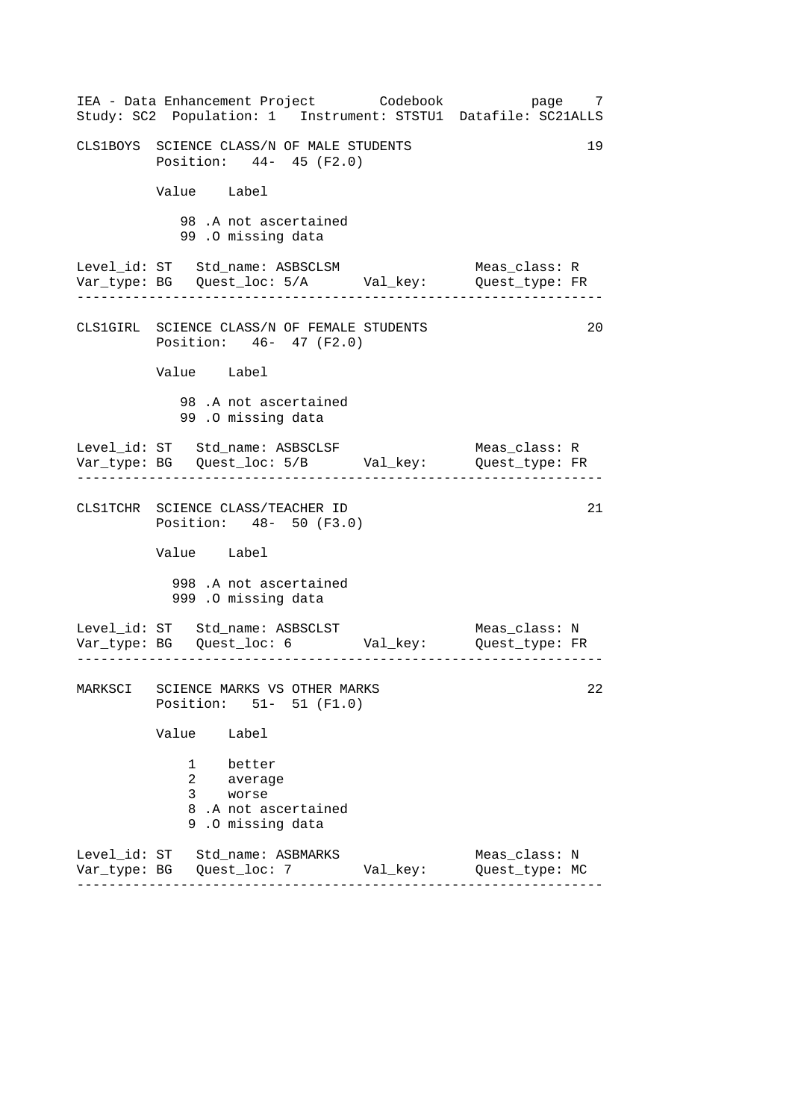| IEA - Data Enhancement Project Codebook<br>Study: SC2 Population: 1 Instrument: STSTU1 Datafile: SC21ALLS |          | page 7                          |  |  |  |  |
|-----------------------------------------------------------------------------------------------------------|----------|---------------------------------|--|--|--|--|
| CLS1BOYS SCIENCE CLASS/N OF MALE STUDENTS<br>19<br>Position: 44- 45 (F2.0)                                |          |                                 |  |  |  |  |
| Value Label                                                                                               |          |                                 |  |  |  |  |
| 98.A not ascertained<br>99.0 missing data                                                                 |          |                                 |  |  |  |  |
| Level_id: ST Std_name: ASBSCLSM<br>Var_type: BG    Quest_loc: 5/A    Val_key:    Quest_type: FR           |          | Meas_class: R                   |  |  |  |  |
| CLS1GIRL SCIENCE CLASS/N OF FEMALE STUDENTS<br>Position: 46- 47 (F2.0)                                    |          | 20                              |  |  |  |  |
| Value Label                                                                                               |          |                                 |  |  |  |  |
| 98.A not ascertained<br>99.0 missing data                                                                 |          |                                 |  |  |  |  |
| Level_id: ST Std_name: ASBSCLSF<br>Var_type: BG    Quest_loc: 5/B    Val_key:    Quest_type: FR           |          | Meas_class: R                   |  |  |  |  |
| CLS1TCHR SCIENCE CLASS/TEACHER ID<br>Position: 48- 50 (F3.0)                                              |          | 21                              |  |  |  |  |
| Value Label                                                                                               |          |                                 |  |  |  |  |
| 998 .A not ascertained<br>999 .O missing data                                                             |          |                                 |  |  |  |  |
|                                                                                                           |          |                                 |  |  |  |  |
| MARKSCI SCIENCE MARKS VS OTHER MARKS<br>Position: 51- 51 (F1.0)                                           |          | 22                              |  |  |  |  |
| Value<br>Label                                                                                            |          |                                 |  |  |  |  |
| 1<br>better<br>2<br>average<br>3<br>worse<br>8.A not ascertained<br>9<br>.O missing data                  |          |                                 |  |  |  |  |
| Level_id: ST Std_name: ASBMARKS                                                                           | Val_key: | Meas_class: N<br>Quest_type: MC |  |  |  |  |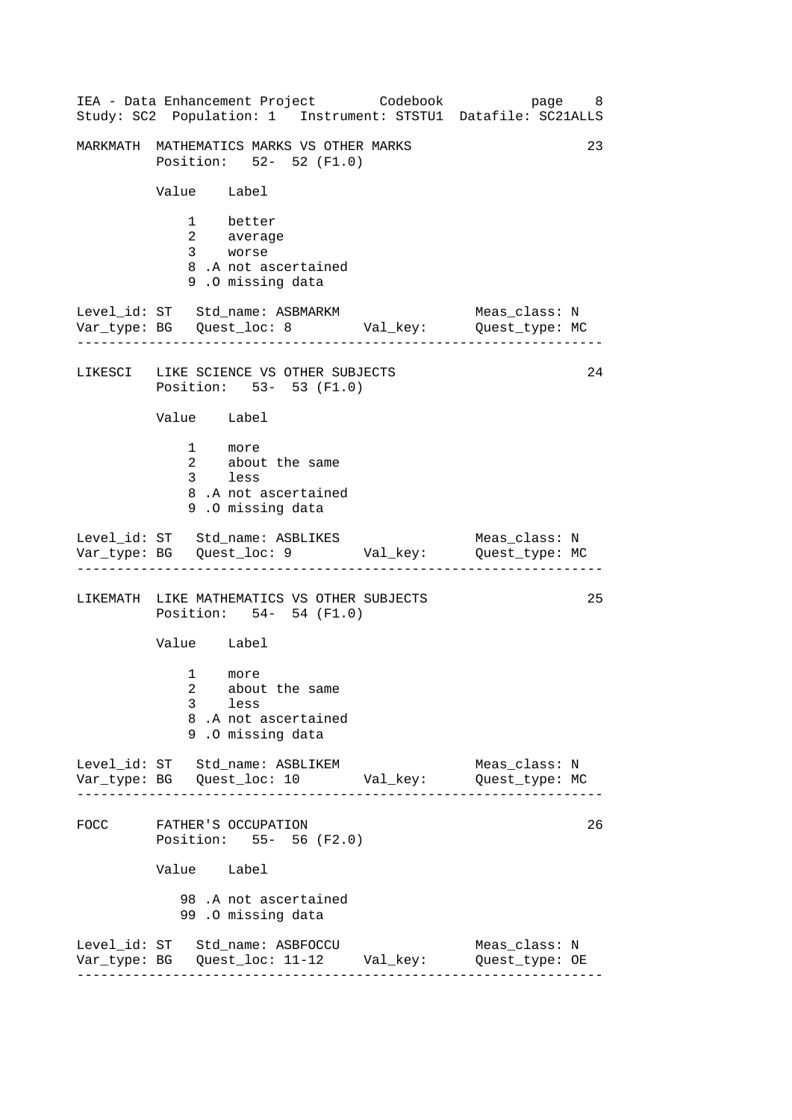|      |                     | IEA - Data Enhancement Project Codebook<br>Study: SC2 Population: 1 Instrument: STSTU1 Datafile: SC21ALLS | page 8                          |    |
|------|---------------------|-----------------------------------------------------------------------------------------------------------|---------------------------------|----|
|      |                     | MARKMATH MATHEMATICS MARKS VS OTHER MARKS<br>Position: 52- 52 (F1.0)                                      |                                 | 23 |
|      | Value Label         |                                                                                                           |                                 |    |
|      |                     | 1 better<br>2 average<br>3 worse<br>8.A not ascertained<br>9.0 missing data                               |                                 |    |
|      |                     | Level_id: ST Std_name: ASBMARKM<br>Var_type: BG    Quest_loc: 8    Val_key:    Quest_type: MC             | Meas_class: N                   |    |
|      |                     | LIKESCI LIKE SCIENCE VS OTHER SUBJECTS<br>Position: 53- 53 (F1.0)                                         |                                 | 24 |
|      | Value Label         |                                                                                                           |                                 |    |
|      |                     | 1 more<br>2 about the same<br>3 less<br>8.A not ascertained<br>9.0 missing data                           |                                 |    |
|      |                     | Level_id: ST Std_name: ASBLIKES Meas_class: N<br>Var_type: BG Quest_loc: 9 Val_key: Quest_type: MC        |                                 |    |
|      |                     | LIKEMATH LIKE MATHEMATICS VS OTHER SUBJECTS<br>Position: 54- 54 (F1.0)                                    |                                 | 25 |
|      | Value Label         |                                                                                                           |                                 |    |
|      | $\overline{a}$<br>3 | 1 more<br>about the same<br>less<br>8.A not ascertained<br>9.0 missing data                               |                                 |    |
|      |                     | Level_id: ST Std_name: ASBLIKEM                                                                           | Meas_class: N                   |    |
| FOCC |                     | FATHER'S OCCUPATION<br>Position: 55- 56 (F2.0)                                                            |                                 | 26 |
|      | Value Label         |                                                                                                           |                                 |    |
|      |                     | 98 .A not ascertained<br>99.0 missing data                                                                |                                 |    |
|      |                     | Level_id: ST Std_name: ASBFOCCU                                                                           | Meas_class: N<br>Quest_type: OE |    |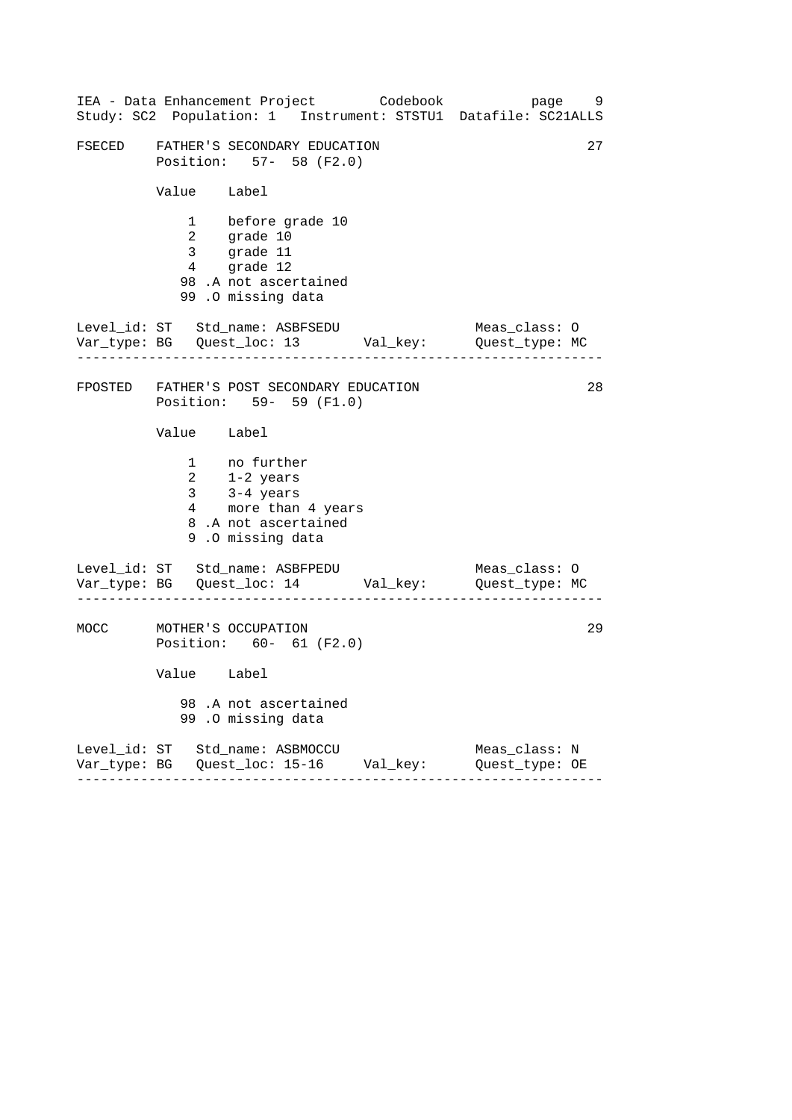|        |                                                               | IEA - Data Enhancement Project Codebook bage 9<br>Study: SC2 Population: 1 Instrument: STSTU1 Datafile: SC21ALLS      |  |               |  |
|--------|---------------------------------------------------------------|-----------------------------------------------------------------------------------------------------------------------|--|---------------|--|
| FSECED | 27<br>FATHER'S SECONDARY EDUCATION<br>Position: 57- 58 (F2.0) |                                                                                                                       |  |               |  |
|        | Value Label                                                   |                                                                                                                       |  |               |  |
|        |                                                               | 1 before grade 10<br>2 grade 10<br>3 grade 11<br>$\frac{5}{4}$ grade 12<br>98 .A not ascertained<br>99.0 missing data |  |               |  |
|        |                                                               | Level_id: ST Std_name: ASBFSEDU Meas_class: 0<br>Var_type: BG Quest_loc: 13 Val_key: Quest_type: MC                   |  |               |  |
|        |                                                               | FPOSTED FATHER'S POST SECONDARY EDUCATION<br>Position: 59- 59 (F1.0)                                                  |  | 28            |  |
|        | Value Label                                                   |                                                                                                                       |  |               |  |
|        |                                                               | 1 no further<br>2 1-2 years<br>3 3-4 years<br>4 more than 4 years<br>8.A not ascertained<br>9.0 missing data          |  |               |  |
|        |                                                               | Level_id: ST Std_name: ASBFPEDU Meas_class: 0<br>Var_type: BG Quest_loc: 14 Val_key: Quest_type: MC                   |  |               |  |
| MOCC   |                                                               | MOTHER'S OCCUPATION<br>Position: 60- 61 (F2.0)                                                                        |  | 29            |  |
|        | Value Label                                                   |                                                                                                                       |  |               |  |
|        |                                                               | 98.A not ascertained<br>99 .0 missing data                                                                            |  |               |  |
|        |                                                               | Level_id: ST Std_name: ASBMOCCU<br>Var_type: BG    Quest_loc: 15-16    Val_key:    Quest_type: OE                     |  | Meas_class: N |  |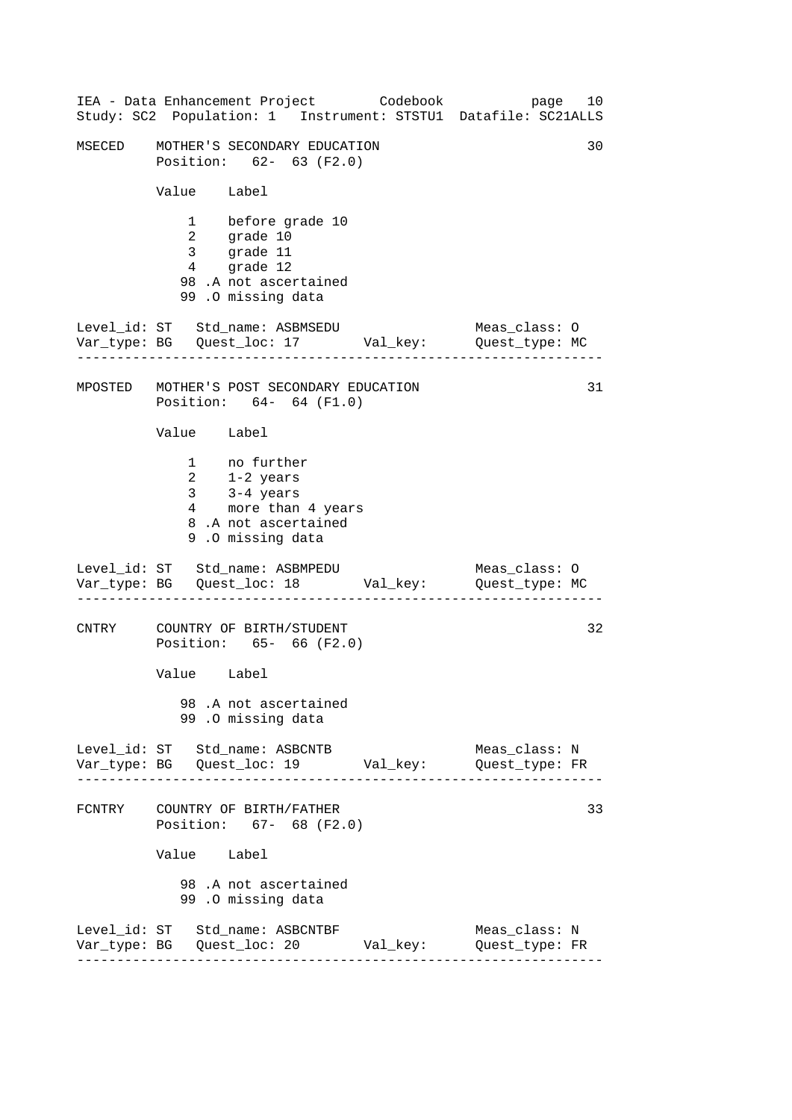|                                           |                           |                                                                                                                           | IEA - Data Enhancement Project Codebook | page<br>Study: SC2 Population: 1 Instrument: STSTU1 Datafile: SC21ALLS       | 10 |
|-------------------------------------------|---------------------------|---------------------------------------------------------------------------------------------------------------------------|-----------------------------------------|------------------------------------------------------------------------------|----|
| MSECED                                    |                           | MOTHER'S SECONDARY EDUCATION<br>Position: 62- 63 (F2.0)                                                                   |                                         |                                                                              | 30 |
|                                           | Value Label               |                                                                                                                           |                                         |                                                                              |    |
|                                           | $4\overline{ }$           | 1 before grade 10<br>2 grade 10<br>3 grade 11<br>grade 12<br>98.A not ascertained<br>99.0 missing data                    |                                         |                                                                              |    |
| Level_id: ST Std_name: ASBMSEDU           | - - - - - - - - - - - - - |                                                                                                                           |                                         | Meas_class: O<br>Var_type: BG    Quest_loc: 17    Val_key:    Quest_type: MC |    |
| MPOSTED MOTHER'S POST SECONDARY EDUCATION |                           | Position: 64- 64 (F1.0)                                                                                                   |                                         |                                                                              | 31 |
|                                           | Value Label               |                                                                                                                           |                                         |                                                                              |    |
|                                           |                           | 1 no further<br>$2 \t 1-2 \text{ years}$<br>3 3-4 years<br>4 more than 4 years<br>8.A not ascertained<br>9.0 missing data |                                         |                                                                              |    |
| Level_id: ST Std_name: ASBMPEDU           |                           |                                                                                                                           |                                         | Meas_class: 0<br>Var_type: BG    Quest_loc: 18    Val_key:    Quest_type: MC |    |
| CNTRY                                     |                           | COUNTRY OF BIRTH/STUDENT<br>Position: 65- 66 (F2.0)                                                                       |                                         |                                                                              | 32 |
|                                           | Value Label               |                                                                                                                           |                                         |                                                                              |    |
|                                           |                           | 98.A not ascertained<br>99.0 missing data                                                                                 |                                         |                                                                              |    |
| Level_id: ST Std_name: ASBCNTB            |                           |                                                                                                                           |                                         | Meas_class: N                                                                |    |
| FCNTRY COUNTRY OF BIRTH/FATHER            |                           | Position: 67- 68 (F2.0)                                                                                                   |                                         |                                                                              | 33 |
|                                           | Value Label               |                                                                                                                           |                                         |                                                                              |    |
|                                           |                           | 98.A not ascertained<br>99.0 missing data                                                                                 |                                         |                                                                              |    |
| Level_id: ST Std_name: ASBCNTBF           |                           |                                                                                                                           | Var_type: BG Quest_loc: 20 Val_key:     | Meas_class: N<br>Quest_type: FR                                              |    |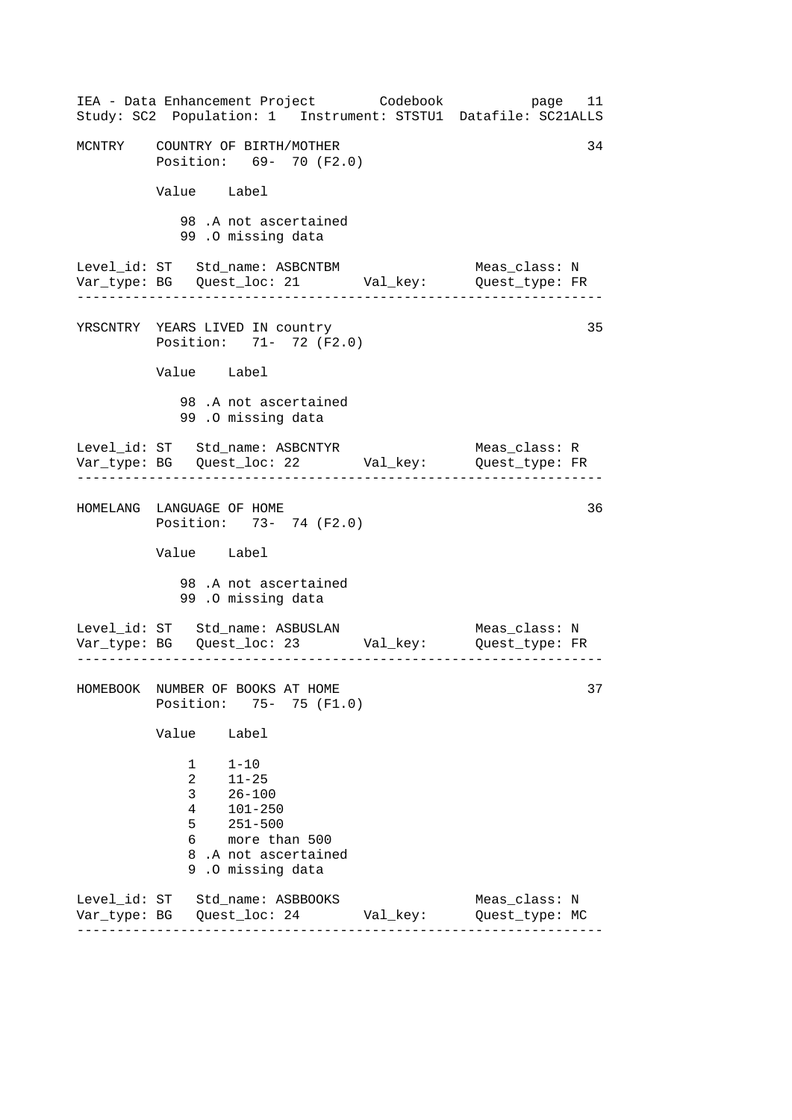| IEA - Data Enhancement Project Codebook<br>Study: SC2 Population: 1 Instrument: STSTU1 Datafile: SC21ALLS                                                                      |          | page 11                         |
|--------------------------------------------------------------------------------------------------------------------------------------------------------------------------------|----------|---------------------------------|
| MCNTRY COUNTRY OF BIRTH/MOTHER<br>Position: 69- 70 (F2.0)                                                                                                                      |          | 34                              |
| Value Label                                                                                                                                                                    |          |                                 |
| 98.A not ascertained<br>99.0 missing data                                                                                                                                      |          |                                 |
| Level_id: ST Std_name: ASBCNTBM<br>Var_type: BG    Quest_loc: 21    Val_key:    Quest_type: FR<br>. _ _ _ _ _ _ _ _ _ .                                                        |          | Meas_class: N                   |
| YRSCNTRY YEARS LIVED IN country<br>Position: 71- 72 (F2.0)                                                                                                                     |          | 35                              |
| Value Label                                                                                                                                                                    |          |                                 |
| 98. A not ascertained<br>99.0 missing data                                                                                                                                     |          |                                 |
| Level_id: ST Std_name: ASBCNTYR                                                                                                                                                |          | Meas_class: R                   |
| HOMELANG LANGUAGE OF HOME<br>Position: 73- 74 (F2.0)                                                                                                                           |          | 36                              |
| Value Label                                                                                                                                                                    |          |                                 |
| 98.A not ascertained<br>99.0 missing data                                                                                                                                      |          |                                 |
|                                                                                                                                                                                |          |                                 |
| HOMEBOOK NUMBER OF BOOKS AT HOME<br>75- 75 (F1.0)<br>Position:                                                                                                                 |          | 37                              |
| Value<br>Label                                                                                                                                                                 |          |                                 |
| $1 - 10$<br>1<br>$\overline{2}$<br>$11 - 25$<br>3<br>$26 - 100$<br>4<br>$101 - 250$<br>5<br>$251 - 500$<br>6 —<br>more than 500<br>8.A not ascertained<br>.O missing data<br>9 |          |                                 |
| Level_id: ST Std_name: ASBBOOKS                                                                                                                                                | Val_key: | Meas_class: N<br>Quest_type: MC |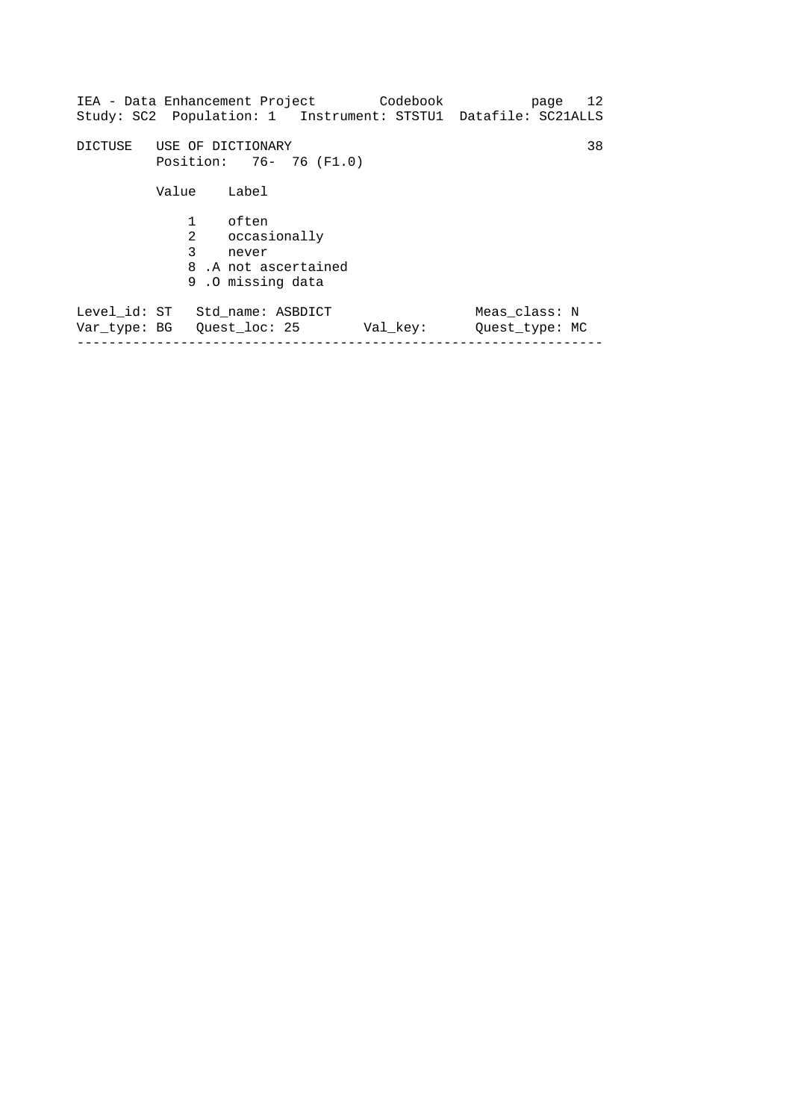| IEA - Data Enhancement Project                               |                                              |                                                                           | Codebook                                                       |                                 | page 12 |
|--------------------------------------------------------------|----------------------------------------------|---------------------------------------------------------------------------|----------------------------------------------------------------|---------------------------------|---------|
|                                                              |                                              |                                                                           | Study: SC2 Population: 1 Instrument: STSTU1 Datafile: SC21ALLS |                                 |         |
| DICTUSE                                                      | USE OF DICTIONARY<br>Position: 76- 76 (F1.0) |                                                                           |                                                                |                                 | 38      |
|                                                              | Value                                        | Label                                                                     |                                                                |                                 |         |
|                                                              | $\mathbf{1}$<br>2<br>3                       | often<br>occasionally<br>never<br>8.A not ascertained<br>9.0 missing data |                                                                |                                 |         |
| Level id: ST Std name: ASBDICT<br>Var type: BG Ouest loc: 25 |                                              |                                                                           | Val key:                                                       | Meas class: N<br>Ouest type: MC |         |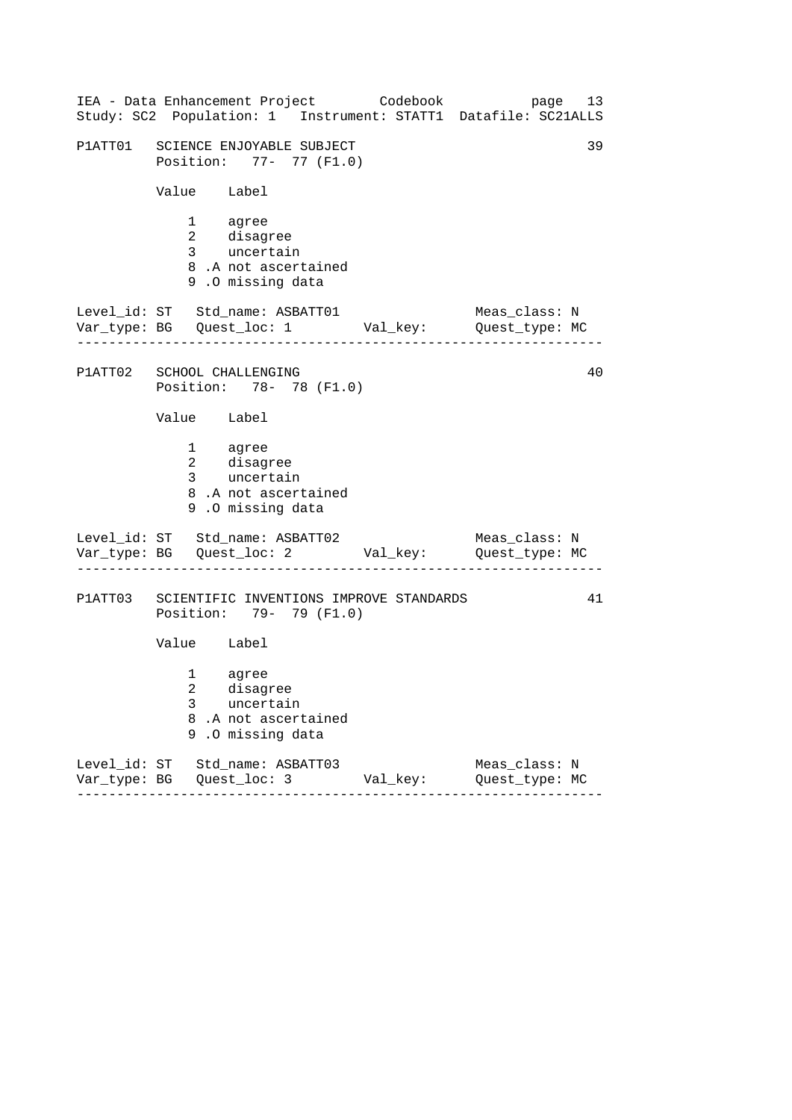------------------------------------------------------------------ ------------------------------------------------------------------ ------------------------------------------------------------------ IEA - Data Enhancement Project Codebook page 13 Study: SC2 Population: 1 Instrument: STATT1 Datafile: SC21ALLS P1ATT01 SCIENCE ENJOYABLE SUBJECT 39 Position: 77- 77 (F1.0) Value Label 1 agree 2 disagree 3 uncertain 8 .A not ascertained 9 .O missing data Level\_id: ST Std\_name: ASBATT01 Meas\_class: N Var\_type: BG Quest\_loc: 1 Val\_key: Quest\_type: MC P1ATT02 SCHOOL CHALLENGING 40 Position: 78- 78 (F1.0) Value Label 1 agree 2 disagree 3 uncertain 8 .A not ascertained 9 .O missing data Level\_id: ST Std\_name: ASBATT02 Meas\_class: N Var\_type: BG Quest\_loc: 2 Val\_key: Quest\_type: MC P1ATT03 SCIENTIFIC INVENTIONS IMPROVE STANDARDS 41 Position: 79- 79 (F1.0) Value Label 1 agree 2 disagree 3 uncertain 8 .A not ascertained 9 .O missing data Level\_id: ST Std\_name: ASBATT03 Meas\_class: N Var\_type: BG Quest\_loc: 3 Val\_key: Quest\_type: MC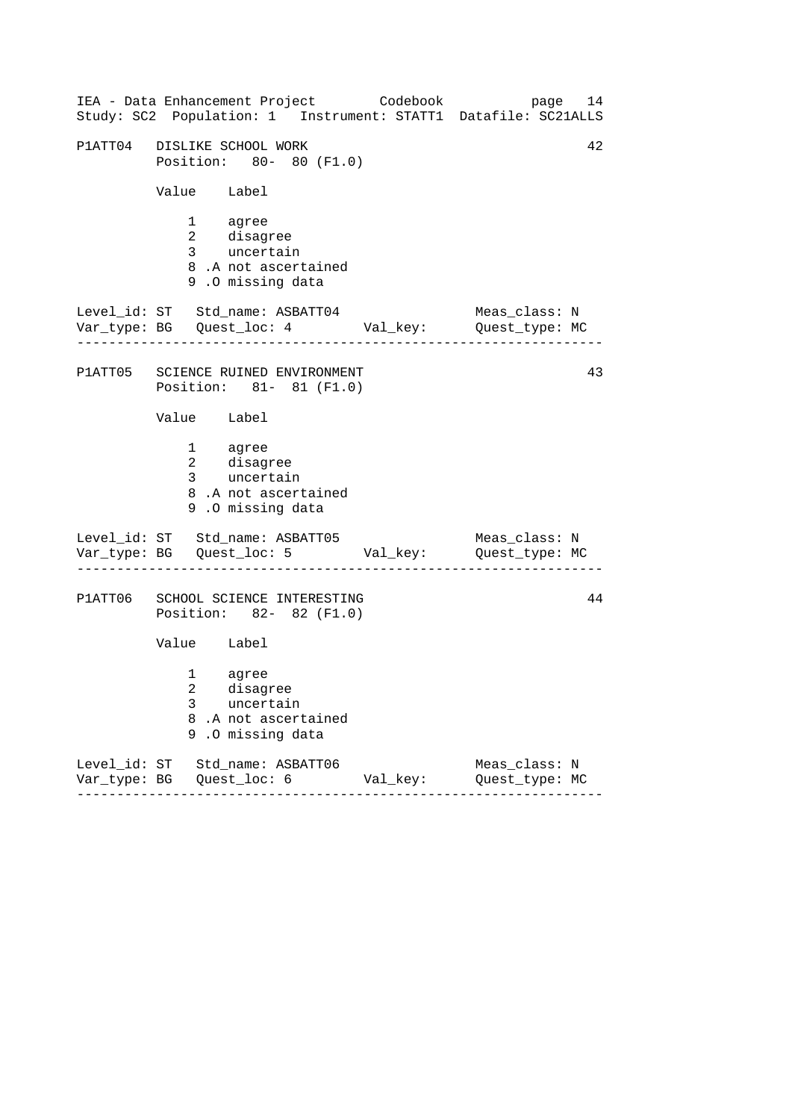------------------------------------------------------------------ ------------------------------------------------------------------ ------------------------------------------------------------------ IEA - Data Enhancement Project Codebook page 14 Study: SC2 Population: 1 Instrument: STATT1 Datafile: SC21ALLS P1ATT04 DISLIKE SCHOOL WORK 42 Position: 80- 80 (F1.0) Value Label 1 agree 2 disagree 3 uncertain 8 .A not ascertained 9 .O missing data Level\_id: ST Std\_name: ASBATT04 Meas\_class: N Var\_type: BG Quest\_loc: 4 Val\_key: Quest\_type: MC P1ATT05 SCIENCE RUINED ENVIRONMENT 43 Position: 81- 81 (F1.0) Value Label 1 agree 2 disagree 3 uncertain 8 .A not ascertained 9 .O missing data Level\_id: ST Std\_name: ASBATT05 Meas\_class: N Var\_type: BG Quest\_loc: 5 Val\_key: Quest\_type: MC P1ATT06 SCHOOL SCIENCE INTERESTING 44 Position: 82- 82 (F1.0) Value Label 1 agree 2 disagree 3 uncertain 8 .A not ascertained 9 .O missing data Level\_id: ST Std\_name: ASBATT06 Meas\_class: N Var\_type: BG Quest\_loc: 6 Val\_key: Quest\_type: MC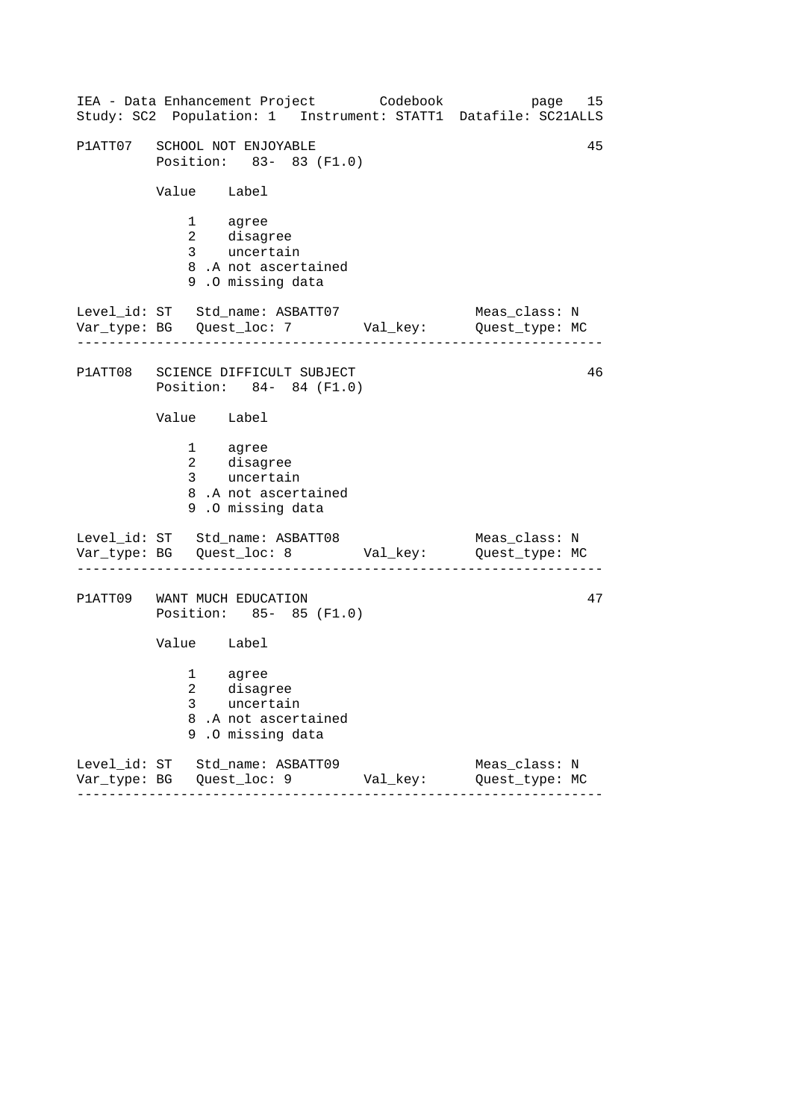| IEA - Data Enhancement Project Codebook<br>Study: SC2 Population: 1 Instrument: STATT1 Datafile: SC21ALLS |          | 15<br>page                      |
|-----------------------------------------------------------------------------------------------------------|----------|---------------------------------|
| P1ATT07 SCHOOL NOT ENJOYABLE<br>Position: 83- 83 (F1.0)                                                   |          | 45                              |
| Value Label                                                                                               |          |                                 |
| 1 agree<br>2 disagree<br>3 uncertain<br>8.A not ascertained<br>9.0 missing data                           |          |                                 |
| Level_id: ST Std_name: ASBATT07<br>Var_type: BG    Quest_loc: 7    Val_key:    Quest_type: MC             |          | Meas_class: N                   |
| P1ATT08 SCIENCE DIFFICULT SUBJECT<br>Position: 84- 84 (F1.0)                                              |          | 46                              |
| Value Label                                                                                               |          |                                 |
| 1 agree<br>2 disagree<br>3 uncertain<br>8.A not ascertained<br>9.0 missing data                           |          |                                 |
| Level_id: ST Std_name: ASBATT08<br>Var_type: BG    Quest_loc: 8    Val_key:    Quest_type: MC             |          | Meas_class: N                   |
| P1ATT09 WANT MUCH EDUCATION<br>Position: 85- 85 (F1.0)                                                    |          | 47                              |
| Value Label                                                                                               |          |                                 |
| agree<br>1<br>2 disagree<br>3<br>uncertain<br>8<br>.A not ascertained<br>.O missing data<br>9             |          |                                 |
| Level_id: ST Std_name: ASBATT09<br>---------                                                              | Val_key: | Meas_class: N<br>Quest_type: MC |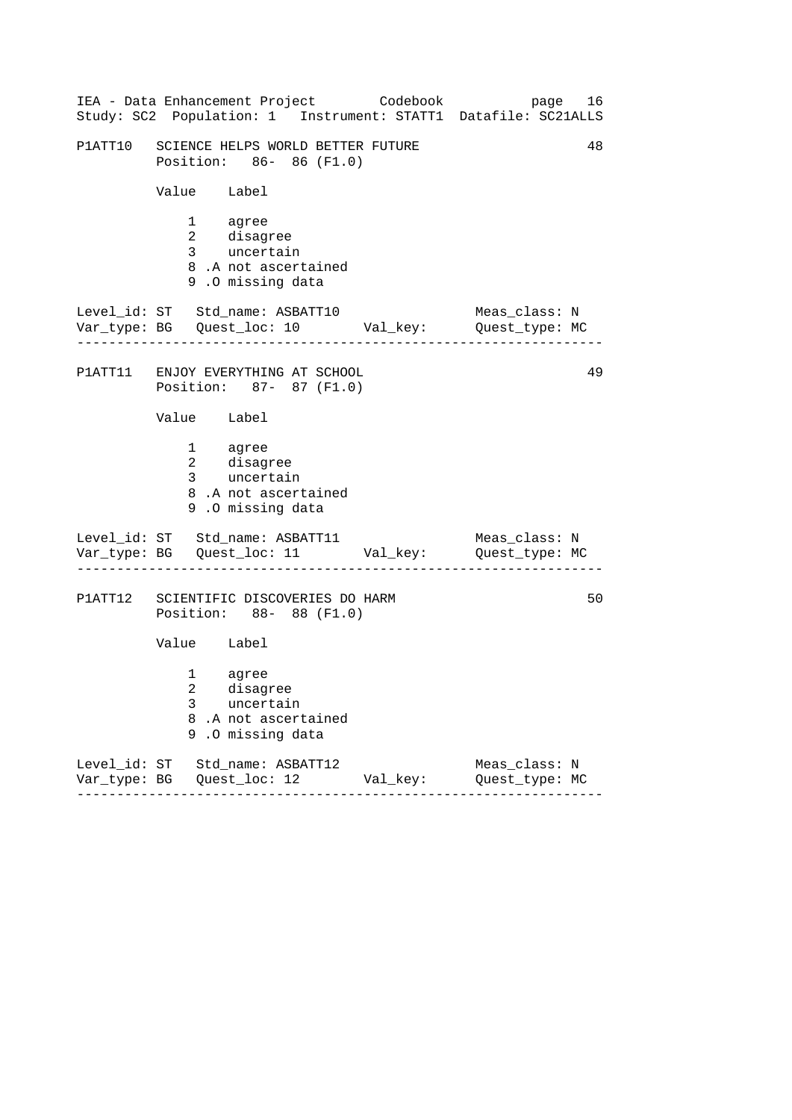| IEA - Data Enhancement Project Codebook<br>Study: SC2 Population: 1 Instrument: STATT1 Datafile: SC21ALLS                            | page 16                         |
|--------------------------------------------------------------------------------------------------------------------------------------|---------------------------------|
| P1ATT10 SCIENCE HELPS WORLD BETTER FUTURE<br>Position: 86- 86 (F1.0)                                                                 | 48                              |
| Value Label                                                                                                                          |                                 |
| 1 agree<br>2 disagree<br>3 uncertain<br>8.A not ascertained<br>9.0 missing data                                                      |                                 |
| Level_id: ST Std_name: ASBATT10<br>Var_type: BG    Quest_loc: 10    Val_key:    Quest_type: MC                                       | Meas_class: N                   |
| P1ATT11 ENJOY EVERYTHING AT SCHOOL<br>Position: 87- 87 (F1.0)                                                                        | 49                              |
| Value Label                                                                                                                          |                                 |
| 1 agree<br>2 disagree<br>3 uncertain<br>8.A not ascertained<br>9.0 missing data                                                      |                                 |
| Level_id: ST Std_name: ASBATT11 Meas_class: N<br>Var_type: BG Quest_loc: 11 Val_key: Quest_type: MC                                  |                                 |
| P1ATT12 SCIENTIFIC DISCOVERIES DO HARM<br>Position: 88- 88 (F1.0)                                                                    | 50                              |
| Value Label                                                                                                                          |                                 |
| $1 \quad \blacksquare$<br>agree<br>$\overline{2}$<br>disagree<br>$3^{\circ}$<br>uncertain<br>8.A not ascertained<br>9.0 missing data |                                 |
| Level_id: ST Std_name: ASBATT12<br>Val_key:                                                                                          | Meas_class: N<br>Quest_type: MC |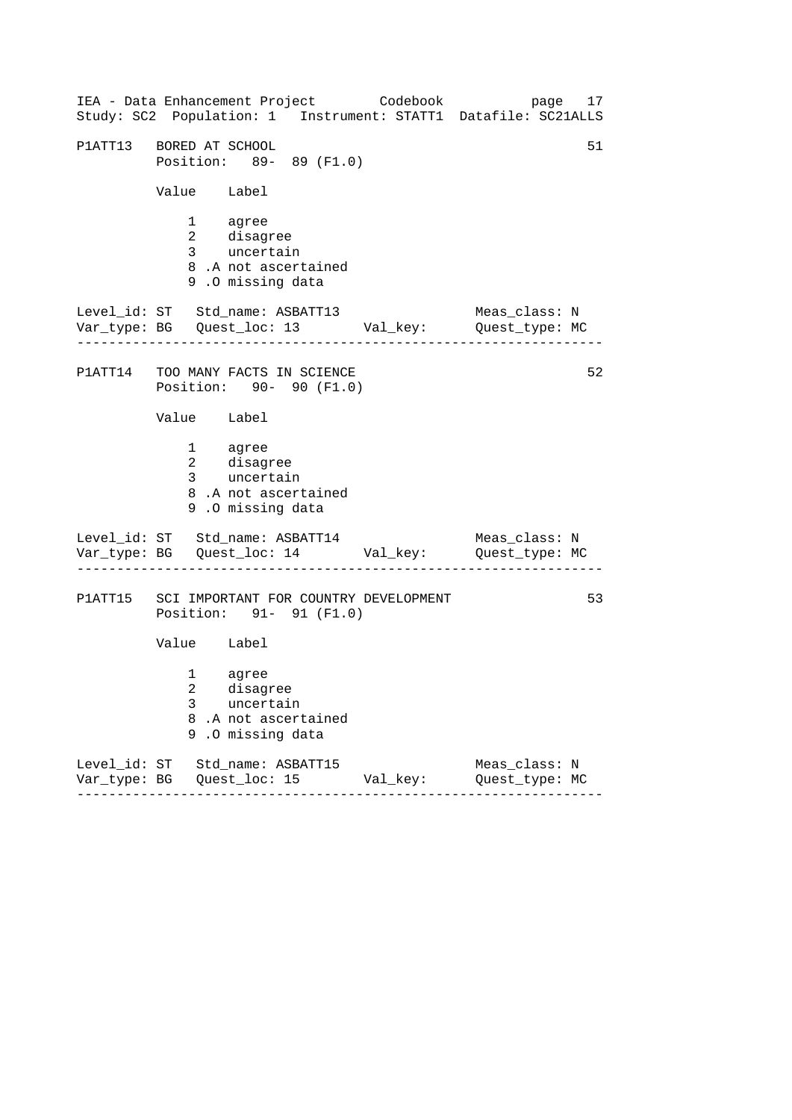------------------------------------------------------------------ ------------------------------------------------------------------ ------------------------------------------------------------------ IEA - Data Enhancement Project Codebook page 17 Study: SC2 Population: 1 Instrument: STATT1 Datafile: SC21ALLS P1ATT13 BORED AT SCHOOL 51 S1 Position: 89- 89 (F1.0) Value Label 1 agree 2 disagree 3 uncertain 8 .A not ascertained 9 .O missing data Level\_id: ST Std\_name: ASBATT13 Meas\_class: N Var\_type: BG Quest\_loc: 13 Val\_key: Quest\_type: MC P1ATT14 TOO MANY FACTS IN SCIENCE 62 Position: 90- 90 (F1.0) Value Label 1 agree 2 disagree 3 uncertain 8 .A not ascertained 9 .O missing data Level\_id: ST Std\_name: ASBATT14 Meas\_class: N Var\_type: BG Quest\_loc: 14 Val\_key: Quest\_type: MC P1ATT15 SCI IMPORTANT FOR COUNTRY DEVELOPMENT 53 Position: 91- 91 (F1.0) Value Label 1 agree 2 disagree 3 uncertain 8 .A not ascertained 9 .O missing data Level\_id: ST Std\_name: ASBATT15 Meas\_class: N Var\_type: BG Quest\_loc: 15 Val\_key: Quest\_type: MC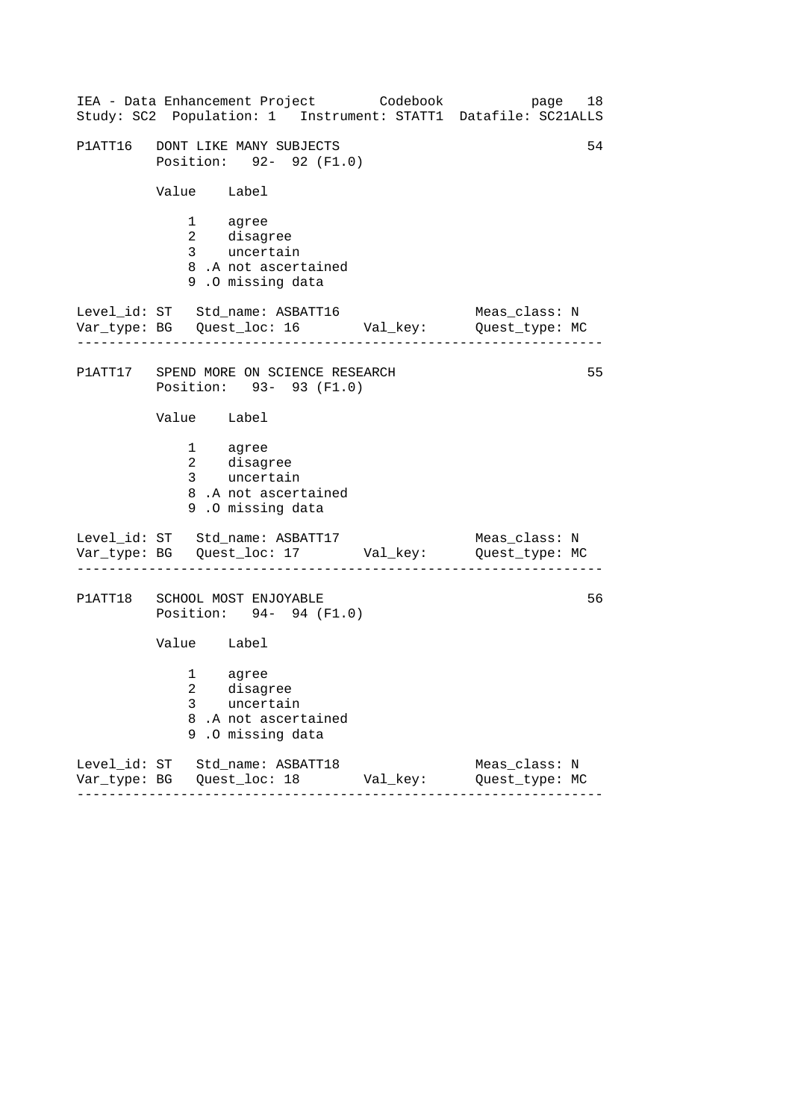| IEA - Data Enhancement Project Codebook<br>Study: SC2 Population: 1 Instrument: STATT1 Datafile: SC21ALLS |          | 18<br>page                      |
|-----------------------------------------------------------------------------------------------------------|----------|---------------------------------|
| P1ATT16 DONT LIKE MANY SUBJECTS<br>Position: 92- 92 (F1.0)                                                |          | 54                              |
| Value Label                                                                                               |          |                                 |
| 1 agree<br>2 disagree<br>3 uncertain<br>8.A not ascertained<br>9.0 missing data                           |          |                                 |
| Level_id: ST Std_name: ASBATT16<br>Var_type: BG    Quest_loc: 16    Val_key:    Quest_type: MC            |          | Meas_class: N                   |
| P1ATT17 SPEND MORE ON SCIENCE RESEARCH<br>Position: 93- 93 (F1.0)                                         |          | 55                              |
| Value Label                                                                                               |          |                                 |
| 1 agree<br>2 disagree<br>3 uncertain<br>8.A not ascertained<br>9.0 missing data                           |          |                                 |
| Level_id: ST Std_name: ASBATT17<br>Var_type: BG    Quest_loc: 17    Val_key:    Quest_type: MC            |          | Meas_class: N                   |
| P1ATT18 SCHOOL MOST ENJOYABLE<br>Position: 94- 94 (F1.0)                                                  |          | 56                              |
| Value Label                                                                                               |          |                                 |
| agree<br>1<br>2 disagree<br>3<br>uncertain<br>8<br>.A not ascertained<br>.O missing data<br>9             |          |                                 |
| Level_id: ST Std_name: ASBATT18<br>.                                                                      | Val_key: | Meas_class: N<br>Quest_type: MC |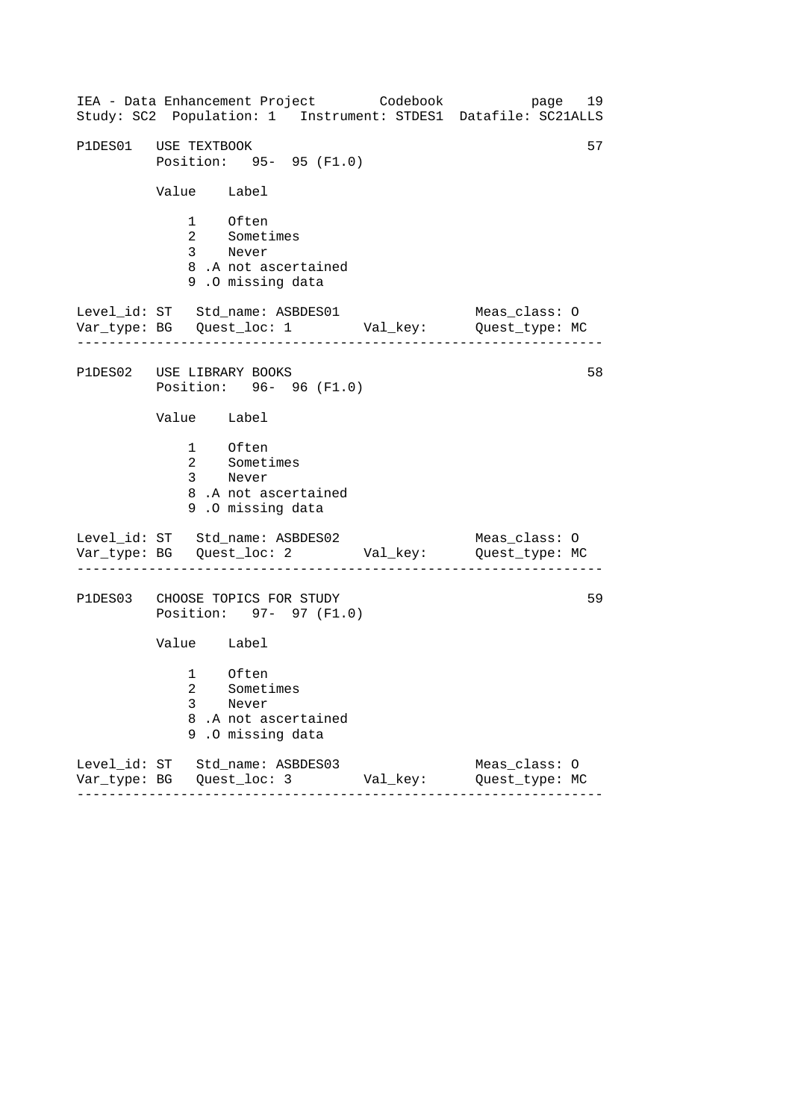------------------------------------------------------------------ ------------------------------------------------------------------ ------------------------------------------------------------------ IEA - Data Enhancement Project Codebook page 19 Study: SC2 Population: 1 Instrument: STDES1 Datafile: SC21ALLS P1DES01 USE TEXTBOOK 57 Position: 95- 95 (F1.0) Value Label 1 Often 2 Sometimes 3 Never 8 .A not ascertained 9 .O missing data Level\_id: ST Std\_name: ASBDES01 Meas\_class: 0 Var\_type: BG Quest\_loc: 1 Val\_key: Quest\_type: MC P1DES02 USE LIBRARY BOOKS Position: 96- 96 (F1.0) Value Label 1 Often 2 Sometimes 3 Never 8 .A not ascertained 9 .O missing data Level\_id: ST Std\_name: ASBDES02 Var\_type: BG Quest\_loc: 2 Val\_key: Quest\_type: MC Meas\_class: O P1DES03 CHOOSE TOPICS FOR STUDY Position: 97- 97 (F1.0) Value Label 1 Often 2 Sometimes 3 Never 8 .A not ascertained 9 .O missing data Level\_id: ST Std\_name: ASBDES03 Meas\_class: O Var\_type: BG Quest\_loc: 3 Val\_key: Quest\_type: MC 58 59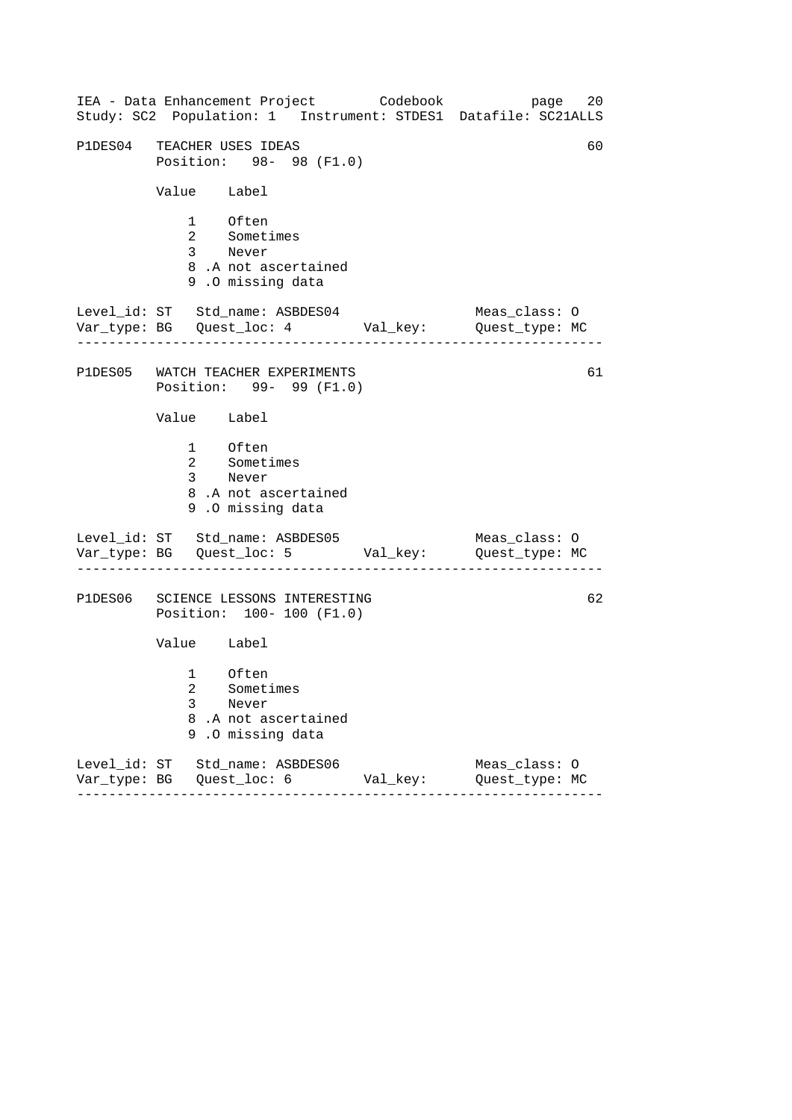| IEA - Data Enhancement Project Codebook<br>Study: SC2 Population: 1 Instrument: STDES1 Datafile: SC21ALLS |          | 20<br>page                      |
|-----------------------------------------------------------------------------------------------------------|----------|---------------------------------|
| P1DES04 TEACHER USES IDEAS<br>Position: 98- 98 (F1.0)                                                     |          | 60                              |
| Value Label                                                                                               |          |                                 |
| 1 Often<br>2 Sometimes<br>3 Never<br>8.A not ascertained<br>9.0 missing data                              |          |                                 |
| Level_id: ST Std_name: ASBDES04<br>Var_type: BG    Quest_loc: 4    Val_key:    Quest_type: MC             |          | Meas_class: O                   |
| P1DES05 WATCH TEACHER EXPERIMENTS<br>Position: 99- 99 (F1.0)                                              |          | 61                              |
| Value Label                                                                                               |          |                                 |
| 1 Often<br>2 Sometimes<br>3 Never<br>8.A not ascertained<br>9.0 missing data                              |          |                                 |
| Level_id: ST Std_name: ASBDES05<br>Var_type: BG    Quest_loc: 5    Val_key:    Quest_type: MC             |          | Meas_class: O                   |
| P1DES06 SCIENCE LESSONS INTERESTING<br>Position: 100- 100 (F1.0)                                          |          | 62                              |
| Value Label                                                                                               |          |                                 |
| 1 Often<br>2 Sometimes<br>3<br>Never<br>8<br>.A not ascertained<br>.O missing data<br>9                   |          |                                 |
| Level_id: ST Std_name: ASBDES06<br>.                                                                      | Val_key: | Meas_class: 0<br>Quest_type: MC |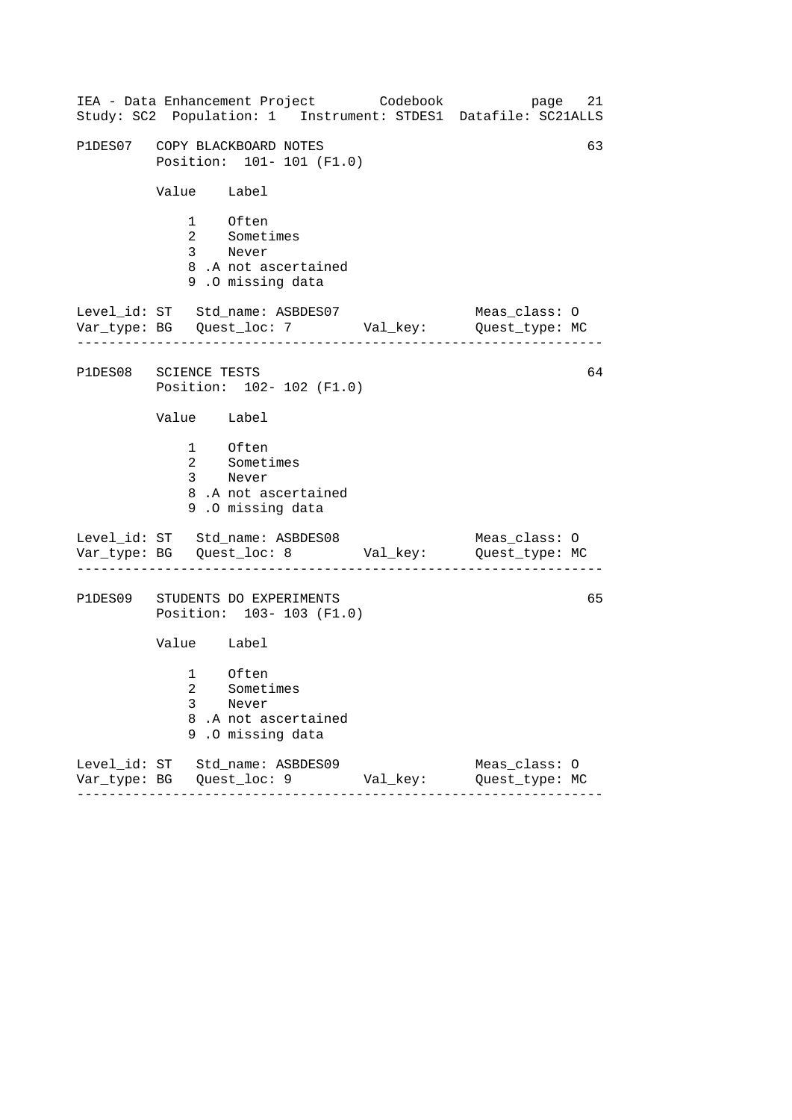|                       |              | IEA - Data Enhancement Project Codebook                                                       |          | 21<br>page<br>Study: SC2 Population: 1 Instrument: STDES1 Datafile: SC21ALLS |
|-----------------------|--------------|-----------------------------------------------------------------------------------------------|----------|------------------------------------------------------------------------------|
|                       |              | P1DES07 COPY BLACKBOARD NOTES<br>Position: 101- 101 (F1.0)                                    |          | 63                                                                           |
|                       | Value Label  |                                                                                               |          |                                                                              |
|                       |              | 1 Often<br>2 Sometimes<br>3 Never<br>8.A not ascertained<br>9.0 missing data                  |          |                                                                              |
|                       |              | Level_id: ST Std_name: ASBDES07<br>Var_type: BG    Quest_loc: 7    Val_key:    Quest_type: MC |          | Meas_class: O                                                                |
| P1DES08 SCIENCE TESTS |              | Position: 102- 102 (F1.0)                                                                     |          | 64                                                                           |
|                       | Value Label  |                                                                                               |          |                                                                              |
|                       |              | 1 Often<br>2 Sometimes<br>3 Never<br>8.A not ascertained<br>9.0 missing data                  |          |                                                                              |
|                       |              | Level_id: ST Std_name: ASBDES08<br>Var_type: BG    Quest_loc: 8    Val_key:    Quest_type: MC |          | Meas_class: O                                                                |
|                       |              | P1DES09 STUDENTS DO EXPERIMENTS<br>Position: 103- 103 (F1.0)                                  |          | 65                                                                           |
|                       | Value Label  |                                                                                               |          |                                                                              |
|                       | 3<br>8<br>9. | 1 Often<br>2 Sometimes<br>Never<br>.A not ascertained<br>.O missing data                      |          |                                                                              |
|                       |              | Level_id: ST Std_name: ASBDES09                                                               | Val_key: | Meas_class: 0<br>Quest_type: MC                                              |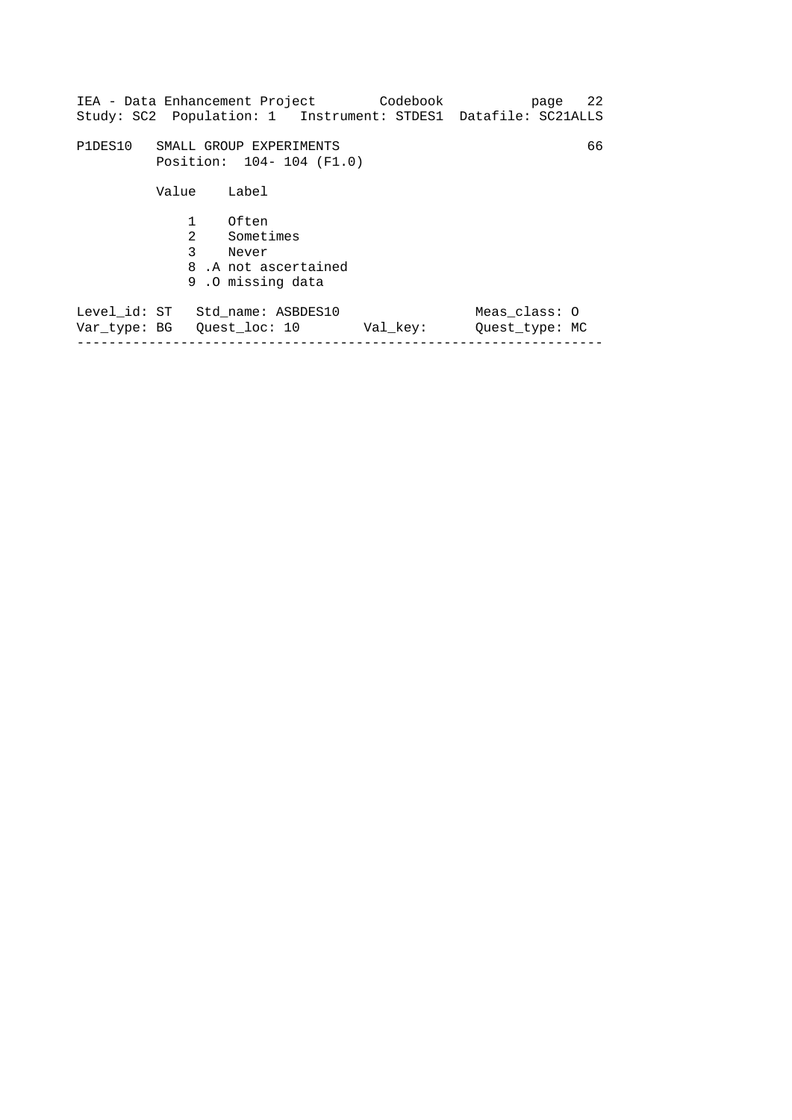| IEA - Data Enhancement Project                                |                          |                                                                        | Codebook<br>Study: SC2 Population: 1 Instrument: STDES1 Datafile: SC21ALLS |                                 | 22<br>page |
|---------------------------------------------------------------|--------------------------|------------------------------------------------------------------------|----------------------------------------------------------------------------|---------------------------------|------------|
|                                                               |                          |                                                                        |                                                                            |                                 |            |
| P1DES10                                                       | Position: 104-104 (F1.0) | SMALL GROUP EXPERIMENTS                                                |                                                                            |                                 | 66         |
|                                                               | Value                    | Label                                                                  |                                                                            |                                 |            |
|                                                               | $\mathbf{1}$<br>2<br>3   | Often<br>Sometimes<br>Never<br>8.A not ascertained<br>9.0 missing data |                                                                            |                                 |            |
| Level id: ST Std name: ASBDES10<br>Var type: BG Ouest loc: 10 |                          |                                                                        | Val key:                                                                   | Meas class: 0<br>Ouest type: MC |            |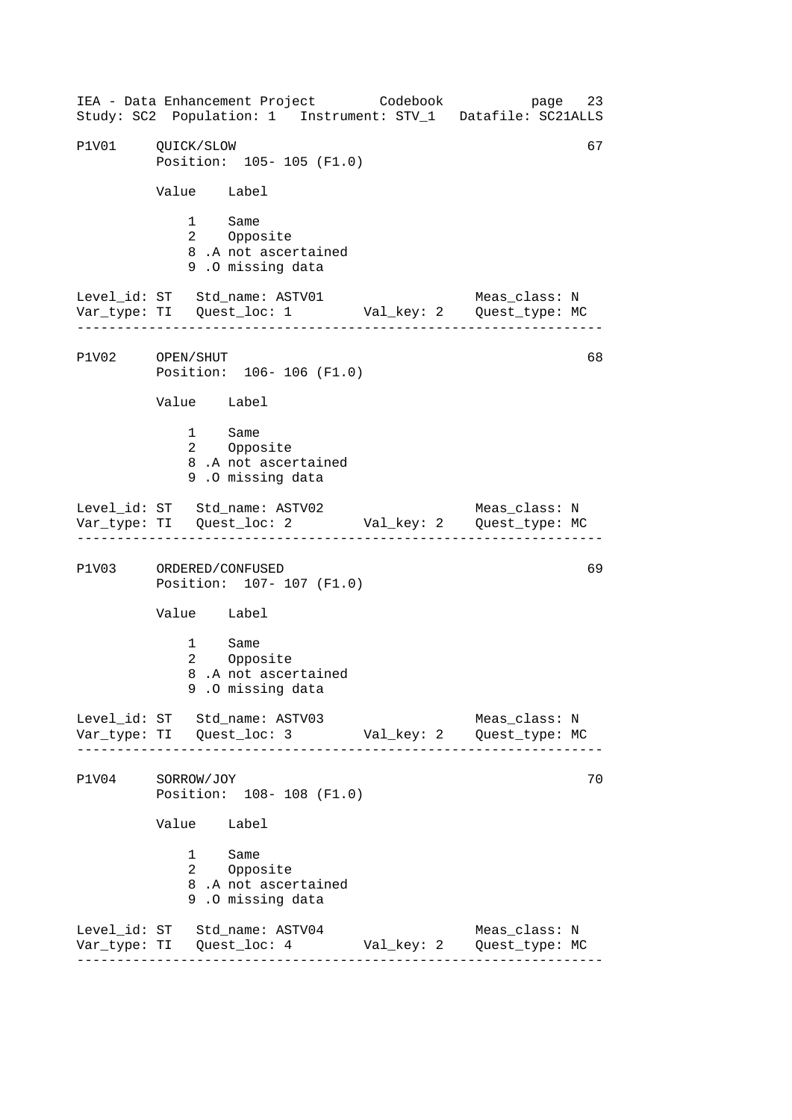------------------------------------------------------------------ ------------------------------------------------------------------ ------------------------------------------------------------------ ------------------------------------------------------------------ IEA - Data Enhancement Project Codebook page 23 Study: SC2 Population: 1 Instrument: STV\_1 Datafile: SC21ALLS P1V01 OUICK/SLOW 67 Position: 105- 105 (F1.0) Value Label 1 Same<br>2 Oppos Opposite 8 .A not ascertained 9 .O missing data Level\_id: ST Std\_name: ASTV01 Meas\_class: N Var\_type: TI Quest\_loc: 1 Val\_key: 2 Quest\_type: MC P1V02 OPEN/SHUT Position: 106- 106 (F1.0) Value Label 1 Same 2 Opposite 8 .A not ascertained 9 .O missing data Level\_id: ST Std\_name: ASTV02 Meas\_class: N Var\_type: TI Quest\_loc: 2 Val\_key: 2 Quest\_type: MC P1V03 ORDERED/CONFUSED 69 Position: 107- 107 (F1.0) Value Label 1 Same 2 Opposite 8 .A not ascertained 9 .O missing data Level\_id: ST Std\_name: ASTV03 Meas\_class: N Var\_type: TI Quest\_loc: 3 Val\_key: 2 Quest\_type: MC P1V04 SORROW/JOY 70 Position: 108- 108 (F1.0) Value Label 1 Same 2 Opposite 8 .A not ascertained 9 .O missing data Level\_id: ST Std\_name: ASTV04 Meas\_class: N Var\_type: TI Quest\_loc: 4 Val\_key: 2 Quest\_type: MC 68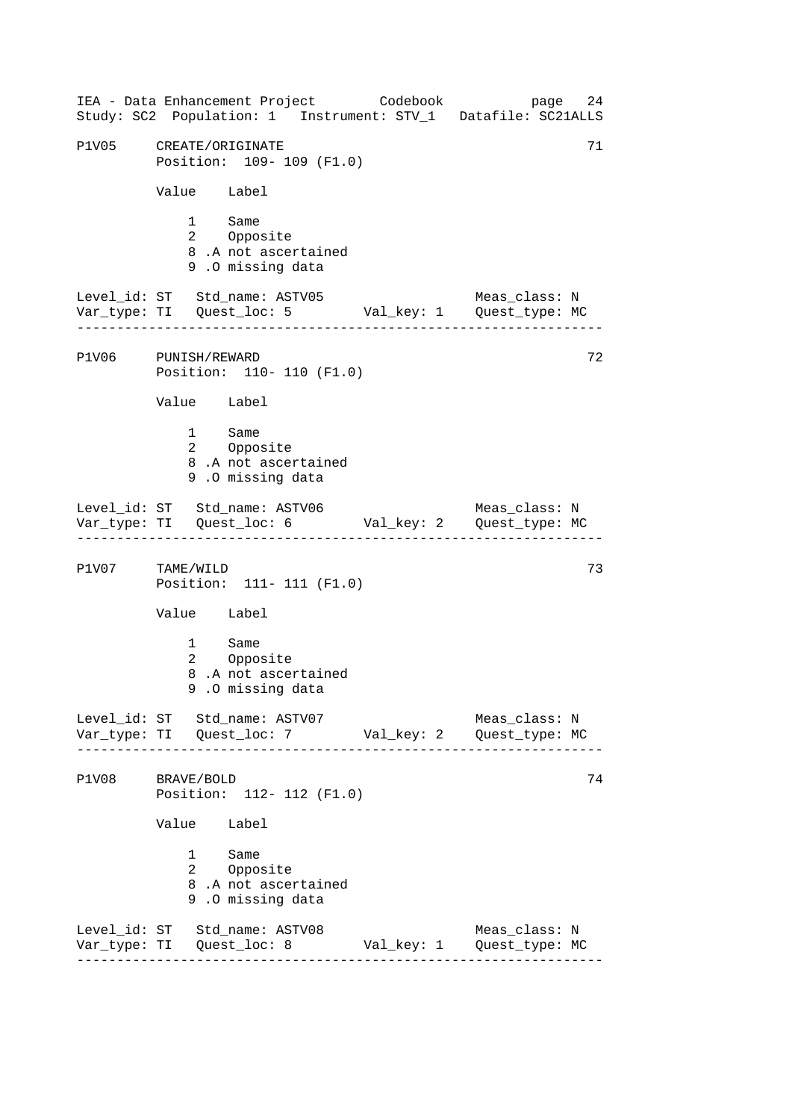------------------------------------------------------------------ ------------------------------------------------------------------ ------------------------------------------------------------------ ------------------------------------------------------------------ IEA - Data Enhancement Project Codebook page 24 Study: SC2 Population: 1 Instrument: STV\_1 Datafile: SC21ALLS P1V05 CREATE/ORIGINATE 71 Position: 109- 109 (F1.0) Value Label 1 Same<br>2 Oppos Opposite 8 .A not ascertained 9 .O missing data Level\_id: ST Std\_name: ASTV05 Meas\_class: N Var\_type: TI Quest\_loc: 5 Val\_key: 1 Quest\_type: MC P1V06 PUNISH/REWARD Position: 110- 110 (F1.0) Value Label 1 Same 2 Opposite 8 .A not ascertained 9 .O missing data Level\_id: ST Std\_name: ASTV06 Meas\_class: N Var\_type: TI Quest\_loc: 6 Val\_key: 2 Quest\_type: MC P1V07 TAME/WILD 73 Position: 111- 111 (F1.0) Value Label 1 Same 2 Opposite 8 .A not ascertained 9 .O missing data Level\_id: ST Std\_name: ASTV07 Meas\_class: N Var\_type: TI Quest\_loc: 7 Val\_key: 2 Quest\_type: MC P1V08 BRAVE/BOLD 74 Position: 112- 112 (F1.0) Value Label 1 Same 2 Opposite 8 .A not ascertained 9 .O missing data Level\_id: ST Std\_name: ASTV08 Meas\_class: N Var\_type: TI Quest\_loc: 8 Val\_key: 1 Quest\_type: MC 72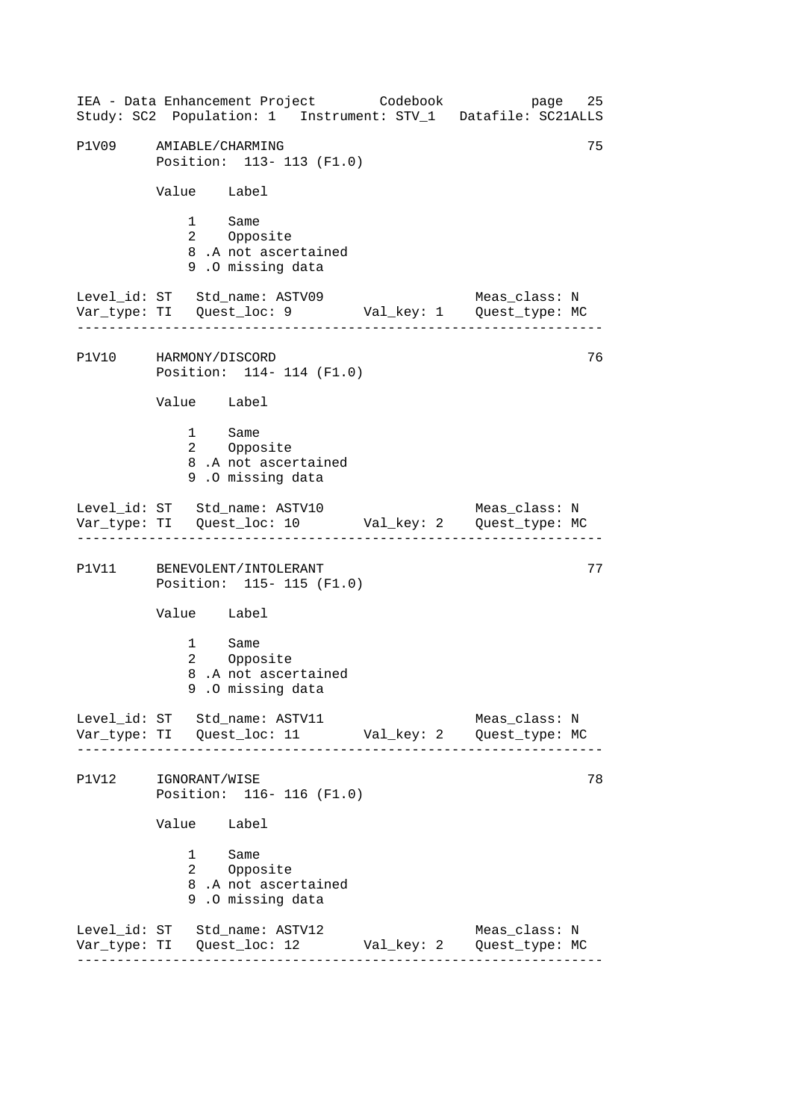------------------------------------------------------------------ ------------------------------------------------------------------ ------------------------------------------------------------------ ------------------------------------------------------------------ IEA - Data Enhancement Project Codebook page 25 Study: SC2 Population: 1 Instrument: STV\_1 Datafile: SC21ALLS P1V09 AMIABLE/CHARMING 75 Position: 113- 113 (F1.0) Value Label 1 Same<br>2 Oppos Opposite 8 .A not ascertained 9 .O missing data Level\_id: ST Std\_name: ASTV09 Meas\_class: N Var\_type: TI Quest\_loc: 9 Val\_key: 1 Quest\_type: MC P1V10 HARMONY/DISCORD Position: 114- 114 (F1.0) Value Label 1 Same 2 Opposite 8 .A not ascertained 9 .O missing data Level\_id: ST Std\_name: ASTV10 Meas\_class: N Var\_type: TI Quest\_loc: 10 Val\_key: 2 Quest\_type: MC P1V11 BENEVOLENT/INTOLERANT 77 Position: 115- 115 (F1.0) Value Label 1 Same 2 Opposite 8 .A not ascertained 9 .O missing data Level\_id: ST Std\_name: ASTV11 Meas\_class: N Var\_type: TI Quest\_loc: 11 Val\_key: 2 Quest\_type: MC P1V12 IGNORANT/WISE 78 Position: 116- 116 (F1.0) Value Label 1 Same 2 Opposite 8 .A not ascertained 9 .O missing data Level\_id: ST Std\_name: ASTV12 Meas\_class: N Var\_type: TI Quest\_loc: 12 Val\_key: 2 Quest\_type: MC 76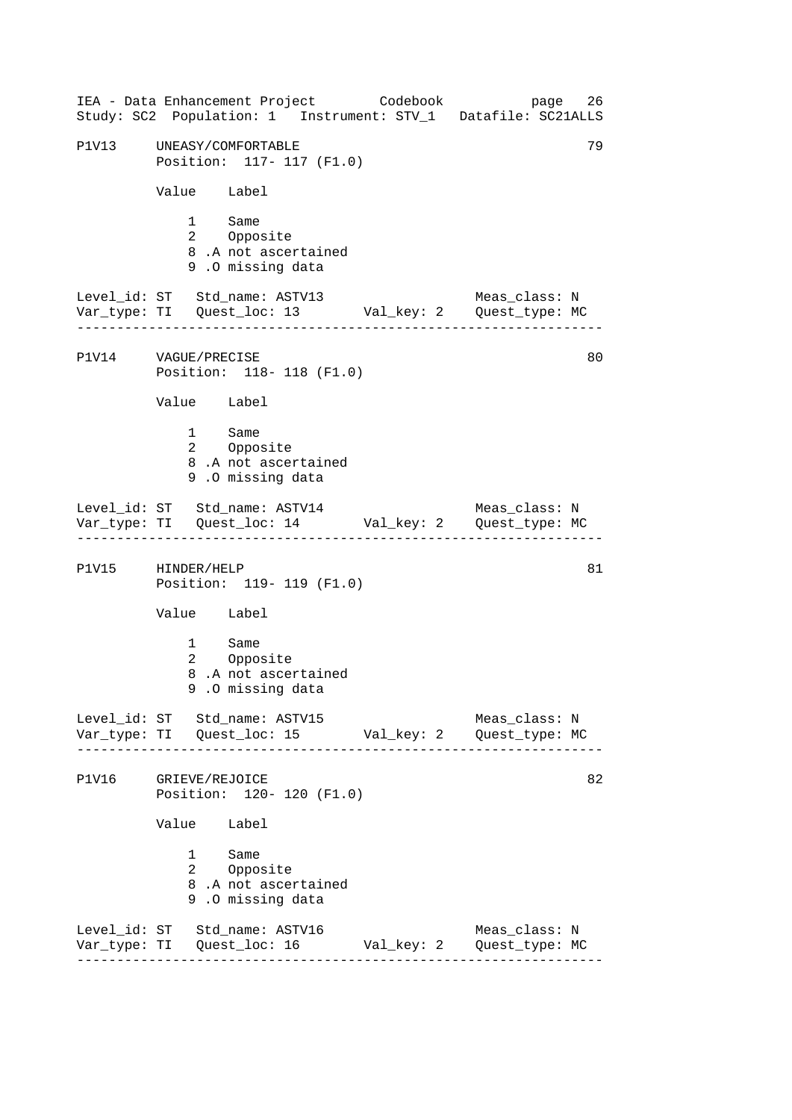------------------------------------------------------------------ ------------------------------------------------------------------ ------------------------------------------------------------------ ------------------------------------------------------------------ IEA - Data Enhancement Project Codebook page 26 Study: SC2 Population: 1 Instrument: STV\_1 Datafile: SC21ALLS P1V13 UNEASY/COMFORTABLE 79 Position: 117- 117 (F1.0) Value Label 1 Same<br>2 Oppos Opposite 8 .A not ascertained 9 .O missing data Level\_id: ST Std\_name: ASTV13 Meas\_class: N Var\_type: TI Quest\_loc: 13 Val\_key: 2 Quest\_type: MC P1V14 VAGUE/PRECISE Position: 118- 118 (F1.0) Value Label 1 Same 2 Opposite 8 .A not ascertained 9 .O missing data Level\_id: ST Std\_name: ASTV14 Meas\_class: N Var\_type: TI Quest\_loc: 14 Val\_key: 2 Quest\_type: MC P1V15 HINDER/HELP 81 Position: 119- 119 (F1.0) Value Label 1 Same 2 Opposite 8 .A not ascertained 9 .O missing data Level\_id: ST Std\_name: ASTV15 Meas\_class: N Var\_type: TI Quest\_loc: 15 Val\_key: 2 Quest\_type: MC P1V16 GRIEVE/REJOICE 82 Position: 120- 120 (F1.0) Value Label 1 Same 2 Opposite 8 .A not ascertained 9 .O missing data Level\_id: ST Std\_name: ASTV16 Meas\_class: N Var\_type: TI Quest\_loc: 16 Val\_key: 2 Quest\_type: MC 80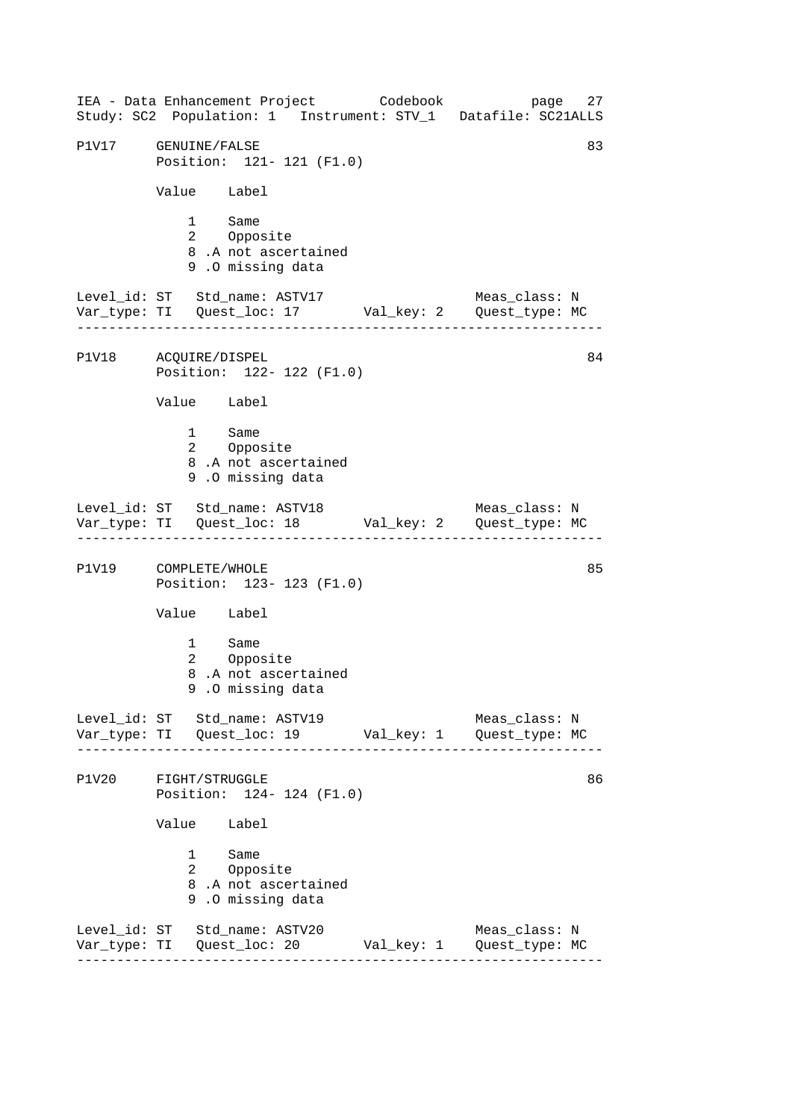------------------------------------------------------------------ ------------------------------------------------------------------ ------------------------------------------------------------------ ------------------------------------------------------------------ IEA - Data Enhancement Project Codebook page 27 Study: SC2 Population: 1 Instrument: STV\_1 Datafile: SC21ALLS P1V17 GENUINE/FALSE 83 Position: 121- 121 (F1.0) Value Label 1 Same<br>2 Oppos Opposite 8 .A not ascertained 9 .O missing data Level\_id: ST Std\_name: ASTV17 Meas\_class: N Var\_type: TI Quest\_loc: 17 Val\_key: 2 Quest\_type: MC P1V18 ACQUIRE/DISPEL Position: 122- 122 (F1.0) Value Label 1 Same 2 Opposite 8 .A not ascertained 9 .O missing data Level\_id: ST Std\_name: ASTV18 Meas\_class: N Var\_type: TI Quest\_loc: 18 Val\_key: 2 Quest\_type: MC P1V19 COMPLETE/WHOLE 85 Position: 123- 123 (F1.0) Value Label 1 Same 2 Opposite 8 .A not ascertained 9 .O missing data Level\_id: ST Std\_name: ASTV19 Meas\_class: N Var\_type: TI Quest\_loc: 19 Val\_key: 1 Quest\_type: MC P1V20 FIGHT/STRUGGLE 86 Position: 124- 124 (F1.0) Value Label 1 Same 2 Opposite 8 .A not ascertained 9 .O missing data Level\_id: ST Std\_name: ASTV20 Meas\_class: N Var\_type: TI Quest\_loc: 20 Val\_key: 1 Quest\_type: MC 84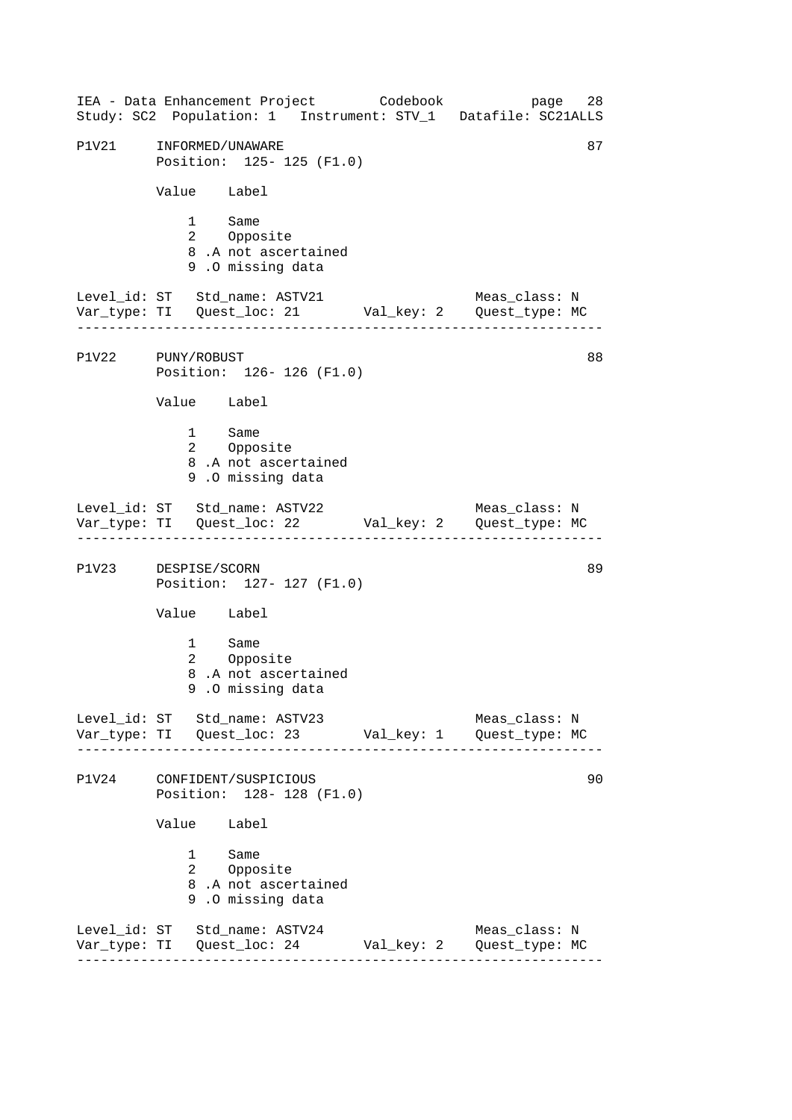------------------------------------------------------------------ ------------------------------------------------------------------ ------------------------------------------------------------------ ------------------------------------------------------------------ IEA - Data Enhancement Project Codebook page 28 Study: SC2 Population: 1 Instrument: STV\_1 Datafile: SC21ALLS P1V21 INFORMED/UNAWARE 87 Position: 125- 125 (F1.0) Value Label 1 Same<br>2 Oppos Opposite 8 .A not ascertained 9 .O missing data Level\_id: ST Std\_name: ASTV21 Meas\_class: N Var\_type: TI Quest\_loc: 21 Val\_key: 2 Quest\_type: MC P1V22 PUNY/ROBUST Position: 126- 126 (F1.0) Value Label 1 Same 2 Opposite 8 .A not ascertained 9 .O missing data Level\_id: ST Std\_name: ASTV22 Meas\_class: N Var\_type: TI Quest\_loc: 22 Val\_key: 2 Quest\_type: MC P1V23 DESPISE/SCORN 89 Position: 127- 127 (F1.0) Value Label 1 Same 2 Opposite 8 .A not ascertained 9 .O missing data Level\_id: ST Std\_name: ASTV23 Meas\_class: N Var\_type: TI Quest\_loc: 23 Val\_key: 1 Quest\_type: MC P1V24 CONFIDENT/SUSPICIOUS 90 Position: 128- 128 (F1.0) Value Label 1 Same 2 Opposite 8 .A not ascertained 9 .O missing data Level\_id: ST Std\_name: ASTV24 Meas\_class: N Var\_type: TI Quest\_loc: 24 Val\_key: 2 Quest\_type: MC 88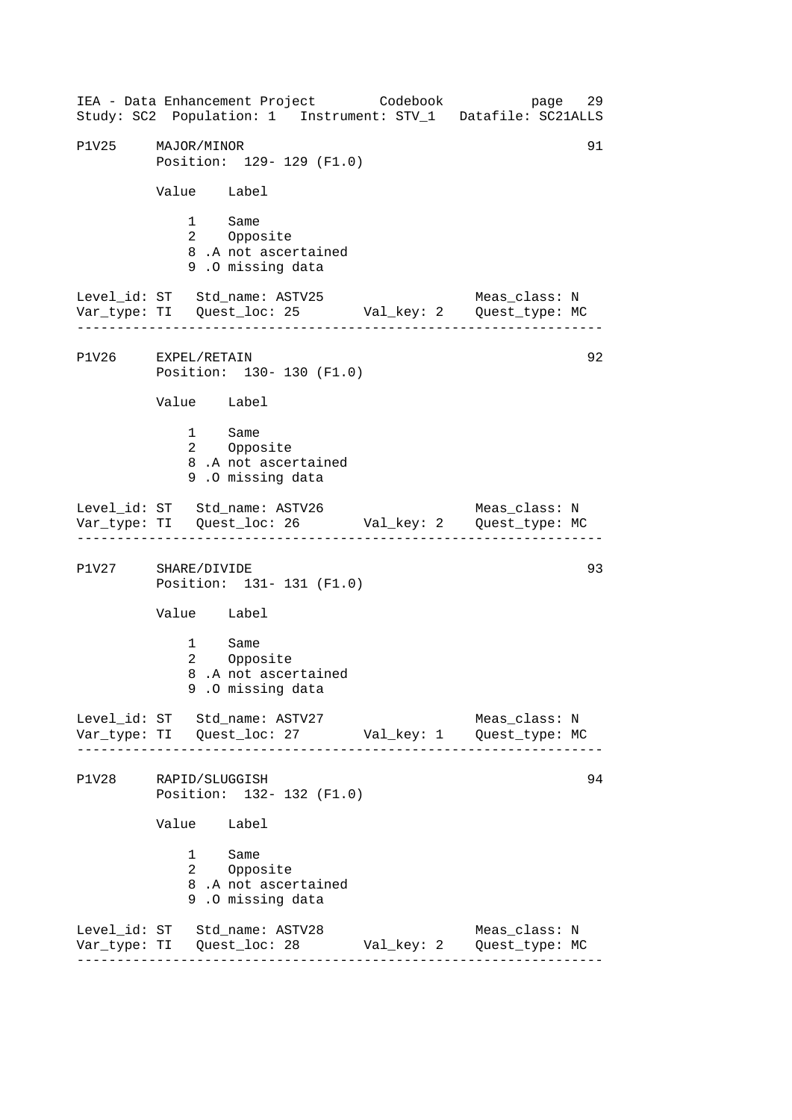------------------------------------------------------------------ ------------------------------------------------------------------ ------------------------------------------------------------------ ------------------------------------------------------------------ IEA - Data Enhancement Project Codebook page 29 Study: SC2 Population: 1 Instrument: STV\_1 Datafile: SC21ALLS P1V25 MAJOR/MINOR 91 Position: 129- 129 (F1.0) Value Label 1 Same<br>2 Oppos Opposite 8 .A not ascertained 9 .O missing data Level\_id: ST Std\_name: ASTV25 Meas\_class: N Var\_type: TI Quest\_loc: 25 Val\_key: 2 Quest\_type: MC P1V26 EXPEL/RETAIN Position: 130- 130 (F1.0) Value Label 1 Same 2 Opposite 8 .A not ascertained 9 .O missing data Level\_id: ST Std\_name: ASTV26 Meas\_class: N Var\_type: TI Quest\_loc: 26 Val\_key: 2 Quest\_type: MC P1V27 SHARE/DIVIDE 93 Position: 131- 131 (F1.0) Value Label 1 Same 2 Opposite 8 .A not ascertained 9 .O missing data Level\_id: ST Std\_name: ASTV27 Meas\_class: N Var\_type: TI Quest\_loc: 27 Val\_key: 1 Quest\_type: MC P1V28 RAPID/SLUGGISH 94 Position: 132- 132 (F1.0) Value Label 1 Same 2 Opposite 8 .A not ascertained 9 .O missing data Level\_id: ST Std\_name: ASTV28 Meas\_class: N Var\_type: TI Quest\_loc: 28 Val\_key: 2 Quest\_type: MC 92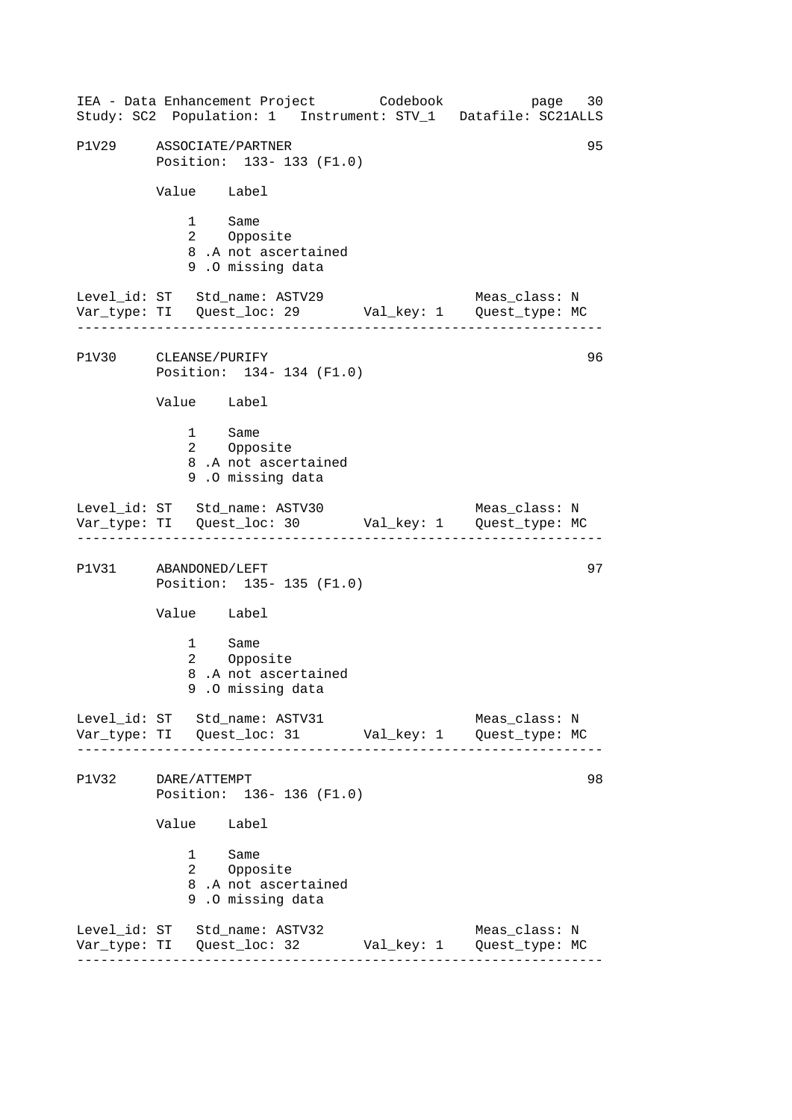------------------------------------------------------------------ ------------------------------------------------------------------ ------------------------------------------------------------------ ------------------------------------------------------------------ IEA - Data Enhancement Project Codebook page 30 Study: SC2 Population: 1 Instrument: STV\_1 Datafile: SC21ALLS P1V29 ASSOCIATE/PARTNER 95 Position: 133- 133 (F1.0) Value Label 1 Same<br>2 Oppos Opposite 8 .A not ascertained 9 .O missing data Level\_id: ST Std\_name: ASTV29 Meas\_class: N Var\_type: TI Quest\_loc: 29 Val\_key: 1 Quest\_type: MC P1V30 CLEANSE/PURIFY Position: 134- 134 (F1.0) Value Label 1 Same 2 Opposite 8 .A not ascertained 9 .O missing data Level\_id: ST Std\_name: ASTV30 Meas\_class: N Var\_type: TI Quest\_loc: 30 Val\_key: 1 Quest\_type: MC P1V31 ABANDONED/LEFT 97 Position: 135- 135 (F1.0) Value Label 1 Same 2 Opposite 8 .A not ascertained 9 .O missing data Level\_id: ST Std\_name: ASTV31 Meas\_class: N Var\_type: TI Quest\_loc: 31 Val\_key: 1 Quest\_type: MC P1V32 DARE/ATTEMPT 98 Position: 136- 136 (F1.0) Value Label 1 Same 2 Opposite 8 .A not ascertained 9 .O missing data Level\_id: ST Std\_name: ASTV32 Meas\_class: N Var\_type: TI Quest\_loc: 32 Val\_key: 1 Quest\_type: MC 96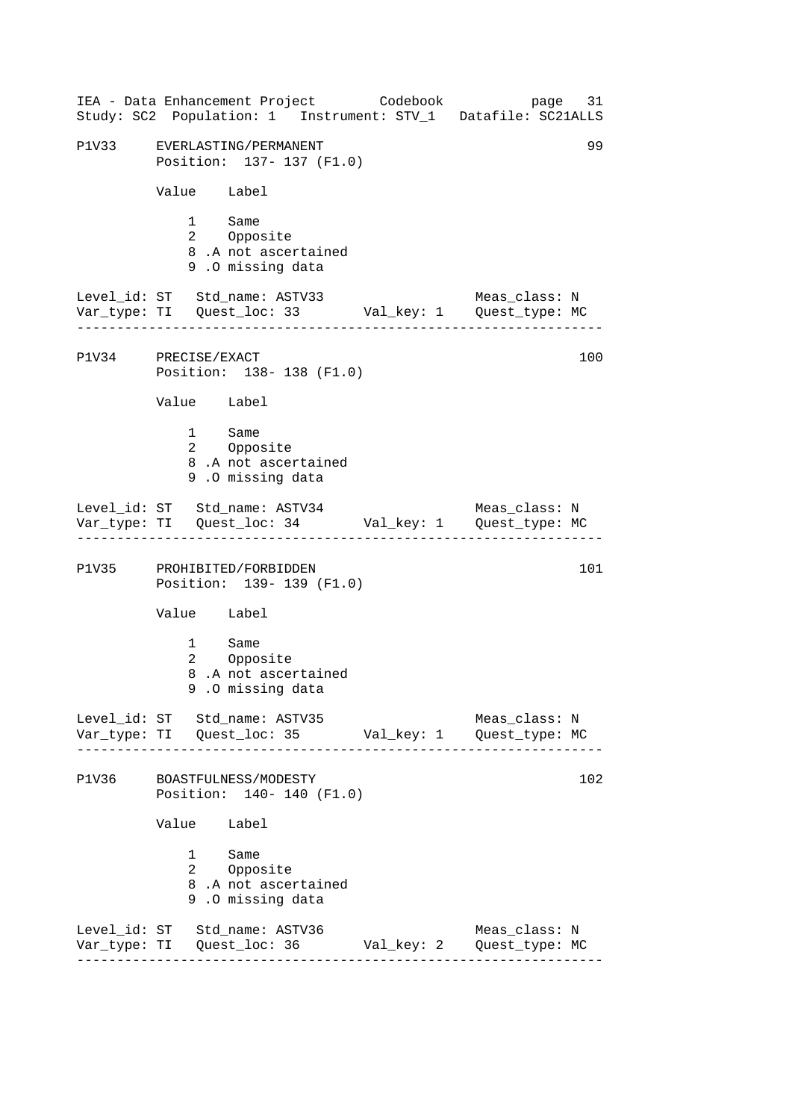------------------------------------------------------------------ ------------------------------------------------------------------ ------------------------------------------------------------------ ------------------------------------------------------------------ IEA - Data Enhancement Project Codebook page 31 Study: SC2 Population: 1 Instrument: STV\_1 Datafile: SC21ALLS P1V33 EVERLASTING/PERMANENT 99 Position: 137- 137 (F1.0) Value Label 1 Same<br>2 Oppos Opposite 8 .A not ascertained 9 .O missing data Level\_id: ST Std\_name: ASTV33 Meas\_class: N Var\_type: TI Quest\_loc: 33 Val\_key: 1 Quest\_type: MC P1V34 PRECISE/EXACT Position: 138- 138 (F1.0) Value Label 1 Same 2 Opposite 8 .A not ascertained 9 .O missing data Level\_id: ST Std\_name: ASTV34 Meas\_class: N Var\_type: TI Quest\_loc: 34 Val\_key: 1 Quest\_type: MC P1V35 PROHIBITED/FORBIDDEN 101 Position: 139- 139 (F1.0) Value Label 1 Same 2 Opposite 8 .A not ascertained 9 .O missing data Level id: ST Std name: ASTV35 Meas class: N Var\_type: TI Quest\_loc: 35 Val\_key: 1 Quest\_type: MC P1V36 BOASTFULNESS/MODESTY 102 Position: 140- 140 (F1.0) Value Label 1 Same 2 Opposite 8 .A not ascertained 9 .O missing data Level\_id: ST Std\_name: ASTV36 Meas\_class: N Var\_type: TI Quest\_loc: 36 Val\_key: 2 Quest\_type: MC 100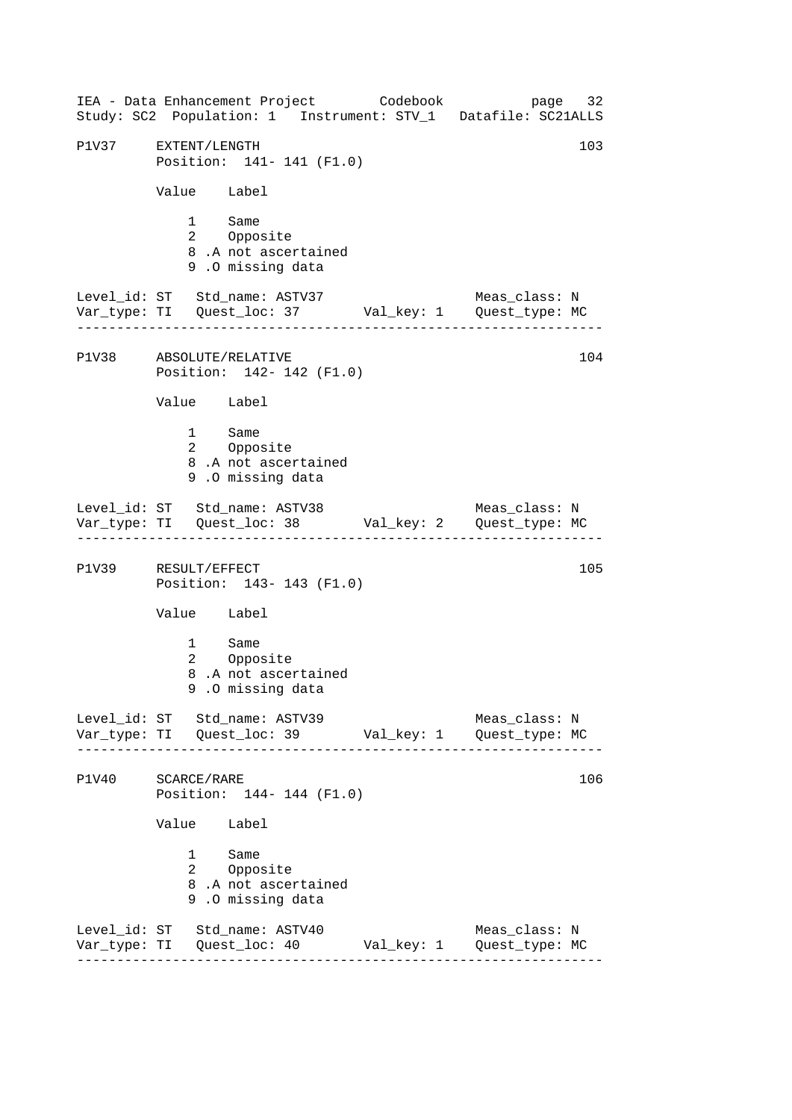------------------------------------------------------------------ ------------------------------------------------------------------ ------------------------------------------------------------------ ------------------------------------------------------------------ IEA - Data Enhancement Project Codebook page 32 Study: SC2 Population: 1 Instrument: STV\_1 Datafile: SC21ALLS P1V37 EXTENT/LENGTH 103 Position: 141- 141 (F1.0) Value Label 1 Same<br>2 Oppos Opposite 8 .A not ascertained 9 .O missing data Level\_id: ST Std\_name: ASTV37 Meas\_class: N Var\_type: TI Quest\_loc: 37 Val\_key: 1 Quest\_type: MC P1V38 ABSOLUTE/RELATIVE Position: 142- 142 (F1.0) Value Label 1 Same 2 Opposite 8 .A not ascertained 9 .O missing data Level\_id: ST Std\_name: ASTV38 Meas\_class: N Var\_type: TI Quest\_loc: 38 Val\_key: 2 Quest\_type: MC P1V39 RESULT/EFFECT 105 Position: 143- 143 (F1.0) Value Label 1 Same 2 Opposite 8 .A not ascertained 9 .O missing data Level\_id: ST Std\_name: ASTV39 Meas\_class: N Var\_type: TI Quest\_loc: 39 Val\_key: 1 Quest\_type: MC P1V40 SCARCE/RARE 106 Position: 144- 144 (F1.0) Value Label 1 Same 2 Opposite 8 .A not ascertained 9 .O missing data Level\_id: ST Std\_name: ASTV40 Meas\_class: N Var\_type: TI Quest\_loc: 40 Val\_key: 1 Quest\_type: MC 104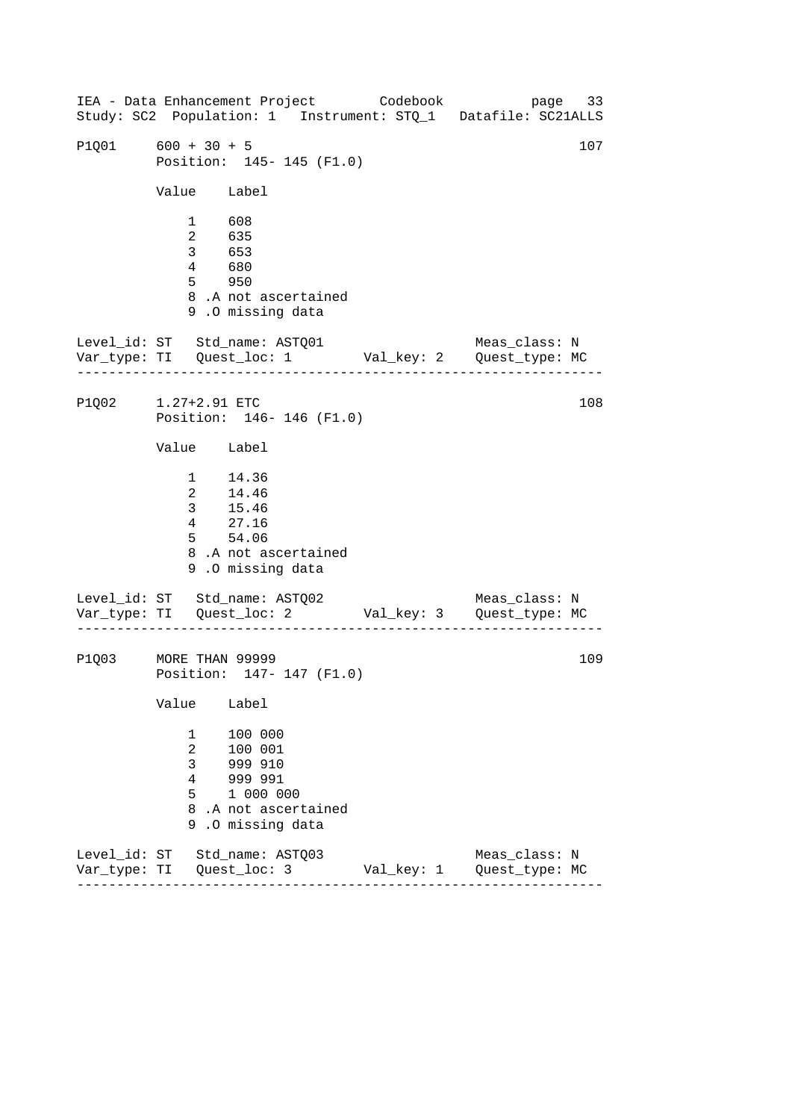------------------------------------------------------------------ ------------------------------------------------------------------ IEA - Data Enhancement Project Codebook page 33 Study: SC2 Population: 1 Instrument: STQ\_1 Datafile: SC21ALLS P1001 600 + 30 + 5 107 Position: 145- 145 (F1.0) Value Label 1 608 2 635 3 653 4 680 5 950 8 .A not ascertained 9 .O missing data Level\_id: ST Std\_name: ASTQ01 Meas\_class: N Var\_type: TI Quest\_loc: 1 Val\_key: 2 Quest\_type: MC P1Q02 1.27+2.91 ETC Position: 146- 146 (F1.0) Value Label 1 14.36 2 14.46 3 15.46 4 27.16 5 54.06 8 .A not ascertained 9 .O missing data Level\_id: ST Std\_name: ASTQ02 Var\_type: TI Quest\_loc: 2 Val\_key: 3 Quest\_type: MC Meas\_class: N P1Q03 MORE THAN 99999 Position: 147- 147 (F1.0) Value Label 1 100 000 2 100 001 3 999 910 4 999 991 5 1 000 000 8 .A not ascertained 9 .O missing data Level\_id: ST Std\_name: ASTQ03 Meas\_class: N Var\_type: TI Quest\_loc: 3 Val\_key: 1 Quest\_type: MC 108 109

------------------------------------------------------------------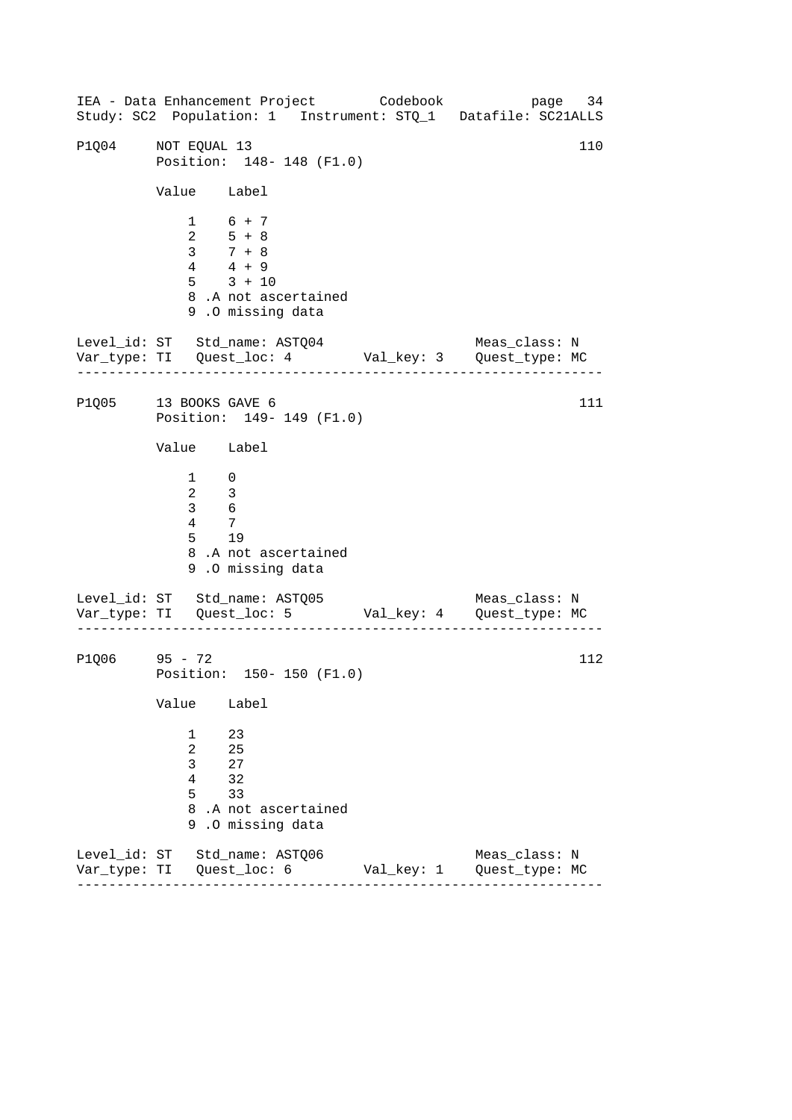------------------------------------------------------------------ ------------------------------------------------------------------ ------------------------------------------------------------------ IEA - Data Enhancement Project Codebook page 34 Study: SC2 Population: 1 Instrument: STQ\_1 Datafile: SC21ALLS P1004 NOT EQUAL 13 110 Position: 148- 148 (F1.0) Value Label 1 6 + 7  $2 \t 5 + 8$ 3 7 + 8 4 4 + 9 5 3 + 10 8 .A not ascertained 9 .O missing data Level\_id: ST Std\_name: ASTQ04 Meas\_class: N Var\_type: TI Quest\_loc: 4 Val\_key: 3 Quest\_type: MC P1Q05 13 BOOKS GAVE 6 Position: 149- 149 (F1.0) Value Label 1 0  $\begin{array}{ccc} 2 & 3 \\ 3 & 6 \end{array}$ 3 6 4 7 5 19 8 .A not ascertained 9 .O missing data Level\_id: ST Std\_name: ASTQ05 Var\_type: TI Quest\_loc: 5 Val\_key: 4 Quest\_type: MC Meas\_class: N P1Q06 95 - 72 Position: 150- 150 (F1.0) Value Label 1 23 2 25 3 27 4 32 5 33 8 .A not ascertained 9 .O missing data Level\_id: ST Std\_name: ASTQ06 Meas\_class: N Var\_type: TI Quest\_loc: 6 Val\_key: 1 Quest\_type: MC 111 112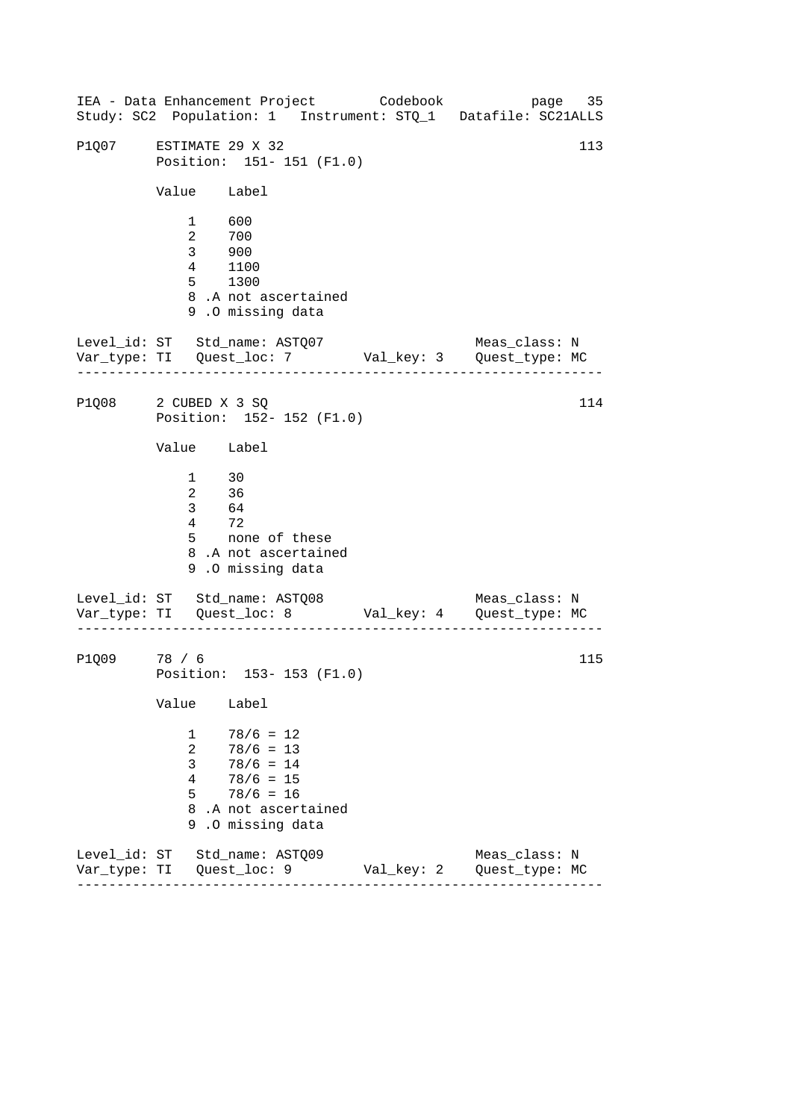------------------------------------------------------------------ ------------------------------------------------------------------ IEA - Data Enhancement Project Codebook page 35 Study: SC2 Population: 1 Instrument: STQ\_1 Datafile: SC21ALLS P1007 ESTIMATE 29 X 32 113 Position: 151- 151 (F1.0) Value Label 1 600 2 700 3 900 4 1100 5 1300 8 .A not ascertained 9 .O missing data Level\_id: ST Std\_name: ASTQ07 Meas\_class: N Var\_type: TI Quest\_loc: 7 Val\_key: 3 Quest\_type: MC P1Q08 2 CUBED X 3 SQ Position: 152- 152 (F1.0) Value Label  $\frac{1}{2}$  30 2 36 3 64 4 72<br>5 noi none of these 8 .A not ascertained 9 .O missing data Level\_id: ST Std\_name: ASTQ08 Var\_type: TI Quest\_loc: 8 Val\_key: 4 Quest\_type: MC Meas\_class: N P1Q09 78 / 6 Position: 153- 153 (F1.0) Value Label  $1 \t 78/6 = 12$ 2 78/6 = 13 3 78/6 = 14  $4 \t 78/6 = 15$  $5 \t 78/6 = 16$ 8 .A not ascertained 9 .O missing data Level\_id: ST Std\_name: ASTQ09 Meas\_class: N Var\_type: TI Quest\_loc: 9 Val\_key: 2 Quest\_type: MC 114 115

------------------------------------------------------------------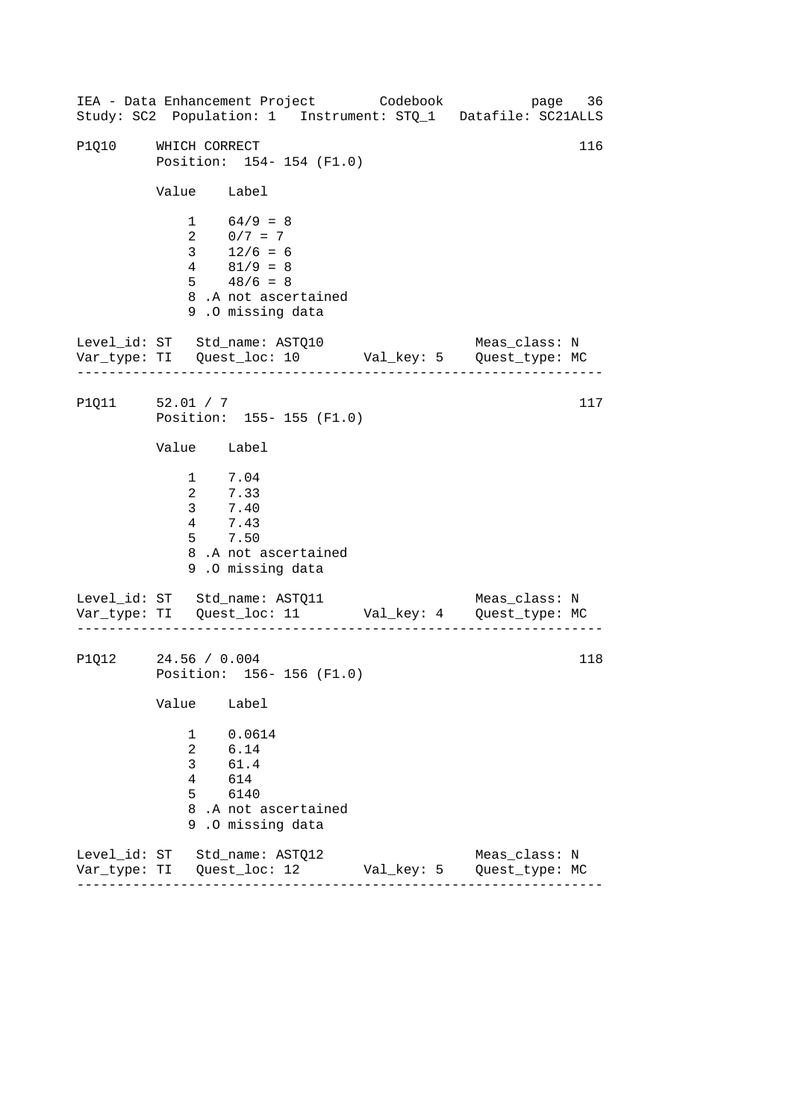------------------------------------------------------------------ ------------------------------------------------------------------ ------------------------------------------------------------------ IEA - Data Enhancement Project Codebook page 36 Study: SC2 Population: 1 Instrument: STQ\_1 Datafile: SC21ALLS P1010 WHICH CORRECT 116 Position: 154- 154 (F1.0) Value Label  $1 64/9 = 8$ 2  $0/7 = 7$  $3 \t 12/6 = 6$ 4 81/9 = 8  $5 \t 48/6 = 8$ 8 .A not ascertained 9 .O missing data Level\_id: ST Std\_name: ASTQ10 Meas\_class: N Var\_type: TI Quest\_loc: 10 Val\_key: 5 Quest\_type: MC P1Q11 52.01 / 7 Position: 155- 155 (F1.0) Value Label 1 7.04 2 7.33 3 7.40 4 7.43 5 7.50 8 .A not ascertained 9 .O missing data Level\_id: ST Std\_name: ASTQ11 Var\_type: TI Quest\_loc: 11 Val\_key: 4 Quest\_type: MC Meas\_class: N P1Q12 24.56 / 0.004 Position: 156- 156 (F1.0) Value Label 1 0.0614 2 6.14 3 61.4 4 614 5 6140 8 .A not ascertained 9 .O missing data Level\_id: ST Std\_name: ASTQ12 Meas\_class: N Var\_type: TI Quest\_loc: 12 Val\_key: 5 Quest\_type: MC 117 118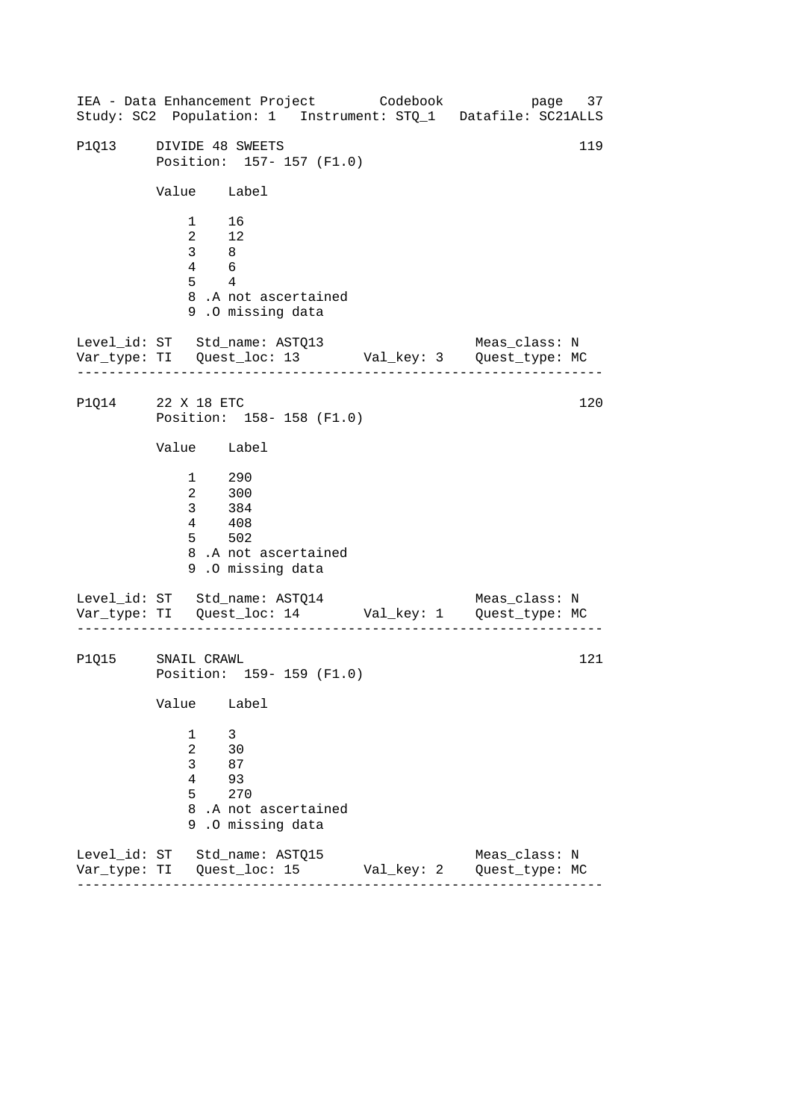------------------------------------------------------------------ ------------------------------------------------------------------ ------------------------------------------------------------------ IEA - Data Enhancement Project Codebook page 37 Study: SC2 Population: 1 Instrument: STQ\_1 Datafile: SC21ALLS P1013 DIVIDE 48 SWEETS 119 Position: 157- 157 (F1.0) Value Label 1 16 2 12 3 8 4 6 5 4 8 .A not ascertained 9 .O missing data Level\_id: ST Std\_name: ASTQ13 Meas\_class: N Var\_type: TI Quest\_loc: 13 Val\_key: 3 Quest\_type: MC P1Q14 22 X 18 ETC Position: 158- 158 (F1.0) Value Label 1 290 2 300 3 384 4 408 5 502 8 .A not ascertained 9 .O missing data Level\_id: ST Std\_name: ASTQ14 Var\_type: TI Quest\_loc: 14 Val\_key: 1 Quest\_type: MC Meas\_class: N P1Q15 SNAIL CRAWL Position: 159- 159 (F1.0) Value Label 1 3 2 30 3 87 4 93 5 270 8 .A not ascertained 9 .O missing data Level\_id: ST Std\_name: ASTQ15 Meas\_class: N Var\_type: TI Quest\_loc: 15 Val\_key: 2 Quest\_type: MC 120 121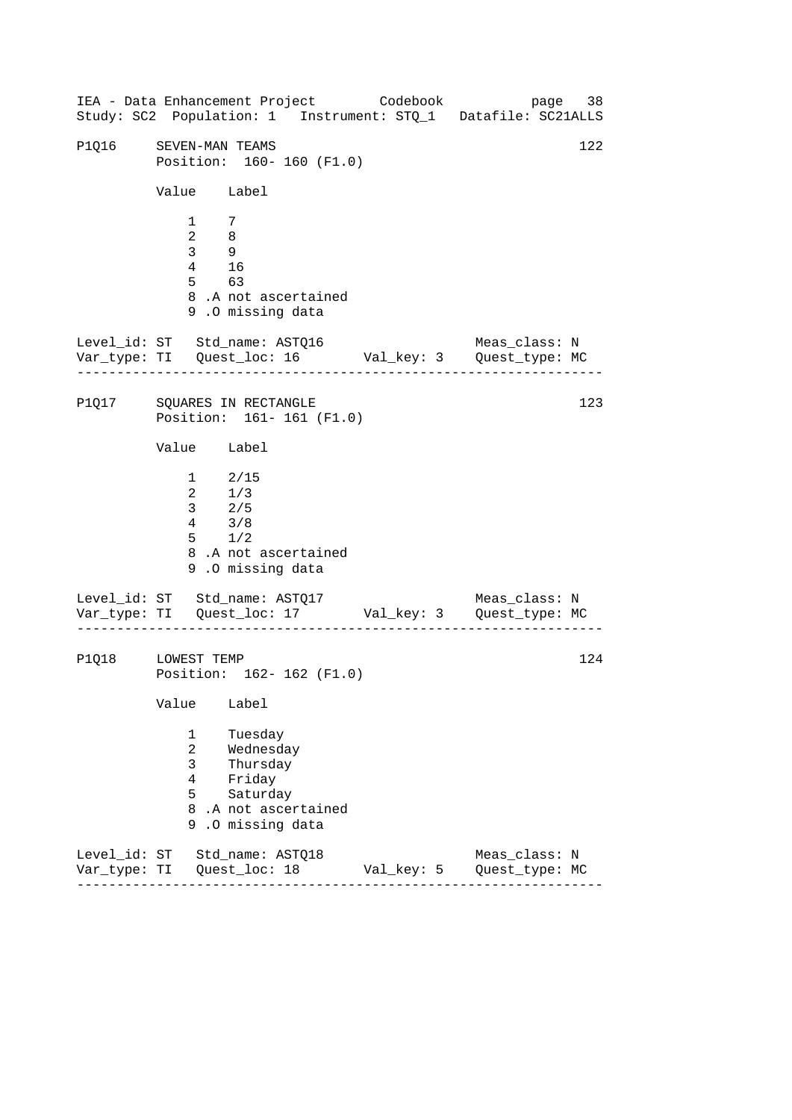------------------------------------------------------------------ ------------------------------------------------------------------ IEA - Data Enhancement Project Codebook page 38 Study: SC2 Population: 1 Instrument: STQ\_1 Datafile: SC21ALLS P1016 SEVEN-MAN TEAMS 122 Position: 160- 160 (F1.0) Value Label 1 7  $\overline{2}$  8 3 9 4 16 5 63 8 .A not ascertained 9 .O missing data Level\_id: ST Std\_name: ASTQ16 Meas\_class: N Var\_type: TI Quest\_loc: 16 Val\_key: 3 Quest\_type: MC P1Q17 SQUARES IN RECTANGLE Position: 161- 161 (F1.0) Value Label  $1$  2/15 2 1/3 3 2/5 4 3/8 5 1/2 8 .A not ascertained 9 .O missing data Level\_id: ST Std\_name: ASTQ17 Var\_type: TI Quest\_loc: 17 Val\_key: 3 Quest\_type: MC Meas\_class: N P1Q18 LOWEST TEMP Position: 162- 162 (F1.0) Value Label 1 Tuesday 2 Wednesday 3 Thursday 4 Friday 5 Saturday 8 .A not ascertained 9 .O missing data Level\_id: ST Std\_name: ASTQ18 Meas\_class: N Var\_type: TI Quest\_loc: 18 Val\_key: 5 Quest\_type: MC 123 124

------------------------------------------------------------------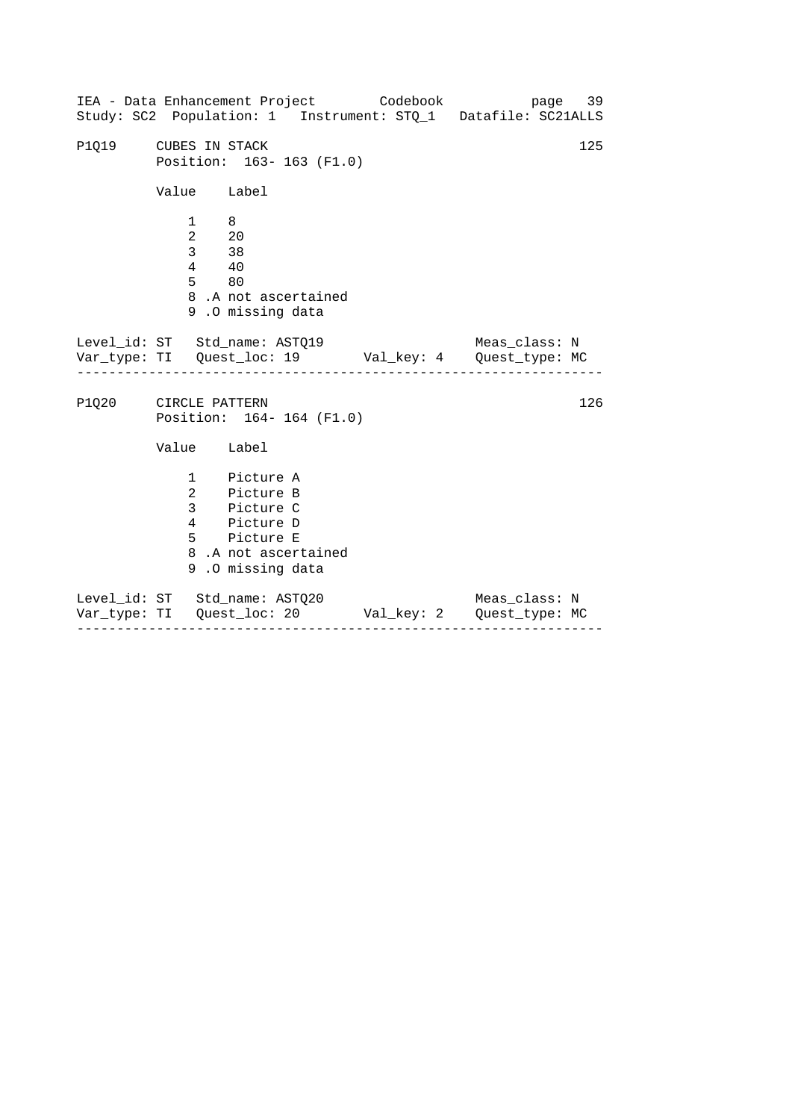| IEA - Data Enhancement Project Codebook                               |                                                                    |                                                                                                                    |  | page 39<br>Study: SC2 Population: 1 Instrument: STQ_1 Datafile: SC21ALLS                           |     |
|-----------------------------------------------------------------------|--------------------------------------------------------------------|--------------------------------------------------------------------------------------------------------------------|--|----------------------------------------------------------------------------------------------------|-----|
|                                                                       |                                                                    |                                                                                                                    |  |                                                                                                    |     |
| P1Q19 CUBES IN STACK                                                  |                                                                    | Position: 163-163 (F1.0)                                                                                           |  |                                                                                                    | 125 |
|                                                                       | Value Label                                                        |                                                                                                                    |  |                                                                                                    |     |
|                                                                       | $1 \quad 8$<br>$2 \qquad 20$<br>$333$<br>$4 \overline{40}$<br>5 80 | 8.A not ascertained<br>9.0 missing data                                                                            |  |                                                                                                    |     |
| Level_id: ST Std_name: ASTQ19<br>____________________________________ |                                                                    |                                                                                                                    |  | Meas_class: N<br>Var_type: TI    Quest_loc: 19    Val_key: 4    Quest_type: MC<br>---------------- |     |
| P1Q20 CIRCLE PATTERN                                                  |                                                                    | Position: 164-164 (F1.0)                                                                                           |  |                                                                                                    | 126 |
|                                                                       | Value Label                                                        |                                                                                                                    |  |                                                                                                    |     |
|                                                                       |                                                                    | 1 Picture A<br>2 Picture B<br>3 Picture C<br>4 Picture D<br>5 Picture E<br>8.A not ascertained<br>9.0 missing data |  |                                                                                                    |     |
| Level_id: ST Std_name: ASTQ20                                         |                                                                    |                                                                                                                    |  | Meas_class: N<br>Var_type: TI Quest_loc: 20 Val_key: 2 Quest_type: MC                              |     |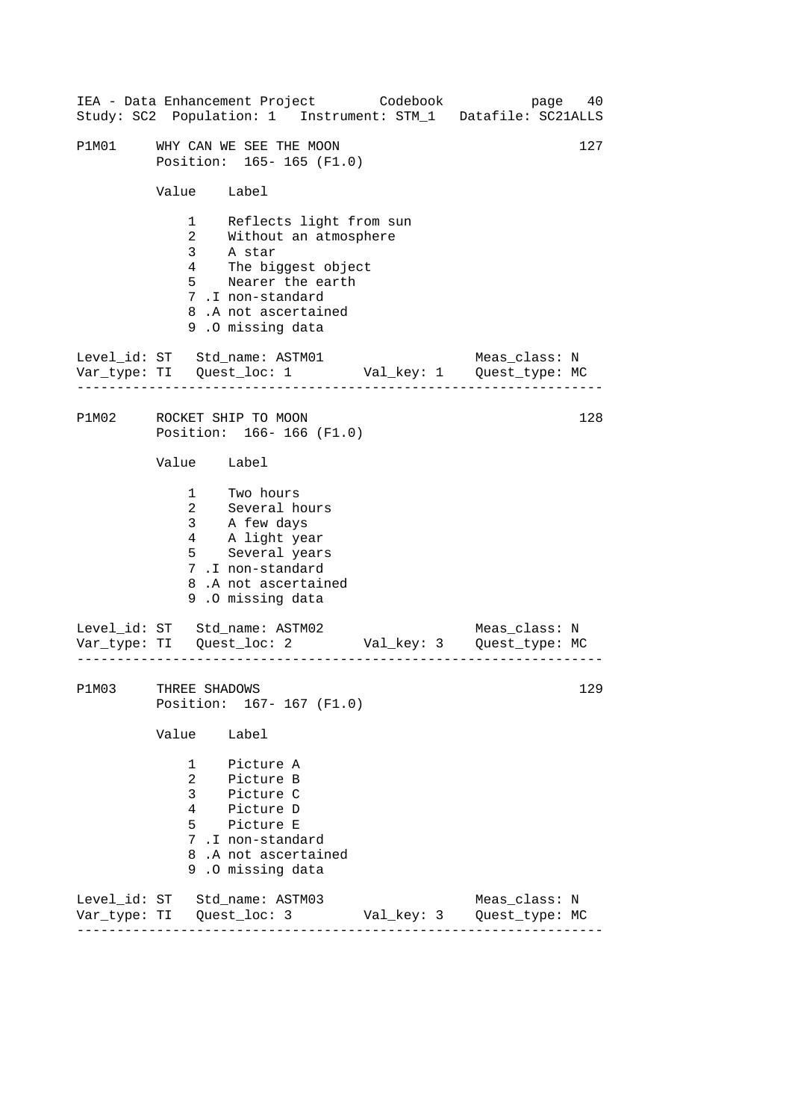|       |                                                                             | IEA - Data Enhancement Project Codebook                                                                                                                             | page 40<br>Study: SC2 Population: 1 Instrument: STM_1 Datafile: SC21ALLS |
|-------|-----------------------------------------------------------------------------|---------------------------------------------------------------------------------------------------------------------------------------------------------------------|--------------------------------------------------------------------------|
| P1M01 |                                                                             | WHY CAN WE SEE THE MOON<br>Position: 165-165 (F1.0)                                                                                                                 | 127                                                                      |
|       | Value Label                                                                 |                                                                                                                                                                     |                                                                          |
|       | 1<br>$\overline{a}$<br>3 <sup>7</sup><br>$4\overline{ }$<br>$5^{\circ}$     | Reflects light from sun<br>Without an atmosphere<br>A star<br>The biggest object<br>Nearer the earth<br>7.I non-standard<br>8.A not ascertained<br>9.0 missing data |                                                                          |
|       |                                                                             | Level_id: ST Std_name: ASTM01                                                                                                                                       | Meas_class: N                                                            |
| P1M02 |                                                                             | ROCKET SHIP TO MOON<br>Position: 166-166 (F1.0)                                                                                                                     | 128                                                                      |
|       | Value Label                                                                 |                                                                                                                                                                     |                                                                          |
|       | $2^{\circ}$<br>3 <sup>7</sup><br>4                                          | 1 Two hours<br>Several hours<br>A few days<br>A light year<br>5 Several years<br>7.I non-standard<br>8.A not ascertained<br>9.0 missing data                        |                                                                          |
|       |                                                                             | Level_id: ST Std_name: ASTM02<br>. <u>.</u> .                                                                                                                       | Meas_class: N                                                            |
| P1M03 | THREE SHADOWS                                                               | Position: 167- 167 (F1.0)                                                                                                                                           | 129                                                                      |
|       | Value                                                                       | Label                                                                                                                                                               |                                                                          |
|       | $1 \quad$<br>$\mathbf{2}$<br>$\mathbf{3}$<br>$4\overline{ }$<br>$5^{\circ}$ | Picture A<br>Picture B<br>--<br>Picture C<br>Picture D<br>Picture E<br>7.I non-standard<br>8.A not ascertained<br>9.0 missing data                                  |                                                                          |
|       |                                                                             | Level_id: ST Std_name: ASTM03                                                                                                                                       | Meas_class: N<br>Val_key: 3    Quest_type: MC                            |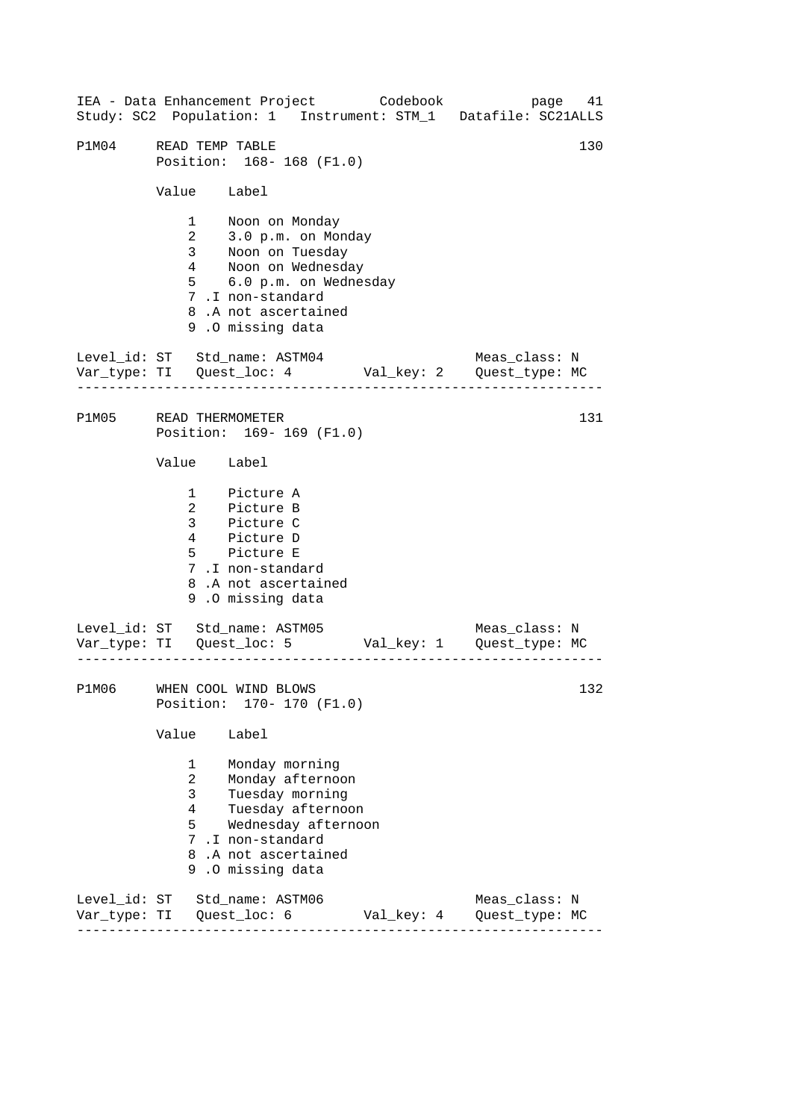|              | IEA - Data Enhancement Project Codebook page 41<br>Study: SC2 Population: 1 Instrument: STM_1 Datafile: SC21ALLS                                                                                           |            |                                 |
|--------------|------------------------------------------------------------------------------------------------------------------------------------------------------------------------------------------------------------|------------|---------------------------------|
| P1M04        | READ TEMP TABLE<br>Position: 168-168 (F1.0)                                                                                                                                                                |            | 130                             |
|              | Value Label                                                                                                                                                                                                |            |                                 |
|              | 1 Noon on Monday<br>2<br>3.0 p.m. on Monday<br>3 Noon on Tuesday<br>4 Noon on Wednesday<br>5 6.0 p.m. on Wednesday<br>7.I non-standard<br>8.A not ascertained<br>9.0 missing data                          |            |                                 |
|              | Level_id: ST Std_name: ASTM04 Meas_class: N<br>Var_type: TI Quest_loc: 4 Val_key: 2 Quest_type: MC<br>.                                                                                                    |            |                                 |
|              | P1M05 READ THERMOMETER<br>Position: 169-169 (F1.0)                                                                                                                                                         |            | 131                             |
|              | Value Label                                                                                                                                                                                                |            |                                 |
|              | 1 Picture A<br>2 Picture B<br>3 Picture C<br>4 Picture D<br>5 Picture E<br>7.I non-standard<br>8.A not ascertained<br>9.0 missing data                                                                     |            |                                 |
|              | Level_id: ST Std_name: ASTM05 Meas_class: N<br>Var_type: TI Quest_loc: 5 Val_key: 1 Quest_type: MC                                                                                                         |            |                                 |
|              | P1M06 WHEN COOL WIND BLOWS<br>Position:<br>$170 - 170$ (F1.0)                                                                                                                                              |            | 132                             |
|              | Value<br>Label                                                                                                                                                                                             |            |                                 |
|              | 1<br>Monday morning<br>$\overline{2}$<br>Monday afternoon<br>3<br>Tuesday morning<br>Tuesday afternoon<br>4<br>5<br>Wednesday afternoon<br>7.I non-standard<br>8.A not ascertained<br>.0 missing data<br>9 |            |                                 |
| Var_type: TI | Level_id: ST Std_name: ASTM06<br>Quest_loc: 6                                                                                                                                                              | Val_key: 4 | Meas_class: N<br>Quest_type: MC |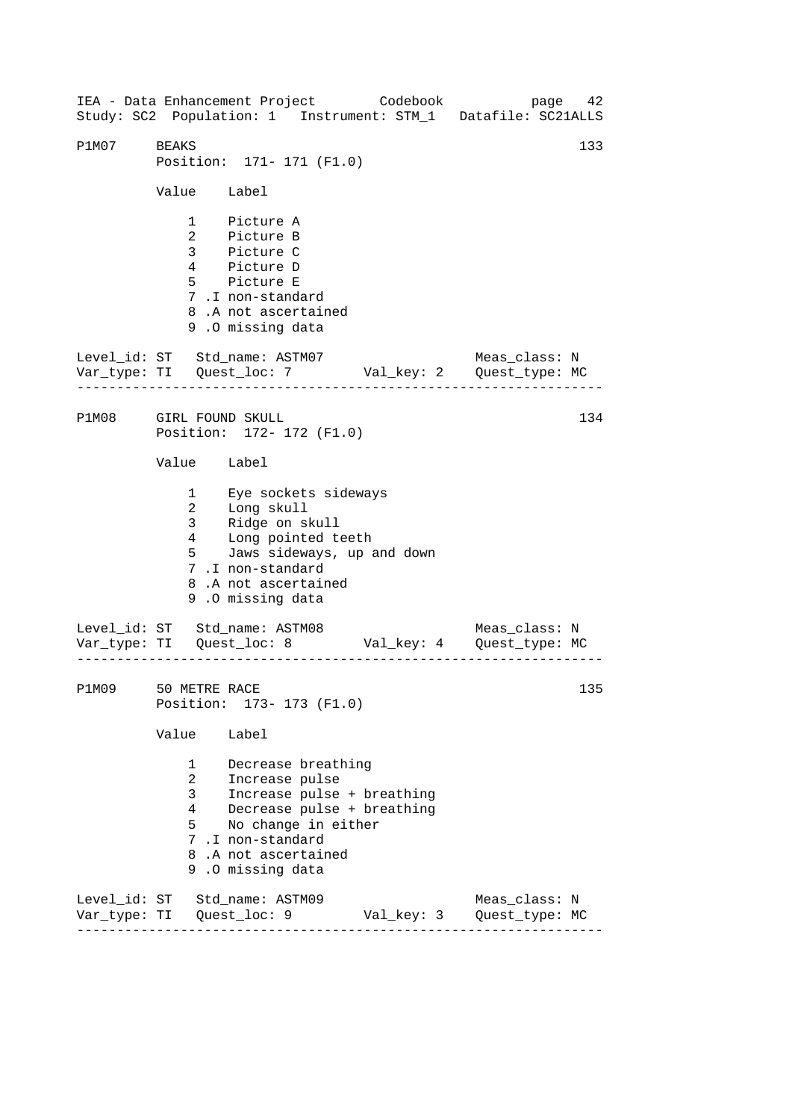------------------------------------------------------------------ ------------------------------------------------------------------ ------------------------------------------------------------------ IEA - Data Enhancement Project Codebook page 42 Study: SC2 Population: 1 Instrument: STM\_1 Datafile: SC21ALLS P1M07 BEAKS 133 Position: 171- 171 (F1.0) Value Label 1 Picture A 2 Picture B 3 Picture C 4 Picture D 5 Picture E 7 .I non-standard 8 .A not ascertained 9 .O missing data Level\_id: ST Std\_name: ASTM07 Meas\_class: N Var\_type: TI Quest\_loc: 7 Val\_key: 2 Quest\_type: MC P1M08 GIRL FOUND SKULL Position: 172- 172 (F1.0) Value Label 1 Eye sockets sideways 2 Long skull 3 Ridge on skull 4 Long pointed teeth 5 Jaws sideways, up and down 7 .I non-standard 8 .A not ascertained 9 .O missing data Level\_id: ST Std\_name: ASTM08 Meas\_class: N Var\_type: TI Quest\_loc: 8 Val\_key: 4 Quest\_type: MC P1M09 50 METRE RACE Position: 173- 173 (F1.0) Value Label 1 Decrease breathing 2 Increase pulse 3 Increase pulse + breathing 4 Decrease pulse + breathing 5 No change in either 7 .I non-standard 8 .A not ascertained 9 .O missing data Level\_id: ST Std\_name: ASTM09 Meas\_class: N Var\_type: TI Quest\_loc: 9 Val\_key: 3 Quest\_type: MC 134 135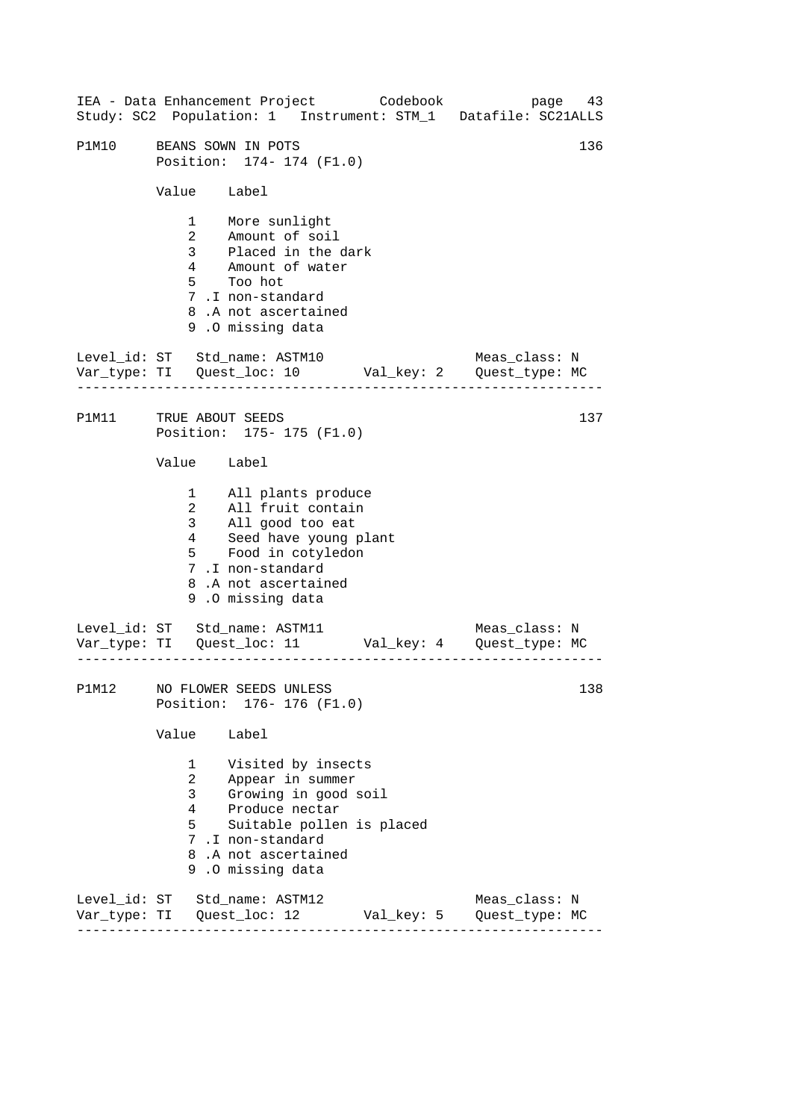|                        |                             | IEA - Data Enhancement Project Codebook                                                                                                                                            |  | page<br>Study: SC2 Population: 1 Instrument: STM_1 Datafile: SC21ALLS | 43  |
|------------------------|-----------------------------|------------------------------------------------------------------------------------------------------------------------------------------------------------------------------------|--|-----------------------------------------------------------------------|-----|
| P1M10                  |                             | BEANS SOWN IN POTS<br>Position: 174- 174 (F1.0)                                                                                                                                    |  |                                                                       | 136 |
|                        | Value Label                 |                                                                                                                                                                                    |  |                                                                       |     |
|                        |                             | 1 More sunlight<br>2 Amount of soil<br>3 Placed in the dark<br>4 Amount of water<br>5 Too hot<br>7.I non-standard<br>8.A not ascertained<br>9.0 missing data                       |  |                                                                       |     |
|                        | .                           | Level_id: ST Std_name: ASTM10                                                                                                                                                      |  | Meas_class: N                                                         |     |
| P1M11 TRUE ABOUT SEEDS |                             | Position: 175- 175 (F1.0)                                                                                                                                                          |  |                                                                       | 137 |
|                        | Value Label                 |                                                                                                                                                                                    |  |                                                                       |     |
|                        |                             | 1 All plants produce<br>2 All fruit contain<br>3 All good too eat<br>4 Seed have young plant<br>5 Food in cotyledon<br>7.I non-standard<br>8.A not ascertained<br>9.0 missing data |  |                                                                       |     |
|                        |                             | Level_id: ST Std_name: ASTM11                                                                                                                                                      |  | Meas_class: N                                                         |     |
|                        |                             | P1M12 NO FLOWER SEEDS UNLESS<br>Position: 176- 176 (F1.0)                                                                                                                          |  |                                                                       | 138 |
|                        | Value                       | Label                                                                                                                                                                              |  |                                                                       |     |
|                        | 1<br>$\mathbf{3}$<br>4<br>5 | Visited by insects<br>2 Appear in summer<br>Growing in good soil<br>Produce nectar<br>Suitable pollen is placed<br>7.I non-standard<br>8.A not ascertained<br>9.0 missing data     |  |                                                                       |     |
|                        |                             | Level_id: ST Std_name: ASTM12                                                                                                                                                      |  | Meas_class: N                                                         |     |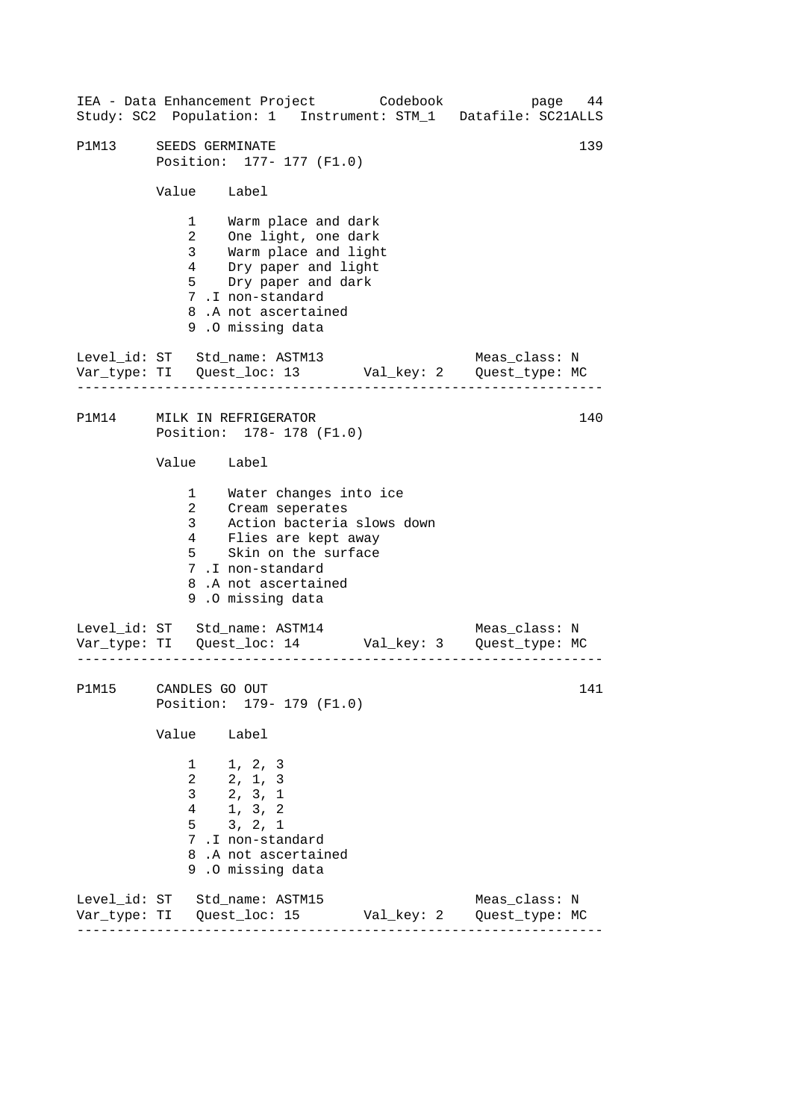------------------------------------------------------------------ ------------------------------------------------------------------ ------------------------------------------------------------------ 139 IEA - Data Enhancement Project Codebook page 44 Study: SC2 Population: 1 Instrument: STM\_1 Datafile: SC21ALLS P1M13 SEEDS GERMINATE Position: 177- 177 (F1.0) Value Label 1 Warm place and dark 2 One light, one dark 3 Warm place and light 4 Dry paper and light 5 Dry paper and dark 7 .I non-standard 8 .A not ascertained 9 .O missing data Level id: ST Std name: ASTM13 Meas class: N Var\_type: TI Quest\_loc: 13 Val\_key: 2 Quest\_type: MC P1M14 MILK IN REFRIGERATOR Position: 178- 178 (F1.0) Value Label 1 2 3 Water changes into ice Cream seperates Action bacteria slows down 4 5 Flies are kept away<br>Flies are kept away Skin on the surface 7 .I non-standard 8 .A not ascertained 9 .O missing data Level\_id: ST Std\_name: ASTM14 Meas\_class: N Var\_type: TI Quest\_loc: 14 Val\_key: 3 Quest\_type: MC P1M15 CANDLES GO OUT Position: 179- 179 (F1.0) Value Label 1 1, 2, 3 2 2, 1, 3 3 2, 3, 1 4 1, 3, 2 5 3, 2, 1 7 .I non-standard 8 .A not ascertained 9 .O missing data Level\_id: ST Std\_name: ASTM15 Meas\_class: N Var\_type: TI Quest\_loc: 15 Val\_key: 2 Quest\_type: MC 140 141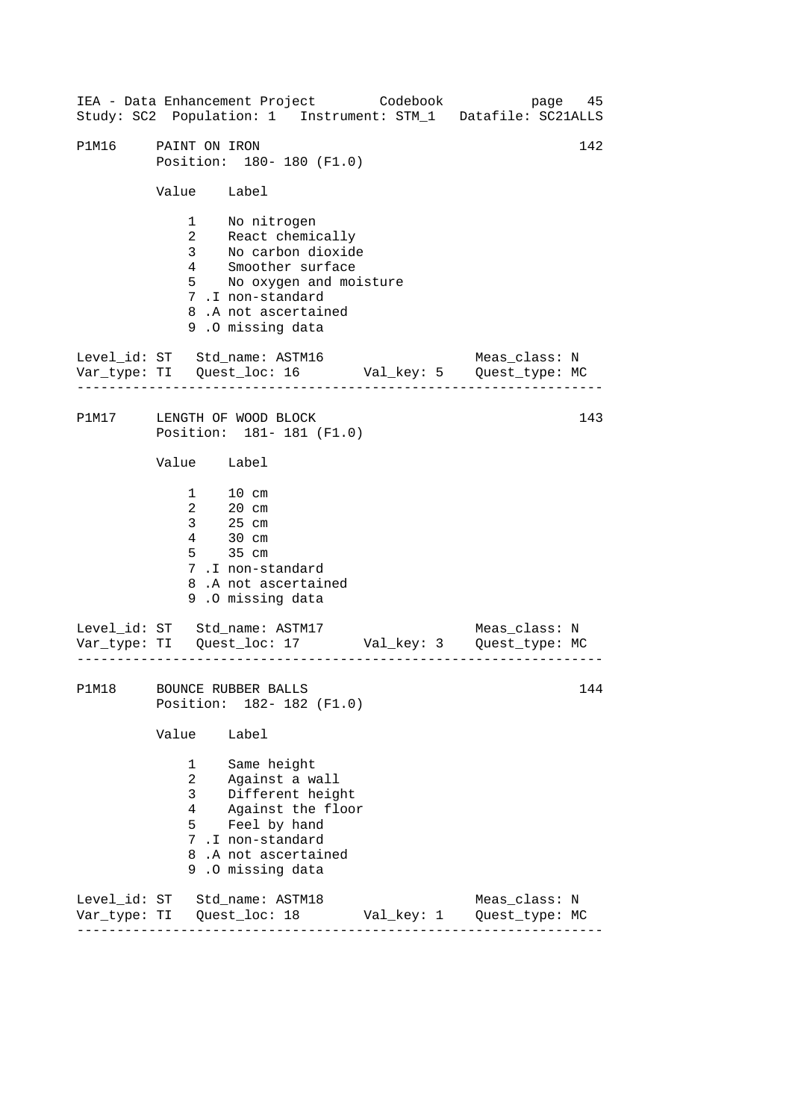------------------------------------------------------------------ ------------------------------------------------------------------ ------------------------------------------------------------------ IEA - Data Enhancement Project Codebook page 45 Study: SC2 Population: 1 Instrument: STM\_1 Datafile: SC21ALLS P1M16 PAINT ON IRON 142 Position: 180- 180 (F1.0) Value Label 1 No nitrogen 2 React chemically 3 No carbon dioxide 4 Smoother surface 5 No oxygen and moisture 7 .I non-standard 8 .A not ascertained 9 .O missing data Level id: ST Std name: ASTM16 Meas class: N Var\_type: TI Quest\_loc: 16 Val\_key: 5 Quest\_type: MC P1M17 LENGTH OF WOOD BLOCK Position: 181- 181 (F1.0) Value Label 1 10 cm 2 20 cm 3 25 cm  $\frac{25}{4}$  30 cm 5 35 cm 7 .I non-standard 8 .A not ascertained 9 .O missing data Level\_id: ST Std\_name: ASTM17 Var\_type: TI Quest\_loc: 17 Val\_key: 3 Quest\_type: MC Meas\_class: N P1M18 BOUNCE RUBBER BALLS Position: 182- 182 (F1.0) Value Label 1 Same height 2 Against a wall 3 Different height 4 Against the floor 5 Feel by hand 7 .I non-standard 8 .A not ascertained 9 .O missing data Level\_id: ST Std\_name: ASTM18 Meas\_class: N Var\_type: TI Quest\_loc: 18 Val\_key: 1 Quest\_type: MC 143 144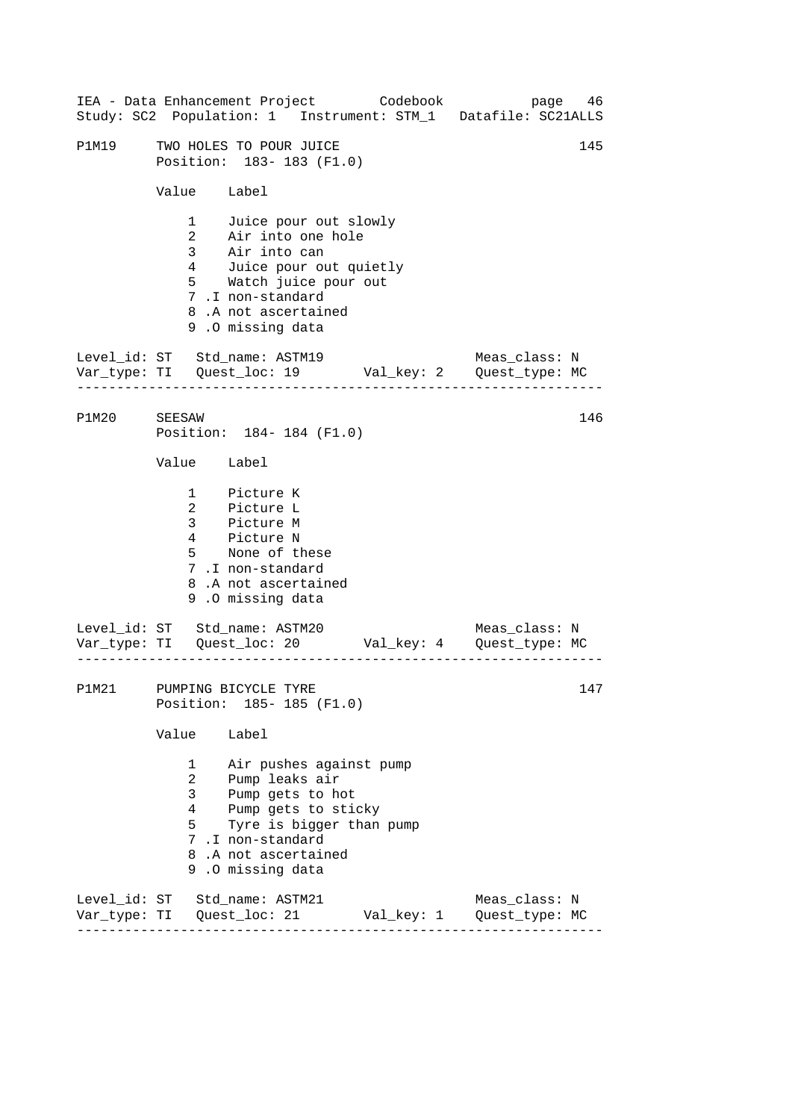|              |                                                                                                                                                                                                                                |                                                                                                                                                                                     |            | IEA - Data Enhancement Project Codebook bage 46<br>Study: SC2 Population: 1 Instrument: STM_1 Datafile: SC21ALLS |
|--------------|--------------------------------------------------------------------------------------------------------------------------------------------------------------------------------------------------------------------------------|-------------------------------------------------------------------------------------------------------------------------------------------------------------------------------------|------------|------------------------------------------------------------------------------------------------------------------|
| P1M19        |                                                                                                                                                                                                                                | TWO HOLES TO POUR JUICE<br>Position: 183-183 (F1.0)                                                                                                                                 |            | 145                                                                                                              |
|              | Value Label                                                                                                                                                                                                                    |                                                                                                                                                                                     |            |                                                                                                                  |
|              | $\overline{2}$                                                                                                                                                                                                                 | 1 Juice pour out slowly<br>Air into one hole<br>3 Air into can<br>4 Juice pour out quietly<br>5 Watch juice pour out<br>7.I non-standard<br>8.A not ascertained<br>9.0 missing data |            |                                                                                                                  |
|              |                                                                                                                                                                                                                                |                                                                                                                                                                                     |            | Level_id: ST Std_name: ASTM19 Meas_class: N<br>Var_type: TI Quest_loc: 19 Val_key: 2 Quest_type: MC              |
| P1M20 SEESAW |                                                                                                                                                                                                                                | Position: 184-184 (F1.0)                                                                                                                                                            |            | 146                                                                                                              |
|              | Value Label                                                                                                                                                                                                                    |                                                                                                                                                                                     |            |                                                                                                                  |
|              |                                                                                                                                                                                                                                | 1 Picture K<br>2 Picture L<br>3 Picture M<br>4 Picture N<br>5 None of these<br>7.I non-standard<br>8.A not ascertained<br>9.0 missing data                                          |            |                                                                                                                  |
|              |                                                                                                                                                                                                                                |                                                                                                                                                                                     |            | Level_id: ST Std_name: ASTM20 Meas_class: N<br>Var_type: TI Quest_loc: 20 Val_key: 4 Quest_type: MC              |
|              |                                                                                                                                                                                                                                | P1M21 PUMPING BICYCLE TYRE<br>Position: 185- 185 (F1.0)                                                                                                                             |            | 147                                                                                                              |
|              | Value                                                                                                                                                                                                                          | Label                                                                                                                                                                               |            |                                                                                                                  |
|              | 1<br>Air pushes against pump<br>$\mathbf{2}$<br>Pump leaks air<br>$\mathbf{3}$<br>Pump gets to hot<br>Pump gets to sticky<br>4<br>5<br>Tyre is bigger than pump<br>7.I non-standard<br>8.A not ascertained<br>9.0 missing data |                                                                                                                                                                                     |            |                                                                                                                  |
|              |                                                                                                                                                                                                                                | Level_id: ST Std_name: ASTM21<br>Var_type: TI   Quest_loc: 21                                                                                                                       | Val_key: 1 | Meas_class: N<br>Quest_type: MC                                                                                  |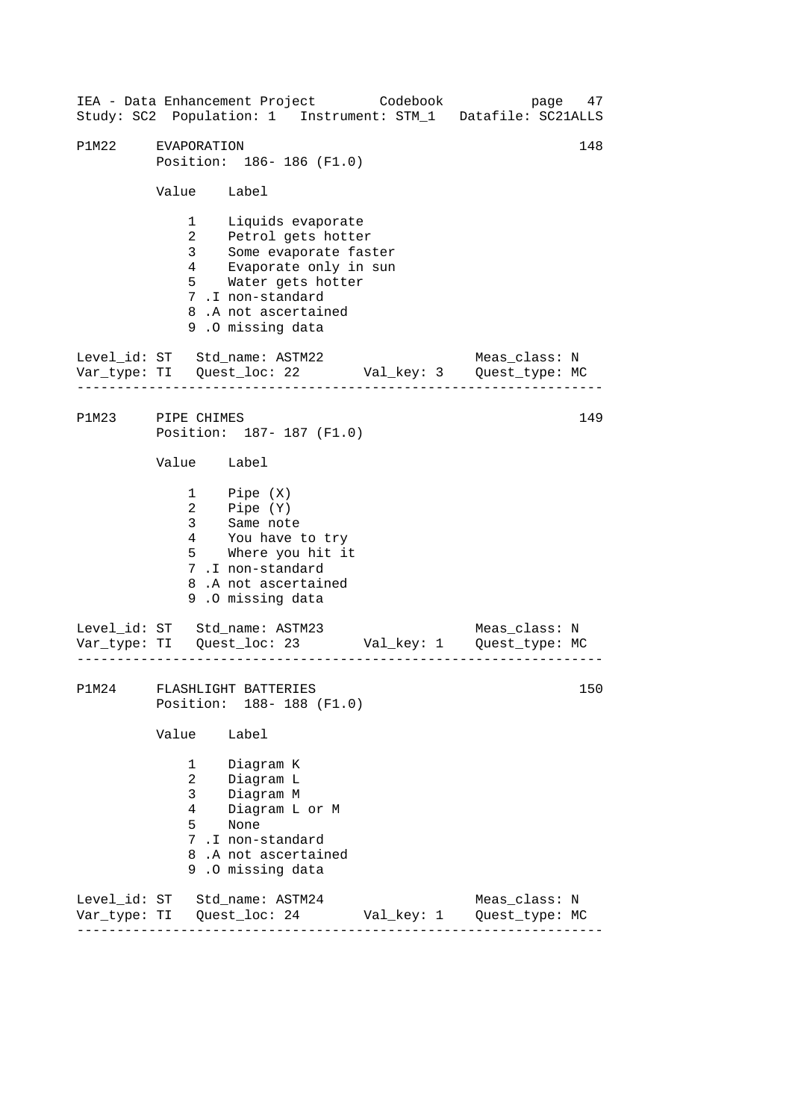------------------------------------------------------------------ ------------------------------------------------------------------ ------------------------------------------------------------------ 148 IEA - Data Enhancement Project Codebook page 47 Study: SC2 Population: 1 Instrument: STM\_1 Datafile: SC21ALLS P1M22 EVAPORATION Position: 186- 186 (F1.0) Value Label 1 Liquids evaporate 2 Petrol gets hotter 3 Some evaporate faster 4 Evaporate only in sun 5 Water gets hotter 7 .I non-standard 8 .A not ascertained 9 .O missing data Level\_id: ST Std\_name: ASTM22 Meas\_class: N Var\_type: TI Quest\_loc: 22 Val\_key: 3 Quest\_type: MC P1M23 PIPE CHIMES Position: 187- 187 (F1.0) Value Label 1 2 3 Pipe (X) Pipe (Y) Same note 4 You have to try 5 Where you hit it 7 .I non-standard 8 .A not ascertained 9 .O missing data Level\_id: ST Std\_name: ASTM23 Meas\_class: N Var\_type: TI Quest\_loc: 23 Val\_key: 1 Quest\_type: MC P1M24 FLASHLIGHT BATTERIES Position: 188- 188 (F1.0) Value Label 1 Diagram K 2 Diagram L 3 Diagram M 4 Diagram L or M 5 None 7 .I non-standard 8 .A not ascertained 9 .O missing data Level\_id: ST Std\_name: ASTM24 Meas\_class: N Var\_type: TI Quest\_loc: 24 Val\_key: 1 Quest\_type: MC 149 150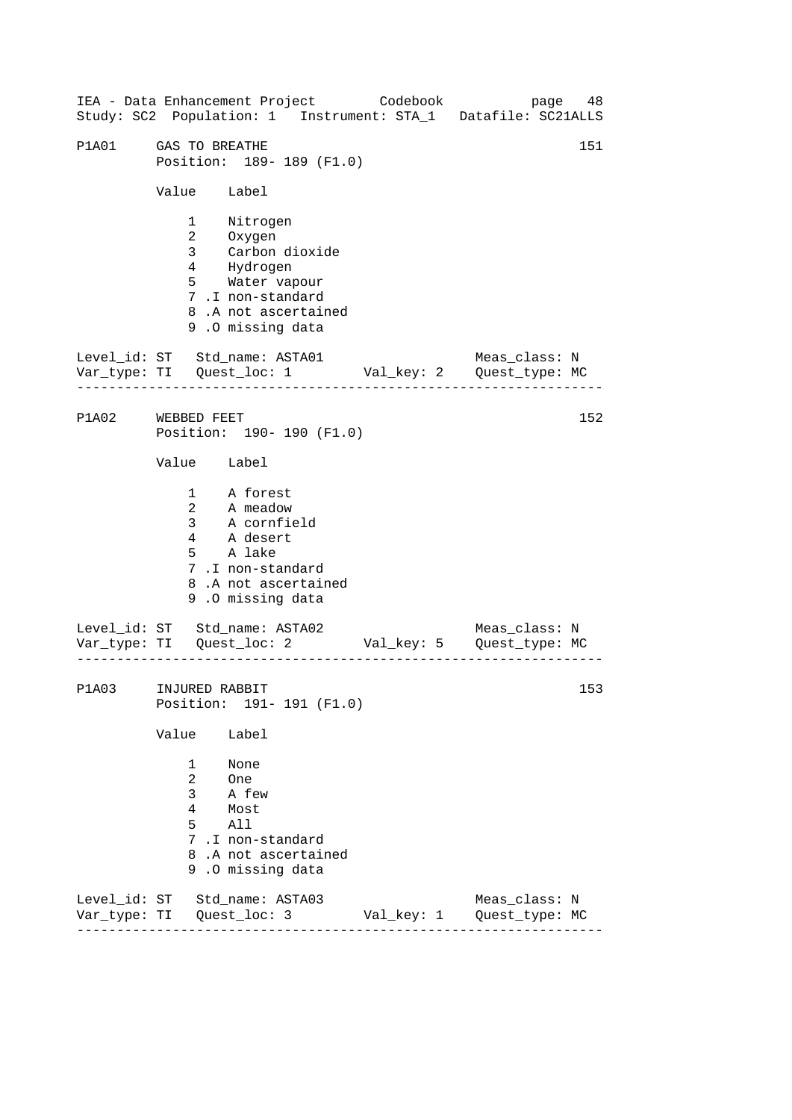------------------------------------------------------------------ ------------------------------------------------------------------ ------------------------------------------------------------------ IEA - Data Enhancement Project Codebook page 48 Study: SC2 Population: 1 Instrument: STA\_1 Datafile: SC21ALLS P1A01 GAS TO BREATHE 151 Position: 189- 189 (F1.0) Value Label 1 Nitrogen 2 Oxygen 3 Carbon dioxide 4 Hydrogen 5 Water vapour 7 .I non-standard 8 .A not ascertained 9 .O missing data Level\_id: ST Std\_name: ASTA01 Meas\_class: N Var\_type: TI Quest\_loc: 1 Val\_key: 2 Quest\_type: MC P1A02 WEBBED FEET Position: 190- 190 (F1.0) Value Label 1 A forest 2 A meadow 3 A cornfield 4 A desert 5 A lake 7 .I non-standard 8 .A not ascertained 9 .O missing data Level\_id: ST Std\_name: ASTA02 Var\_type: TI Quest\_loc: 2 Val\_key: 5 Quest\_type: MC Meas\_class: N P1A03 INJURED RABBIT Position: 191- 191 (F1.0) Value Label 1 None 2 One 3 A few 4 Most 5 All 7 .I non-standard 8 .A not ascertained 9 .O missing data Level\_id: ST Std\_name: ASTA03 Meas\_class: N Var\_type: TI Quest\_loc: 3 Val\_key: 1 Quest\_type: MC 152 153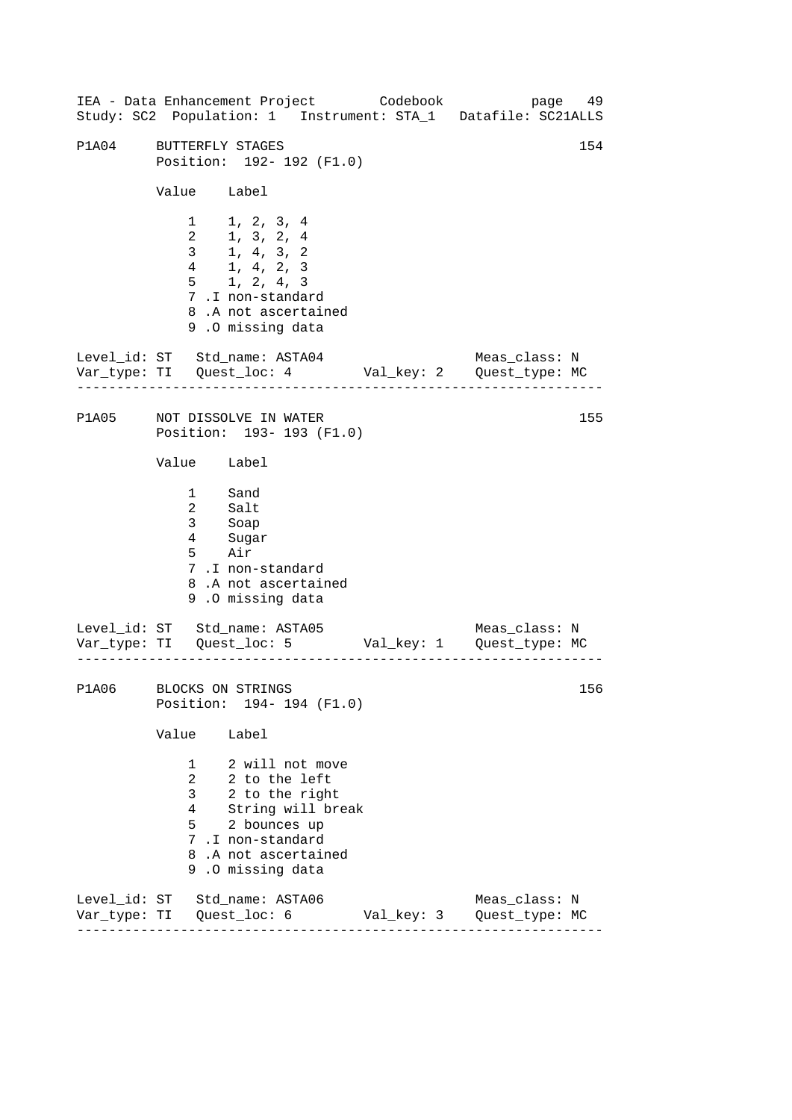------------------------------------------------------------------ ------------------------------------------------------------------ ------------------------------------------------------------------ 154 IEA - Data Enhancement Project Codebook page 49 Study: SC2 Population: 1 Instrument: STA\_1 Datafile: SC21ALLS P1A04 BUTTERFLY STAGES Position: 192- 192 (F1.0) Value Label 1 1, 2, 3, 4 2 1, 3, 2, 4 3 1, 4, 3, 2 4 1, 4, 2, 3 5 1, 2, 4, 3 7 .I non-standard 8 .A not ascertained 9 .O missing data Level id: ST Std name: ASTA04 Meas class: N Var\_type: TI Quest\_loc: 4 Val\_key: 2 Quest\_type: MC P1A05 NOT DISSOLVE IN WATER Position: 193- 193 (F1.0) Value Label 1 Sand 2 Salt 3 4 5 Soap Sugar Air 7 .I non-standard 8 .A not ascertained 9 .O missing data Level\_id: ST Std\_name: ASTA05 Meas\_class: N Var\_type: TI Quest\_loc: 5 Val\_key: 1 Quest\_type: MC P1A06 BLOCKS ON STRINGS Position: 194- 194 (F1.0) Value Label 1 2 will not move 2 2 to the left 3 2 to the right 4 String will break 5 2 bounces up 7 .I non-standard 8 .A not ascertained 9 .O missing data Level\_id: ST Std\_name: ASTA06 Meas\_class: N Var\_type: TI Quest\_loc: 6 Val\_key: 3 Quest\_type: MC 155 156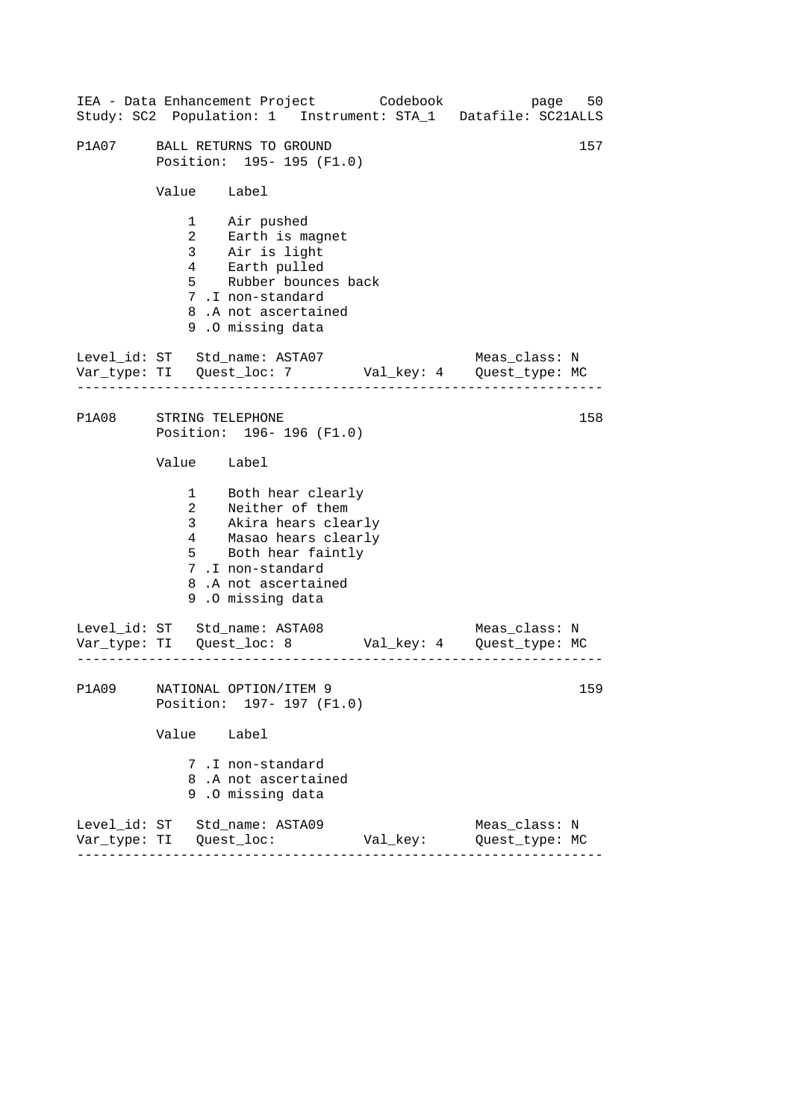|                        |             | IEA - Data Enhancement Project Codebook bage 50<br>Study: SC2 Population: 1 Instrument: STA_1 Datafile: SC21ALLS                                                                 |          |                                 |     |
|------------------------|-------------|----------------------------------------------------------------------------------------------------------------------------------------------------------------------------------|----------|---------------------------------|-----|
| P1A07                  |             | BALL RETURNS TO GROUND<br>Position: 195- 195 (F1.0)                                                                                                                              |          |                                 | 157 |
|                        | Value Label |                                                                                                                                                                                  |          |                                 |     |
|                        |             | 1 Air pushed<br>2 Earth is magnet<br>3 Air is light<br>4 Earth pulled<br>5 Rubber bounces back<br>7.I non-standard<br>8.A not ascertained<br>9.0 missing data                    |          |                                 |     |
|                        |             | Level_id: ST Std_name: ASTA07<br>Var_type: TI Quest_loc: 7 Val_key: 4 Quest_type: MC                                                                                             |          | Meas_class: N                   |     |
| P1A08 STRING TELEPHONE |             | Position: 196-196 (F1.0)                                                                                                                                                         |          |                                 | 158 |
|                        | Value Label |                                                                                                                                                                                  |          |                                 |     |
|                        |             | 1 Both hear clearly<br>2 Neither of them<br>3 Akira hears clearly<br>4 Masao hears clearly<br>5 Both hear faintly<br>7.I non-standard<br>8.A not ascertained<br>9.0 missing data |          |                                 |     |
|                        |             | Level_id: ST Std_name: ASTA08<br>Var_type: TI Quest_loc: 8 Val_key: 4 Quest_type: MC                                                                                             |          | Meas_class: N                   |     |
| <b>P1A09</b>           |             | NATIONAL OPTION/ITEM 9<br>Position: 197- 197 (F1.0)                                                                                                                              |          |                                 | 159 |
|                        | Value       | Label                                                                                                                                                                            |          |                                 |     |
|                        |             | 7.I non-standard<br>8.A not ascertained<br>9.0 missing data                                                                                                                      |          |                                 |     |
|                        |             | Level_id: ST Std_name: ASTA09                                                                                                                                                    | Val_key: | Meas_class: N<br>Quest_type: MC |     |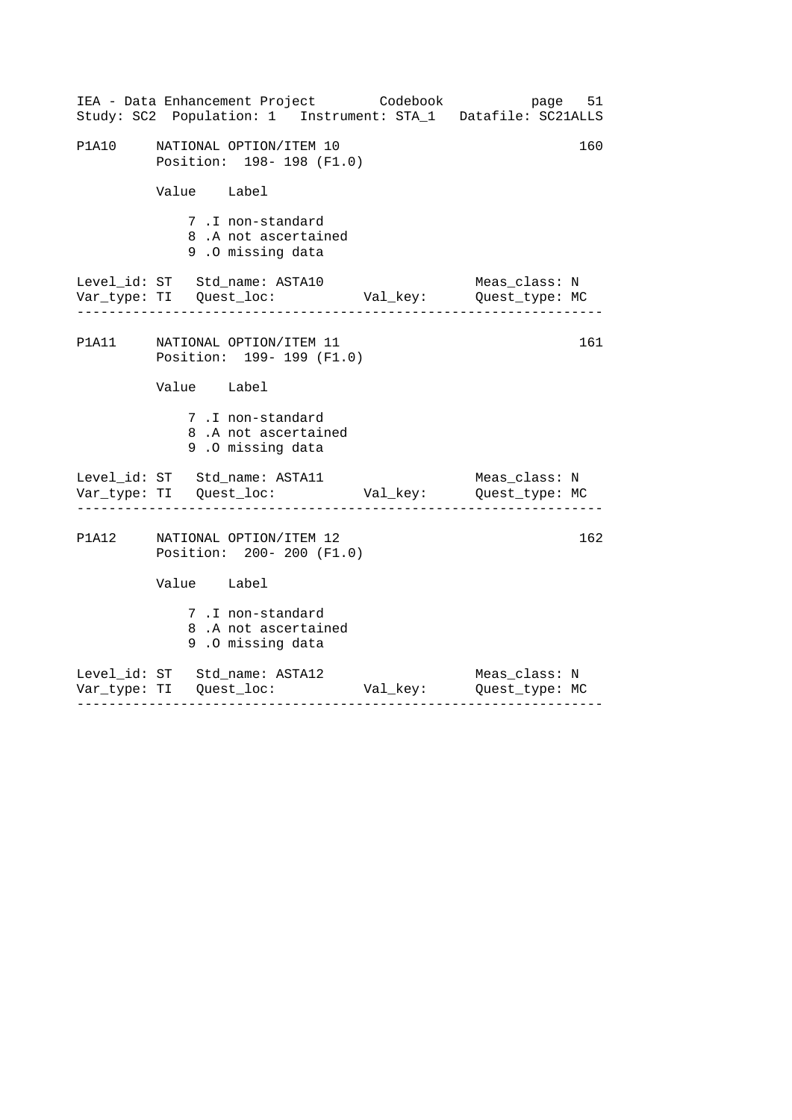|              | IEA - Data Enhancement Project Codebook bage 51<br>Study: SC2 Population: 1 Instrument: STA_1 Datafile: SC21ALLS |  |               |  |  |
|--------------|------------------------------------------------------------------------------------------------------------------|--|---------------|--|--|
| <b>P1A10</b> | 160<br>NATIONAL OPTION/ITEM 10<br>Position: 198-198 (F1.0)                                                       |  |               |  |  |
|              | Value Label                                                                                                      |  |               |  |  |
|              | 7.I non-standard<br>8.A not ascertained<br>9.0 missing data                                                      |  |               |  |  |
|              | Level_id: ST Std_name: ASTA10<br>Var_type: TI Quest_loc: Val_key: Quest_type: MC                                 |  | Meas_class: N |  |  |
|              | P1A11 NATIONAL OPTION/ITEM 11<br>Position: 199- 199 (F1.0)                                                       |  | 161           |  |  |
|              | Value Label                                                                                                      |  |               |  |  |
|              | 7.I non-standard<br>8.A not ascertained<br>9.0 missing data                                                      |  |               |  |  |
|              | Level_id: ST Std_name: ASTA11                                                                                    |  | Meas_class: N |  |  |
|              | P1A12 NATIONAL OPTION/ITEM 12<br>Position: 200- 200 (F1.0)                                                       |  | 162           |  |  |
|              | Value Label                                                                                                      |  |               |  |  |
|              | 7.I non-standard<br>8.A not ascertained<br>9.0 missing data                                                      |  |               |  |  |
|              | Level_id: ST Std_name: ASTA12                                                                                    |  | Meas_class: N |  |  |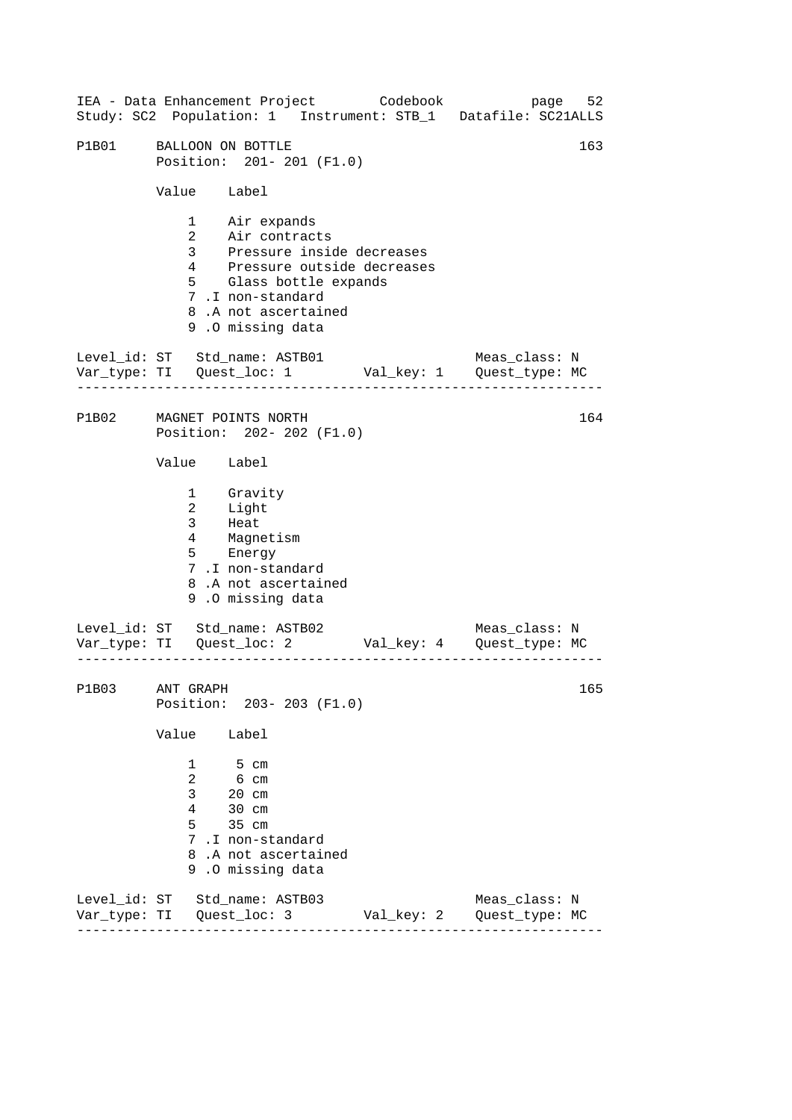------------------------------------------------------------------ ------------------------------------------------------------------ ------------------------------------------------------------------ IEA - Data Enhancement Project Codebook page 52 Study: SC2 Population: 1 Instrument: STB\_1 Datafile: SC21ALLS P1B01 BALLOON ON BOTTLE 163 Position: 201- 201 (F1.0) Value Label 1 Air expands 2 Air contracts 3 Pressure inside decreases 4 Pressure outside decreases 5 Glass bottle expands 7 .I non-standard 8 .A not ascertained 9 .O missing data Level id: ST Std name: ASTB01 Meas class: N Var\_type: TI Quest\_loc: 1 Val\_key: 1 Quest\_type: MC P1B02 MAGNET POINTS NORTH Position: 202- 202 (F1.0) Value Label 1 2 3 Gravity Light Heat 4 Magnetism 5 Energy 7 .I non-standard 8 .A not ascertained 9 .O missing data Level\_id: ST Std\_name: ASTB02 Meas\_class: N Var\_type: TI Quest\_loc: 2 Val\_key: 4 Quest\_type: MC P1B03 ANT GRAPH Position: 203- 203 (F1.0) Value Label 1 5 cm 2 6 cm 3 20 cm 4 30 cm 5 35 cm 7 .I non-standard 8 .A not ascertained 9 .O missing data Level\_id: ST Std\_name: ASTB03 Meas\_class: N Var\_type: TI Quest\_loc: 3 Val\_key: 2 Quest\_type: MC 164 165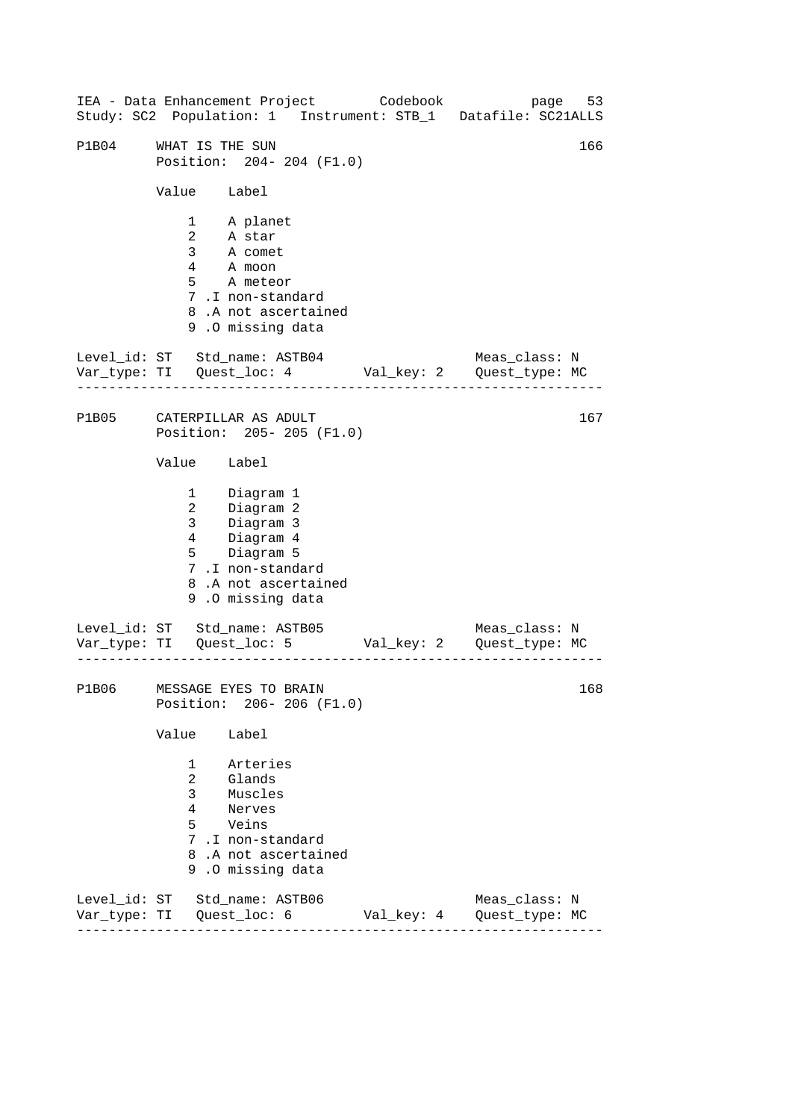------------------------------------------------------------------ ------------------------------------------------------------------ ------------------------------------------------------------------ IEA - Data Enhancement Project Codebook page 53 Study: SC2 Population: 1 Instrument: STB\_1 Datafile: SC21ALLS P1B04 WHAT IS THE SUN 2008 CONTROL 166 Position: 204- 204 (F1.0) Value Label 1 A planet 2 A star 3 A comet 4 A moon 5 A meteor 7 .I non-standard 8 .A not ascertained 9 .O missing data Level\_id: ST Std\_name: ASTB04 Meas\_class: N Var\_type: TI Quest\_loc: 4 Val\_key: 2 Quest\_type: MC P1B05 CATERPILLAR AS ADULT Position: 205- 205 (F1.0) Value Label 1 Diagram 1 2 Diagram 2 3 Diagram 3  $\frac{1}{4}$  Diagram 4 5 Diagram 5 7 .I non-standard 8 .A not ascertained 9 .O missing data Level\_id: ST Std\_name: ASTB05 Meas\_class: N Var\_type: TI Quest\_loc: 5 Val\_key: 2 Quest\_type: MC P1B06 MESSAGE EYES TO BRAIN Position: 206- 206 (F1.0) Value Label 1 Arteries 2 Glands 3 Muscles 4 Nerves 5 Veins 7 .I non-standard 8 .A not ascertained 9 .O missing data Level\_id: ST Std\_name: ASTB06 Meas\_class: N Var\_type: TI Quest\_loc: 6 Val\_key: 4 Quest\_type: MC 167 168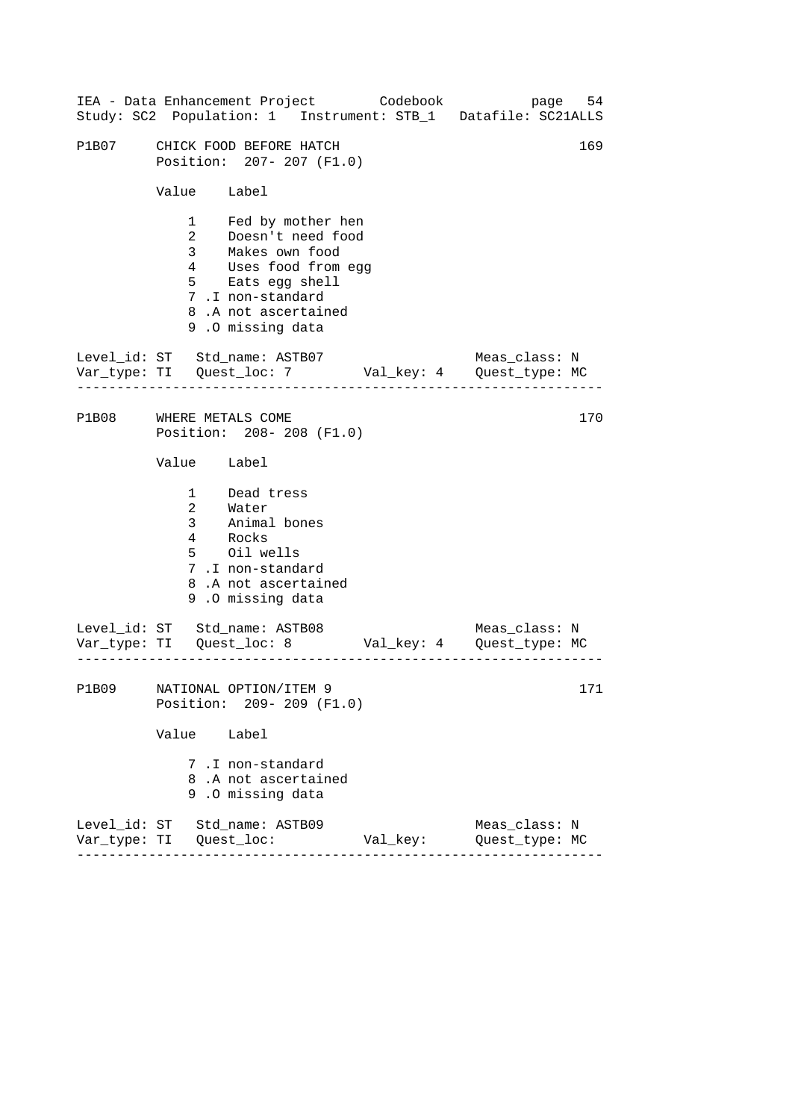|              |                   | IEA - Data Enhancement Project Codebook<br>Study: SC2 Population: 1 Instrument: STB_1 Datafile: SC21ALLS                                                                  |          | page                            | 54  |
|--------------|-------------------|---------------------------------------------------------------------------------------------------------------------------------------------------------------------------|----------|---------------------------------|-----|
| P1B07        |                   | CHICK FOOD BEFORE HATCH<br>Position: 207- 207 (F1.0)                                                                                                                      |          |                                 | 169 |
|              | Value Label       |                                                                                                                                                                           |          |                                 |     |
|              |                   | 1 Fed by mother hen<br>2 Doesn't need food<br>3 Makes own food<br>4 Uses food from egg<br>5 Eats egg shell<br>7.I non-standard<br>8.A not ascertained<br>9.0 missing data |          |                                 |     |
|              |                   | Level_id: ST Std_name: ASTB07 Meas_class: N<br>Var_type: TI Quest_loc: 7 Val_key: 4 Quest_type: MC                                                                        |          |                                 |     |
| P1B08        | WHERE METALS COME | Position: 208-208 (F1.0)                                                                                                                                                  |          |                                 | 170 |
|              | Value Label       |                                                                                                                                                                           |          |                                 |     |
|              |                   | 1 Dead tress<br>2 Water<br>3 Animal bones<br>4 Rocks<br>5 Oil wells<br>7.I non-standard<br>8.A not ascertained<br>9.0 missing data                                        |          |                                 |     |
|              |                   | Level_id: ST Std_name: ASTB08 Meas_class: N<br>Var_type: TI Quest_loc: 8 Val_key: 4 Quest_type: MC                                                                        |          |                                 |     |
| <b>P1B09</b> | Position:         | NATIONAL OPTION/ITEM 9<br>$209 - 209$ (F1.0)                                                                                                                              |          |                                 | 171 |
|              | Value             | Label                                                                                                                                                                     |          |                                 |     |
|              |                   | 7.I non-standard<br>8.A not ascertained<br>9.0 missing data                                                                                                               |          |                                 |     |
| Var_type: TI |                   | Level_id: ST Std_name: ASTB09<br>Quest_loc:                                                                                                                               | Val_key: | Meas_class: N<br>Quest_type: MC |     |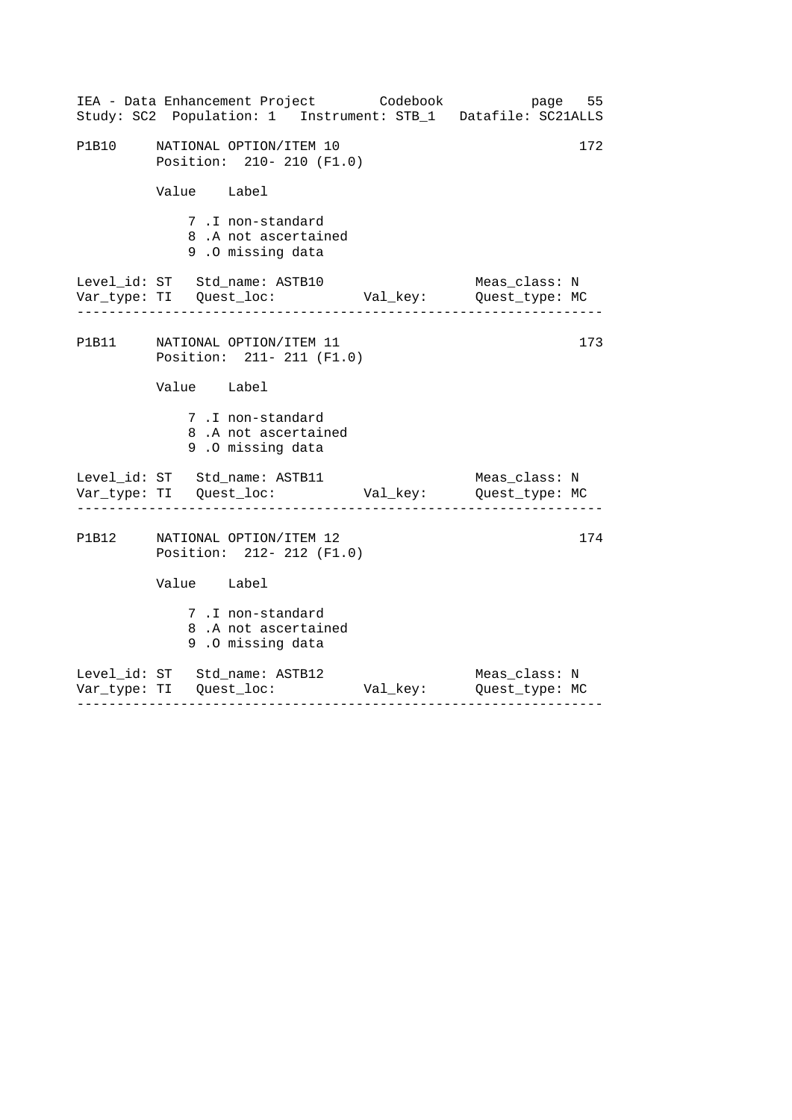|       | IEA - Data Enhancement Project Codebook bage 55<br>Study: SC2 Population: 1 Instrument: STB_1 Datafile: SC21ALLS         |               |
|-------|--------------------------------------------------------------------------------------------------------------------------|---------------|
| P1B10 | NATIONAL OPTION/ITEM 10<br>Position: 210- 210 (F1.0)                                                                     | 172           |
|       | Value Label                                                                                                              |               |
|       | 7.I non-standard<br>8.A not ascertained<br>9.0 missing data                                                              |               |
|       | Level_id: ST Std_name: ASTB10<br>Var_type: TI Quest_loc: Val_key: Quest_type: MC<br>------------------------------------ | Meas_class: N |
|       | P1B11 NATIONAL OPTION/ITEM 11<br>Position: 211- 211 (F1.0)                                                               | 173           |
|       | Value Label                                                                                                              |               |
|       | 7.I non-standard<br>8.A not ascertained<br>9.0 missing data                                                              |               |
|       | Level_id: ST Std_name: ASTB11                                                                                            | Meas_class: N |
|       | P1B12 NATIONAL OPTION/ITEM 12<br>Position: 212- 212 (F1.0)                                                               | 174           |
|       | Value Label                                                                                                              |               |
|       | 7.I non-standard<br>8.A not ascertained<br>9.0 missing data                                                              |               |
|       | Level_id: ST Std_name: ASTB12                                                                                            | Meas_class: N |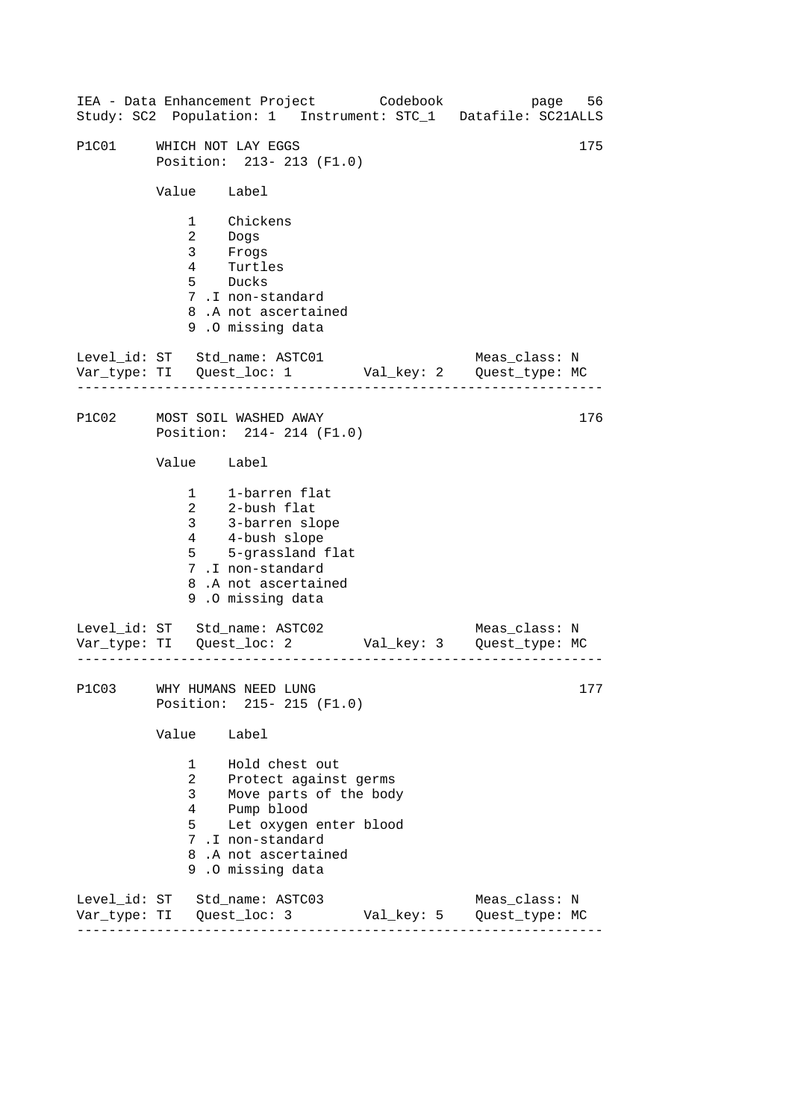|       |                                                                                  | IEA - Data Enhancement Project Codebook<br>Study: SC2 Population: 1 Instrument: STC_1 Datafile: SC21ALLS                                                                 | page          | 56  |
|-------|----------------------------------------------------------------------------------|--------------------------------------------------------------------------------------------------------------------------------------------------------------------------|---------------|-----|
| P1C01 |                                                                                  | WHICH NOT LAY EGGS<br>Position: 213-213 (F1.0)                                                                                                                           |               | 175 |
|       | Value Label                                                                      |                                                                                                                                                                          |               |     |
|       | 3 <sup>7</sup><br>$\overline{4}$                                                 | 1 Chickens<br>2 Dogs<br>Frogs<br>Turtl<br>Turtles<br>5 Ducks<br>7.I non-standard<br>8.A not ascertained<br>9.0 missing data                                              |               |     |
|       |                                                                                  | Level_id: ST Std_name: ASTC01                                                                                                                                            | Meas_class: N |     |
| P1C02 |                                                                                  | MOST SOIL WASHED AWAY<br>Position: 214- 214 (F1.0)                                                                                                                       |               | 176 |
|       | Value Label                                                                      |                                                                                                                                                                          |               |     |
|       | $\overline{a}$<br>3 <sup>7</sup><br>4<br>$5^{\circ}$                             | 1 1-barren flat<br>2-bush flat<br>3-barren slope<br>4-bush slope<br>5-grassland flat<br>7.I non-standard<br>8.A not ascertained<br>9.0 missing data                      |               |     |
|       |                                                                                  | Level_id: ST Std_name: ASTC02                                                                                                                                            | Meas_class: N |     |
|       |                                                                                  | P1C03 WHY HUMANS NEED LUNG<br>Position: 215- 215 (F1.0)                                                                                                                  |               | 177 |
|       | Value Label                                                                      |                                                                                                                                                                          |               |     |
|       | $1 \quad \blacksquare$<br>$\mathbf{2}$<br>3 <sup>7</sup><br>$4\overline{ }$<br>5 | Hold chest out<br>Protect against germs<br>Move parts of the body<br>Pump blood<br>Let oxygen enter blood<br>7.I non-standard<br>8.A not ascertained<br>9.0 missing data |               |     |
|       |                                                                                  | Level_id: ST Std_name: ASTC03                                                                                                                                            | Meas_class: N |     |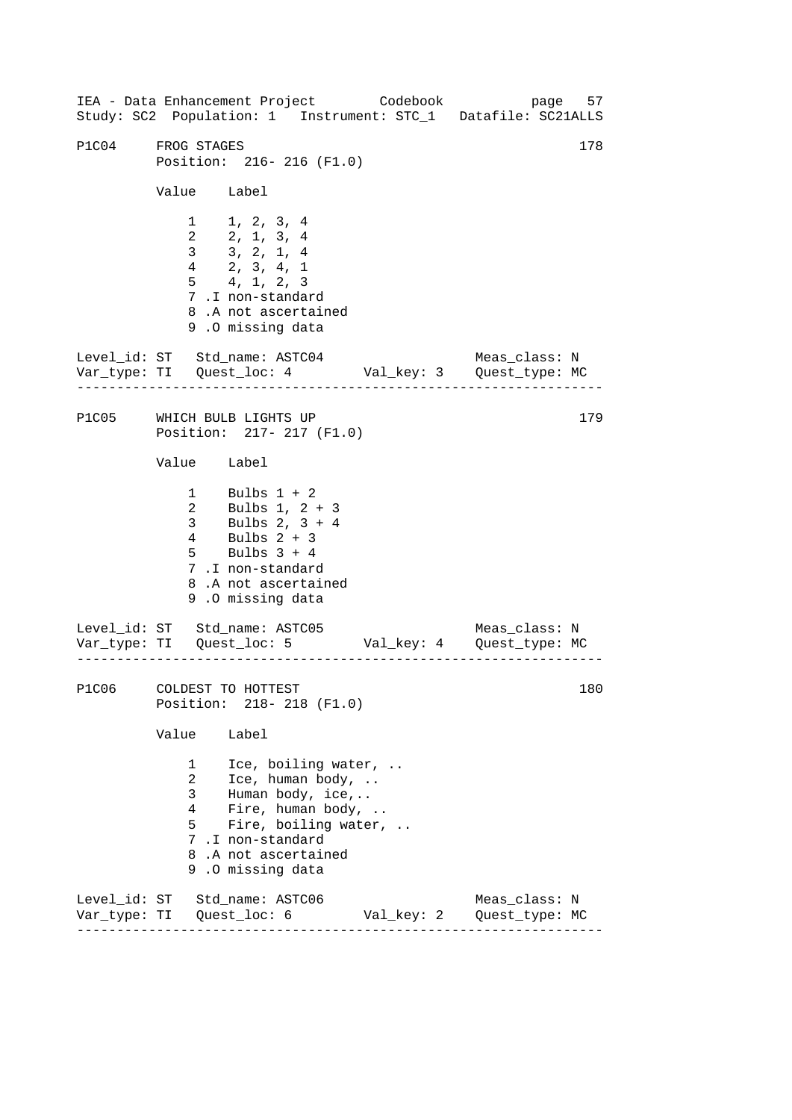------------------------------------------------------------------ ------------------------------------------------------------------ ------------------------------------------------------------------ 178 IEA - Data Enhancement Project Codebook page 57 Study: SC2 Population: 1 Instrument: STC\_1 Datafile: SC21ALLS P1C04 FROG STAGES Position: 216- 216 (F1.0) Value Label 1 1, 2, 3, 4 2 2, 1, 3, 4 3 3, 2, 1, 4 4 2, 3, 4, 1 5 4, 1, 2, 3 7 .I non-standard 8 .A not ascertained 9 .O missing data Level id: ST Std name: ASTC04 Meas class: N Var\_type: TI Quest\_loc: 4 Val\_key: 3 Quest\_type: MC P1C05 WHICH BULB LIGHTS UP Position: 217- 217 (F1.0) Value Label 1 Bulbs 1 + 2 2 3 4 Bulbs 1, 2 + 3 Bulbs 2, 3 + 4 Bulbs 2 + 3 5 Bulbs 3 + 4 7 .I non-standard 8 .A not ascertained 9 .O missing data Level\_id: ST Std\_name: ASTC05 Meas\_class: N Var\_type: TI Quest\_loc: 5 Val\_key: 4 Quest\_type: MC P1C06 COLDEST TO HOTTEST Position: 218- 218 (F1.0) Value Label 1 Ice, boiling water, .. 2 Ice, human body, .. 3 Human body, ice,.. 4 Fire, human body, .. 5 Fire, boiling water, .. 7 .I non-standard 8 .A not ascertained 9 .O missing data Level\_id: ST Std\_name: ASTC06 Meas\_class: N Var\_type: TI Quest\_loc: 6 Val\_key: 2 Quest\_type: MC 179 180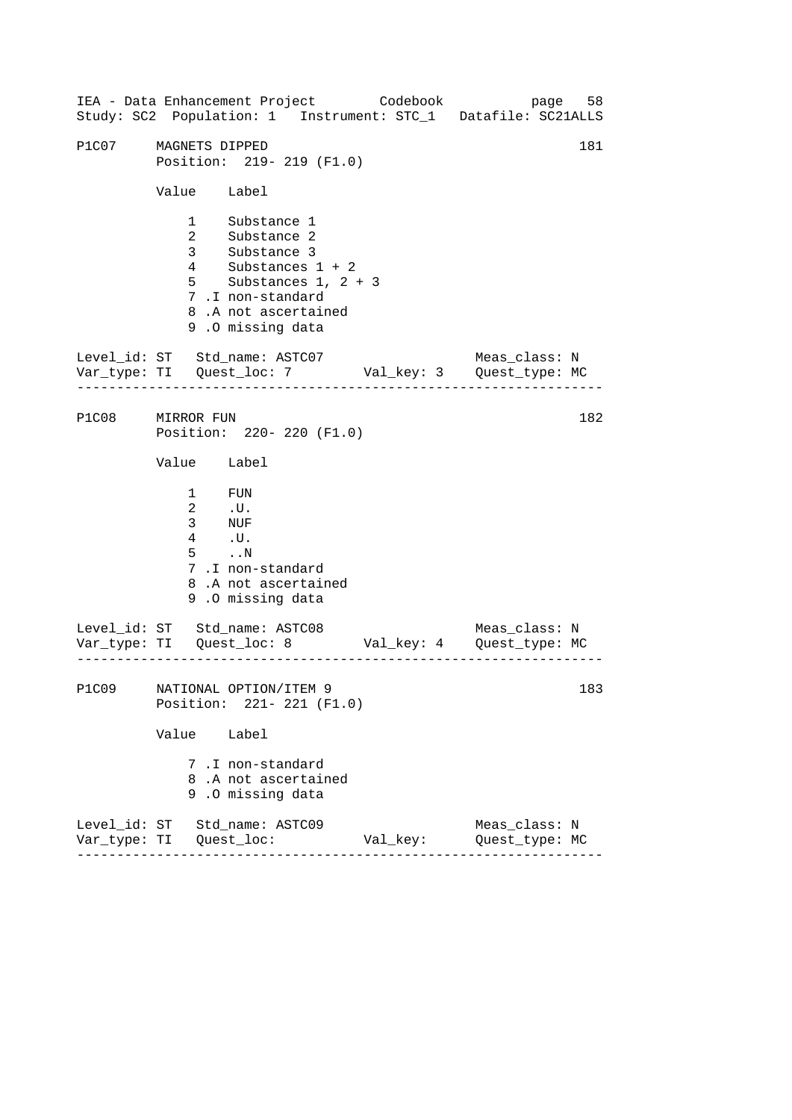|                  |                                             | IEA - Data Enhancement Project Codebook page 58<br>Study: SC2 Population: 1 Instrument: STC_1 Datafile: SC21ALLS                                                  |          |                                 |     |
|------------------|---------------------------------------------|-------------------------------------------------------------------------------------------------------------------------------------------------------------------|----------|---------------------------------|-----|
| P1C07            | MAGNETS DIPPED                              | Position: 219- 219 (F1.0)                                                                                                                                         |          |                                 | 181 |
|                  | Value Label                                 |                                                                                                                                                                   |          |                                 |     |
|                  |                                             | 1 Substance 1<br>2 Substance 2<br>3 Substance 3<br>4 Substances $1 + 2$<br>5 Substances $1, 2 + 3$<br>7.I non-standard<br>8.A not ascertained<br>9.0 missing data |          |                                 |     |
|                  |                                             | Level_id: ST Std_name: ASTC07 Meas_class: N<br>Var_type: TI Quest_loc: 7 Val_key: 3 Quest_type: MC                                                                |          |                                 |     |
| P1C08 MIRROR FUN |                                             | Position: 220- 220 (F1.0)                                                                                                                                         |          |                                 | 182 |
|                  | Value Label                                 |                                                                                                                                                                   |          |                                 |     |
|                  | $1$ FUN<br>$2$ .U.<br>3 NUF<br>4 .U.<br>5 N | 7.I non-standard<br>8.A not ascertained<br>9.0 missing data                                                                                                       |          |                                 |     |
|                  |                                             | Level_id: ST Std_name: ASTC08 Meas_class: N<br>Var_type: TI Quest_loc: 8 Val_key: 4 Quest_type: MC                                                                |          |                                 |     |
| P1C09            |                                             | NATIONAL OPTION/ITEM 9<br>Position: 221- 221 (F1.0)                                                                                                               |          |                                 | 183 |
|                  | Value                                       | Label                                                                                                                                                             |          |                                 |     |
|                  |                                             | 7.I non-standard<br>8.A not ascertained<br>9.0 missing data                                                                                                       |          |                                 |     |
|                  |                                             | Level_id: ST Std_name: ASTC09                                                                                                                                     | Val_key: | Meas_class: N<br>Quest_type: MC |     |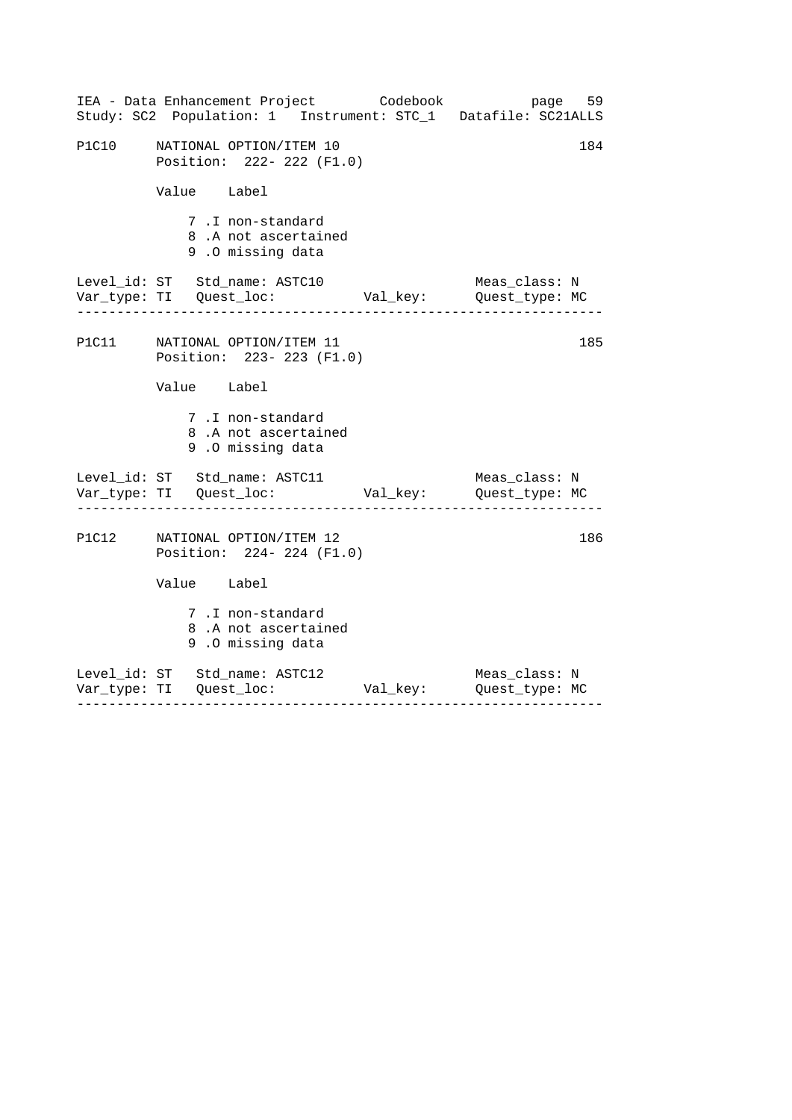|       | IEA - Data Enhancement Project Codebook<br>Study: SC2 Population: 1 Instrument: STC_1 Datafile: SC21ALLS | page 59       |
|-------|----------------------------------------------------------------------------------------------------------|---------------|
| P1C10 | NATIONAL OPTION/ITEM 10<br>Position: 222- 222 (F1.0)                                                     | 184           |
|       | Value Label                                                                                              |               |
|       | 7.I non-standard<br>8.A not ascertained<br>9.0 missing data                                              |               |
|       | Level_id: ST Std_name: ASTC10<br>Var_type: TI Quest_loc: Val_key: Quest_type: MC                         | Meas class: N |
|       | P1C11 NATIONAL OPTION/ITEM 11<br>Position: 223- 223 (F1.0)                                               | 185           |
|       | Value Label                                                                                              |               |
|       | 7.I non-standard<br>8.A not ascertained<br>9.0 missing data                                              |               |
|       | Level_id: ST Std_name: ASTC11<br>Var_type: TI Quest_loc: Val_key: Quest_type: MC                         | Meas_class: N |
|       | P1C12 NATIONAL OPTION/ITEM 12<br>Position: 224- 224 (F1.0)                                               | 186           |
|       | Value Label                                                                                              |               |
|       | 7.I non-standard<br>8.A not ascertained<br>9.0 missing data                                              |               |
|       | Level_id: ST Std_name: ASTC12                                                                            | Meas_class: N |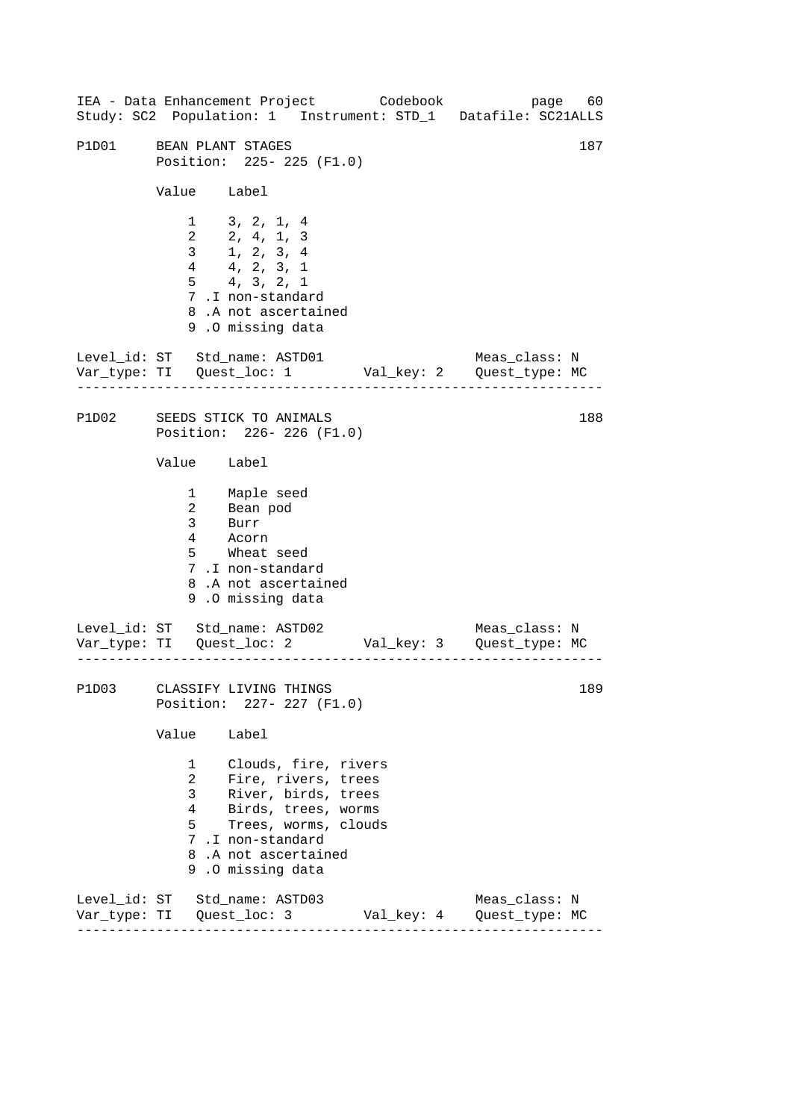------------------------------------------------------------------ ------------------------------------------------------------------ ------------------------------------------------------------------ 187 IEA - Data Enhancement Project Codebook page 60 Study: SC2 Population: 1 Instrument: STD\_1 Datafile: SC21ALLS P1D01 BEAN PLANT STAGES Position: 225- 225 (F1.0) Value Label 1 3, 2, 1, 4 2 2, 4, 1, 3 3 1, 2, 3, 4 4 4, 2, 3, 1 5 4, 3, 2, 1 7 .I non-standard 8 .A not ascertained 9 .O missing data Level id: ST Std name: ASTD01 Meas class: N Var\_type: TI Quest\_loc: 1 Val\_key: 2 Quest\_type: MC P1D02 SEEDS STICK TO ANIMALS Position: 226- 226 (F1.0) Value Label 1 2 3 Maple seed Bean pod Burr 4 Acorn 5 Wheat seed 7 .I non-standard 8 .A not ascertained 9 .O missing data Level\_id: ST Std\_name: ASTD02 Meas\_class: N Var\_type: TI Quest\_loc: 2 Val\_key: 3 Quest\_type: MC P1D03 CLASSIFY LIVING THINGS Position: 227- 227 (F1.0) Value Label 1 Clouds, fire, rivers 2 Fire, rivers, trees 3 River, birds, trees 4 Birds, trees, worms 5 Trees, worms, clouds 7 .I non-standard 8 .A not ascertained 9 .O missing data Level\_id: ST Std\_name: ASTD03 Meas\_class: N Var\_type: TI Quest\_loc: 3 Val\_key: 4 Quest\_type: MC 188 189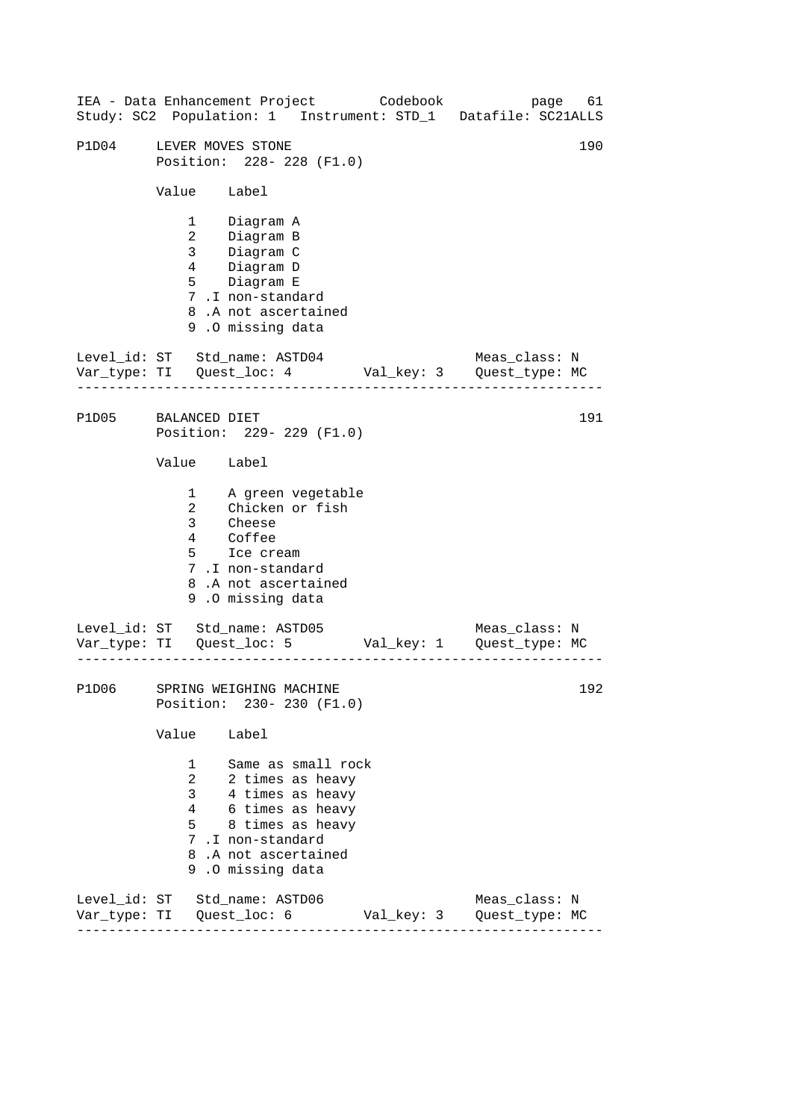------------------------------------------------------------------ ------------------------------------------------------------------ ------------------------------------------------------------------ 190 IEA - Data Enhancement Project Codebook page 61 Study: SC2 Population: 1 Instrument: STD\_1 Datafile: SC21ALLS P1D04 LEVER MOVES STONE Position: 228- 228 (F1.0) Value Label 1 Diagram A 2 Diagram B 3 Diagram C 4 Diagram D 5 Diagram E 7 .I non-standard 8 .A not ascertained 9 .O missing data Level\_id: ST Std\_name: ASTD04 Meas\_class: N Var\_type: TI Quest\_loc: 4 Val\_key: 3 Quest\_type: MC P1D05 BALANCED DIET Position: 229- 229 (F1.0) Value Label 1 2 A green vegetable Chicken or fish 3 Cheese 4 Coffee 5 Ice cream 7 .I non-standard 8 .A not ascertained 9 .O missing data Level\_id: ST Std\_name: ASTD05 Meas\_class: N Var\_type: TI Quest\_loc: 5 Val\_key: 1 Quest\_type: MC P1D06 SPRING WEIGHING MACHINE Position: 230- 230 (F1.0) Value Label 1 Same as small rock 2 2 times as heavy 3 4 times as heavy 4 6 times as heavy 5 8 times as heavy 7 .I non-standard 8 .A not ascertained 9 .O missing data Level\_id: ST Std\_name: ASTD06 Meas\_class: N Var\_type: TI Quest\_loc: 6 Val\_key: 3 Quest\_type: MC 191 192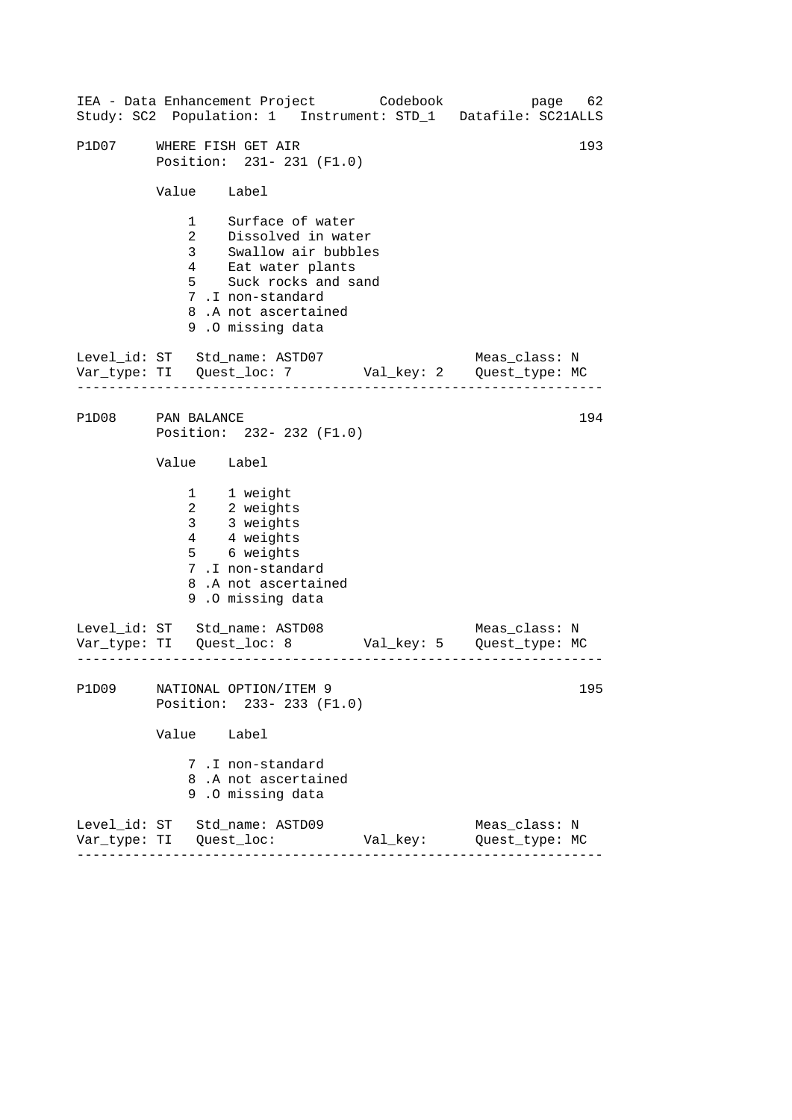|                         |                    |                                                                                                                                                                               | IEA - Data Enhancement Project Codebook<br>Study: SC2 Population: 1 Instrument: STD_1 Datafile: SC21ALLS | page 62                         |     |
|-------------------------|--------------------|-------------------------------------------------------------------------------------------------------------------------------------------------------------------------------|----------------------------------------------------------------------------------------------------------|---------------------------------|-----|
| P1D07                   | WHERE FISH GET AIR | Position: 231- 231 (F1.0)                                                                                                                                                     |                                                                                                          |                                 | 193 |
|                         | Value Label        |                                                                                                                                                                               |                                                                                                          |                                 |     |
|                         | $\mathbf{1}$<br>5  | Surface of water<br>2 Dissolved in water<br>3 Swallow air bubbles<br>4 Eat water plants<br>Suck rocks and sand<br>7.I non-standard<br>8.A not ascertained<br>9.0 missing data |                                                                                                          |                                 |     |
|                         |                    |                                                                                                                                                                               | Level_id: ST Std_name: ASTD07 Meas_class: N<br>Var_type: TI Quest_loc: 7 Val_key: 2 Quest_type: MC       |                                 |     |
| P1D08                   | PAN BALANCE        | Position: 232- 232 (F1.0)                                                                                                                                                     |                                                                                                          |                                 | 194 |
|                         | Value Label        |                                                                                                                                                                               |                                                                                                          |                                 |     |
|                         |                    | 1 1 weight<br>2 2 weights<br>3 3 weights<br>4 4 weights<br>5 6 weights<br>7.I non-standard<br>8.A not ascertained<br>9.0 missing data                                         |                                                                                                          |                                 |     |
|                         |                    |                                                                                                                                                                               | Level_id: ST Std_name: ASTD08 Meas_class: N<br>Var_type: TI Quest_loc: 8 Val_key: 5 Quest_type: MC       |                                 |     |
| P1D09                   |                    | NATIONAL OPTION/ITEM 9<br>Position: 233- 233 (F1.0)                                                                                                                           |                                                                                                          |                                 | 195 |
|                         | Value              | Label                                                                                                                                                                         |                                                                                                          |                                 |     |
|                         |                    | 7 .I non-standard<br>8.A not ascertained<br>9.0 missing data                                                                                                                  |                                                                                                          |                                 |     |
| Var_type: TI Quest_loc: |                    | Level_id: ST Std_name: ASTD09                                                                                                                                                 | Val_key:                                                                                                 | Meas_class: N<br>Quest_type: MC |     |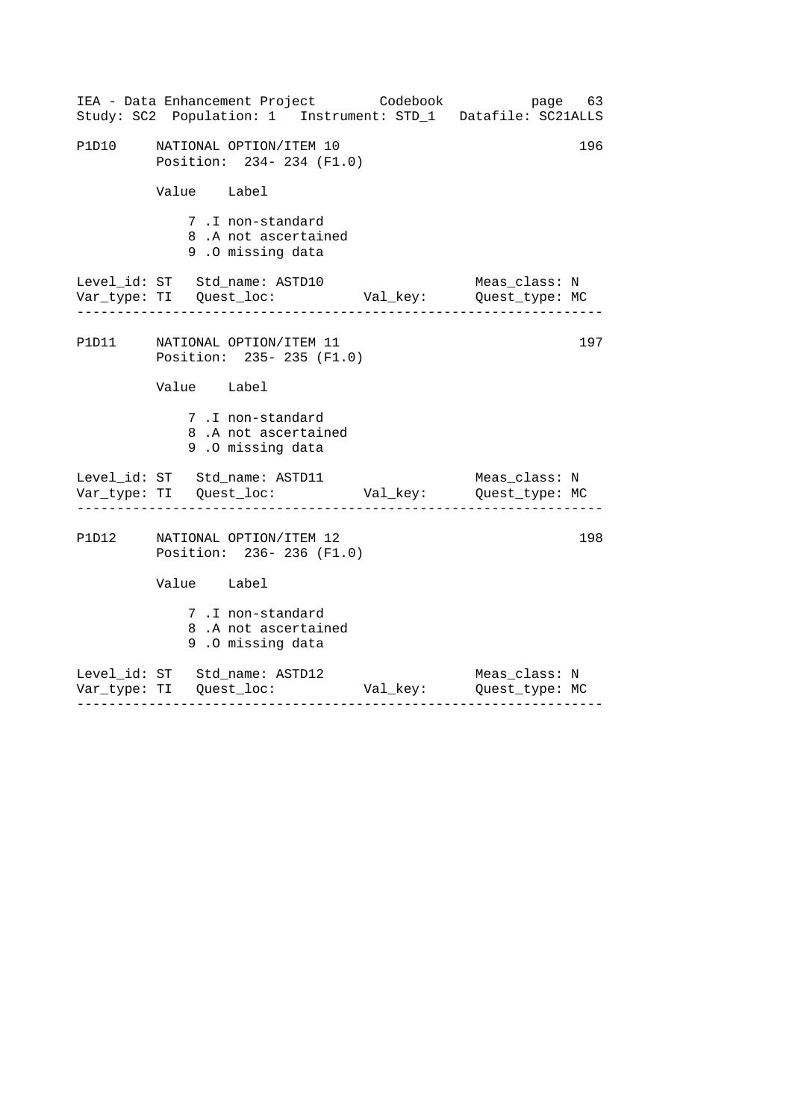|       | IEA - Data Enhancement Project Codebook<br>Study: SC2 Population: 1 Instrument: STD_1 Datafile: SC21ALLS                  | page 63                                  |
|-------|---------------------------------------------------------------------------------------------------------------------------|------------------------------------------|
| P1D10 | NATIONAL OPTION/ITEM 10<br>Position: 234- 234 (F1.0)                                                                      | 196                                      |
|       | Value Label                                                                                                               |                                          |
|       | 7.I non-standard<br>8.A not ascertained<br>9.0 missing data                                                               |                                          |
|       | Level_id: ST Std_name: ASTD10<br>Var_type: TI Quest_loc: Val_key: Quest_type: MC<br>------------------------------------- | Meas class: N<br>----------------------- |
|       | P1D11 NATIONAL OPTION/ITEM 11<br>Position: 235- 235 (F1.0)                                                                | 197                                      |
|       | Value Label                                                                                                               |                                          |
|       | 7.I non-standard<br>8.A not ascertained<br>9.0 missing data                                                               |                                          |
|       | Level_id: ST Std_name: ASTD11<br>Var_type: TI Quest_loc: Val_key: Quest_type: MC<br>___________________________________   | Meas_class: N                            |
|       | P1D12 NATIONAL OPTION/ITEM 12<br>Position: 236-236 (F1.0)                                                                 | 198                                      |
|       | Value Label                                                                                                               |                                          |
|       | 7.I non-standard<br>8.A not ascertained<br>9.0 missing data                                                               |                                          |
|       | Level_id: ST Std_name: ASTD12                                                                                             | Meas_class: N                            |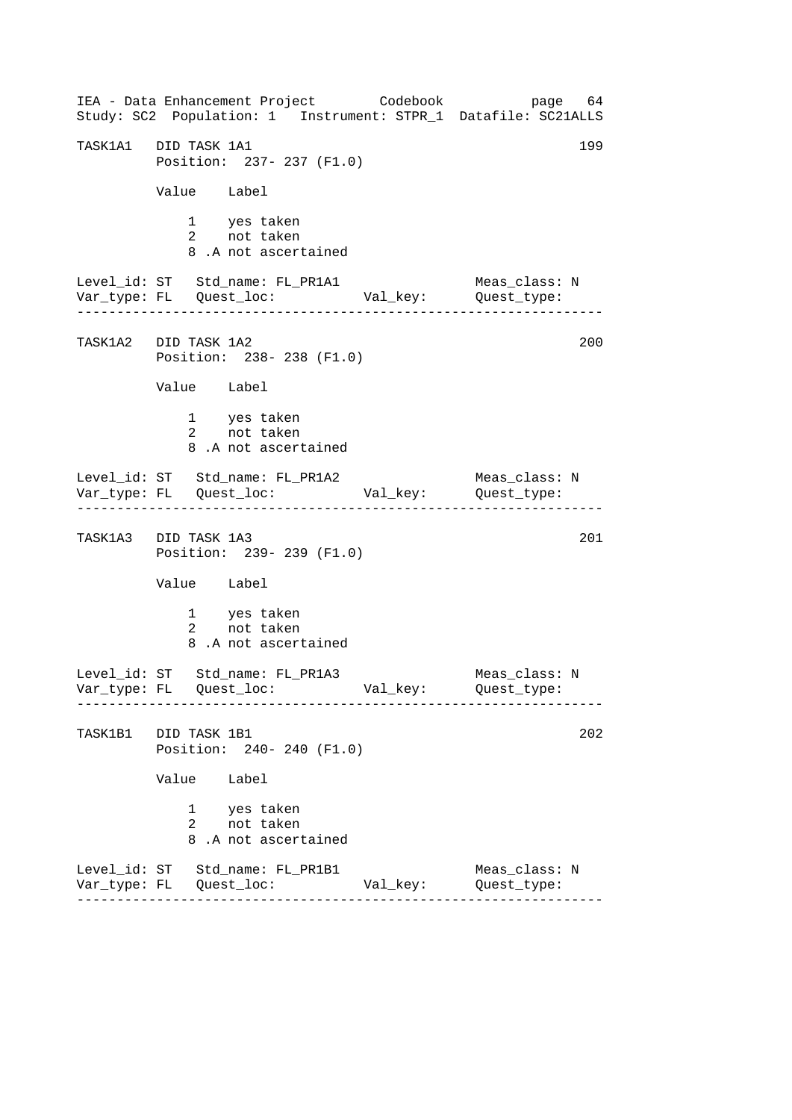------------------------------------------------------------------ ------------------------------------------------------------------ ------------------------------------------------------------------ ------------------------------------------------------------------ IEA - Data Enhancement Project Codebook page 64 Study: SC2 Population: 1 Instrument: STPR\_1 Datafile: SC21ALLS TASK1A1 DID TASK 1A1 199 Position: 237- 237 (F1.0) Value Label 1 yes taken 2 not taken 8 .A not ascertained Level\_id: ST Std\_name: FL\_PR1A1 Meas\_class: N Var\_type: FL Quest\_loc: Val\_key: Quest\_type: TASK1A2 DID TASK 1A2 Position: 238- 238 (F1.0) Value Label 1 yes taken 2 not taken 8 .A not ascertained Level\_id: ST Std\_name: FL\_PR1A2 Meas\_class: N Var\_type: FL Quest\_loc: Val\_key: Quest\_type: TASK1A3 DID TASK 1A3 201 Position: 239- 239 (F1.0) Value Label 1 yes taken 2 not taken 8 .A not ascertained Level\_id: ST Std\_name: FL\_PR1A3 Meas\_class: N Var\_type: FL Quest\_loc: Val\_key: Quest\_type: TASK1B1 DID TASK 1B1 202 Position: 240- 240 (F1.0) Value Label 1 yes taken 2 not taken 8 .A not ascertained Level\_id: ST Std\_name: FL\_PR1B1 Meas\_class: N Var\_type: FL Quest\_loc: Val\_key: Quest\_type: 200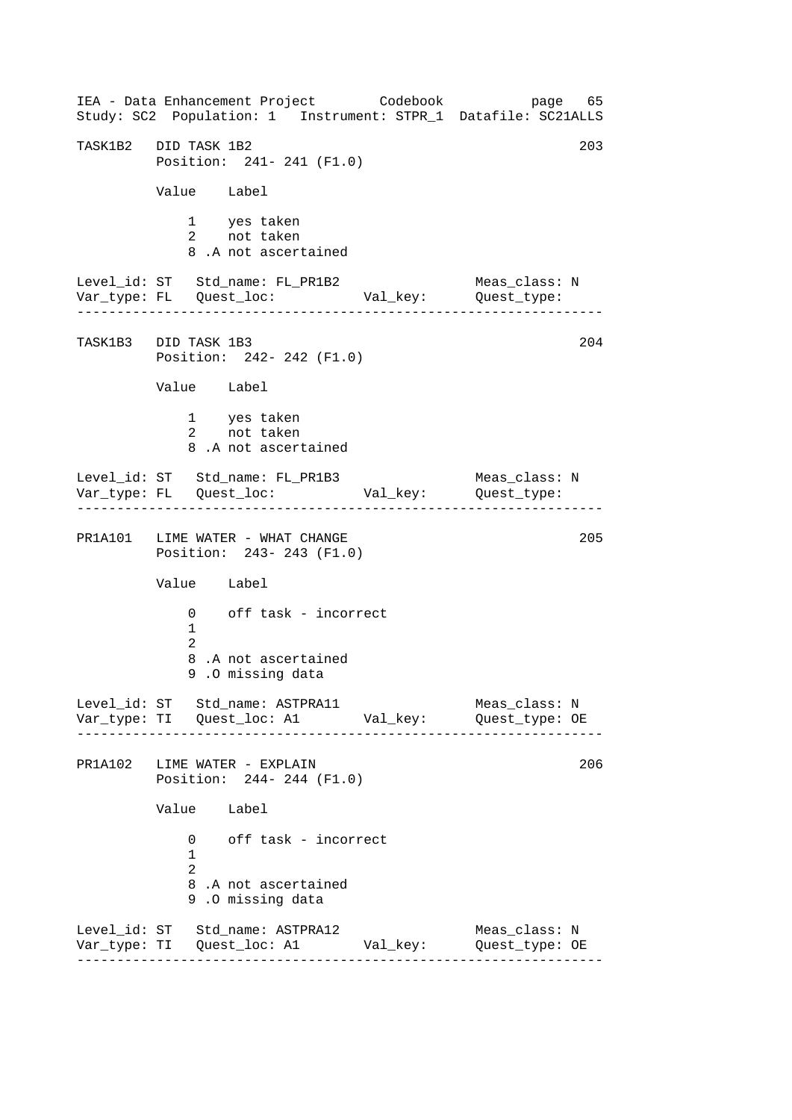------------------------------------------------------------------ ------------------------------------------------------------------ ------------------------------------------------------------------ ------------------------------------------------------------------ IEA - Data Enhancement Project Codebook page 65 Study: SC2 Population: 1 Instrument: STPR\_1 Datafile: SC21ALLS TASK1B2 DID TASK 1B2 203 Position: 241- 241 (F1.0) Value Label 1 yes taken 2 not taken 8 .A not ascertained Level\_id: ST Std\_name: FL\_PR1B2 Meas\_class: N<br>Var\_type: FL Quest\_loc: Val\_key: Quest\_type: Var\_type: FL Quest\_loc: Val\_key: Quest\_type: TASK1B3 DID TASK 1B3 204 Position: 242- 242 (F1.0) Value Label 1 yes taken<br>2 not taken 2 not taken 8 .A not ascertained Level\_id: ST Std\_name: FL\_PR1B3 Meas\_class: N Var\_type: FL Quest\_loc: Val\_key: Quest\_type: PR1A101 LIME WATER - WHAT CHANGE 205 Position: 243- 243 (F1.0) Value Label 0 off task - incorrect 1 2 8 .A not ascertained 9 .O missing data Level\_id: ST Std\_name: ASTPRA11 Meas\_class: N Var\_type: TI Quest\_loc: A1 Val\_key: Quest\_type: OE PR1A102 LIME WATER - EXPLAIN Position: 244- 244 (F1.0) Value Label 0 off task - incorrect 1  $\mathcal{D}$ 8 .A not ascertained 9 .O missing data Level\_id: ST Std\_name: ASTPRA12 Var\_type: TI Quest\_loc: A1 Val\_key: Quest\_type: OE Meas\_class: N 206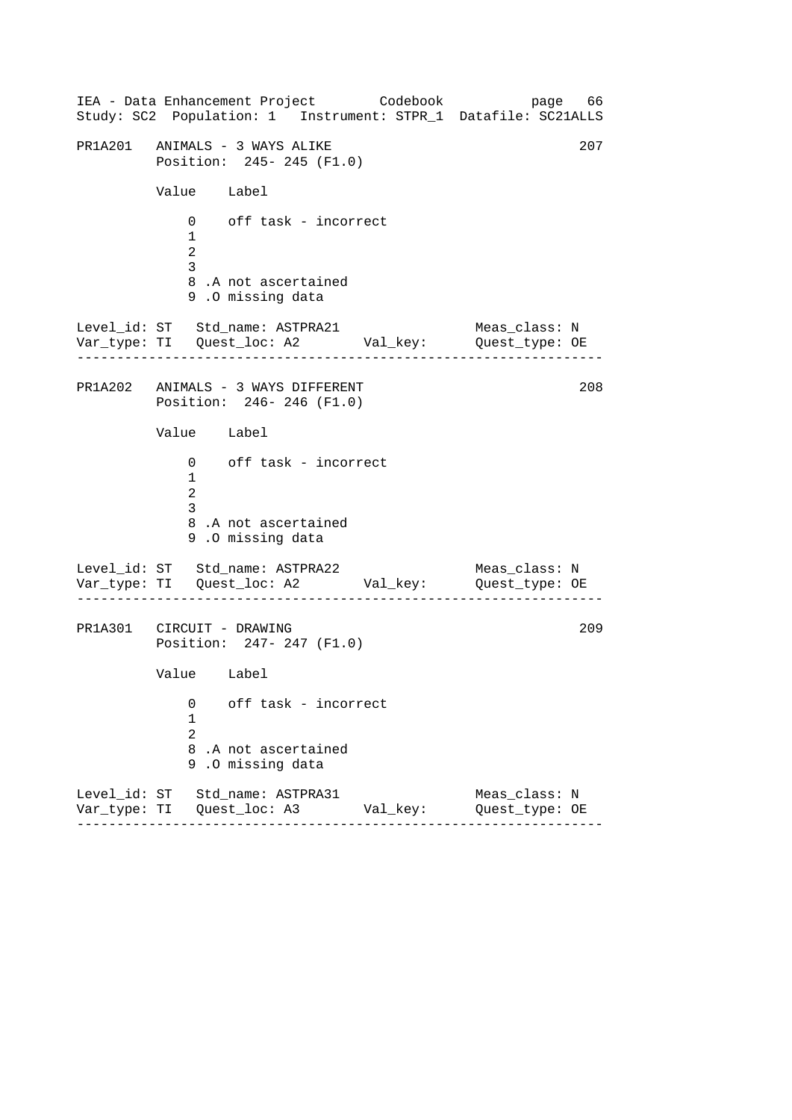------------------------------------------------------------------ ------------------------------------------------------------------ ------------------------------------------------------------------ IEA - Data Enhancement Project Codebook page 66 Study: SC2 Population: 1 Instrument: STPR\_1 Datafile: SC21ALLS PR1A201 ANIMALS - 3 WAYS ALIKE 207 Position: 245- 245 (F1.0) Value Label 0 off task - incorrect 1  $\mathcal{L}$ 3 8 .A not ascertained 9 .O missing data Level\_id: ST Std\_name: ASTPRA21 Meas\_class: N Var\_type: TI Quest\_loc: A2 Val\_key: Quest\_type: OE PR1A202 ANIMALS - 3 WAYS DIFFERENT Position: 246- 246 (F1.0) Value Label 0 off task - incorrect 1  $\mathcal{L}$ 3 8 .A not ascertained 9 .O missing data Level\_id: ST Std\_name: ASTPRA22 Var\_type: TI Quest\_loc: A2 Val\_key: Quest\_type: OE Meas\_class: N PR1A301 CIRCUIT - DRAWING Position: 247- 247 (F1.0) Value Label 0 off task - incorrect 1  $\mathcal{L}$ 8 .A not ascertained 9 .O missing data Level\_id: ST Std\_name: ASTPRA31 Meas\_class: N Var\_type: TI Quest\_loc: A3 Val\_key: Quest\_type: OE 208 209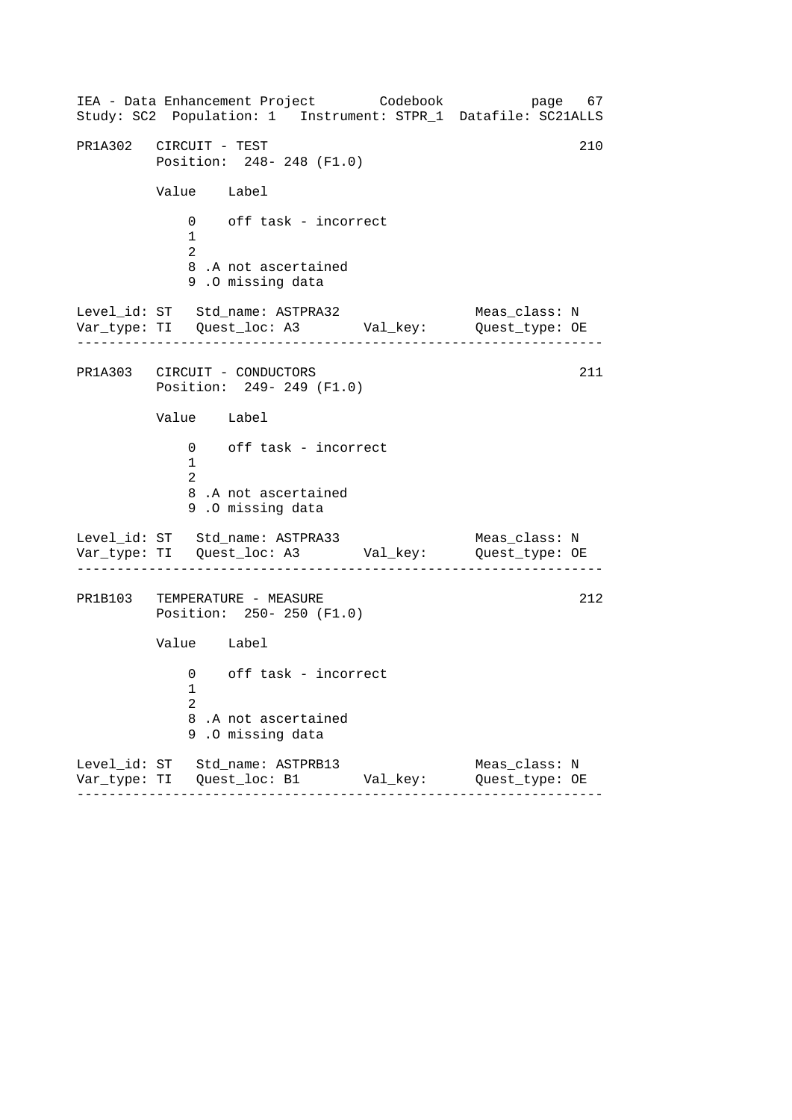------------------------------------------------------------------ ------------------------------------------------------------------ ------------------------------------------------------------------ IEA - Data Enhancement Project Codebook page 67 Study: SC2 Population: 1 Instrument: STPR\_1 Datafile: SC21ALLS PR1A302 CIRCUIT - TEST 210 Position: 248- 248 (F1.0) Value Label 0 off task - incorrect 1 2 8 .A not ascertained 9 .O missing data Level\_id: ST Std\_name: ASTPRA32 Meas\_class: N Var\_type: TI Quest\_loc: A3 Val\_key: Quest\_type: OE PR1A303 CIRCUIT - CONDUCTORS Position: 249- 249 (F1.0) Value Label 0 off task - incorrect 1 2 8 .A not ascertained 9 .O missing data Level\_id: ST Std\_name: ASTPRA33 Var\_type: TI Quest\_loc: A3 Val\_key: Quest\_type: OE Meas\_class: N PR1B103 TEMPERATURE - MEASURE Position: 250- 250 (F1.0) Value Label 0 off task - incorrect 1 2 8 .A not ascertained 9 .O missing data Level\_id: ST Std\_name: ASTPRB13 Meas\_class: N Var\_type: TI Quest\_loc: B1 Val\_key: Quest\_type: OE 211 212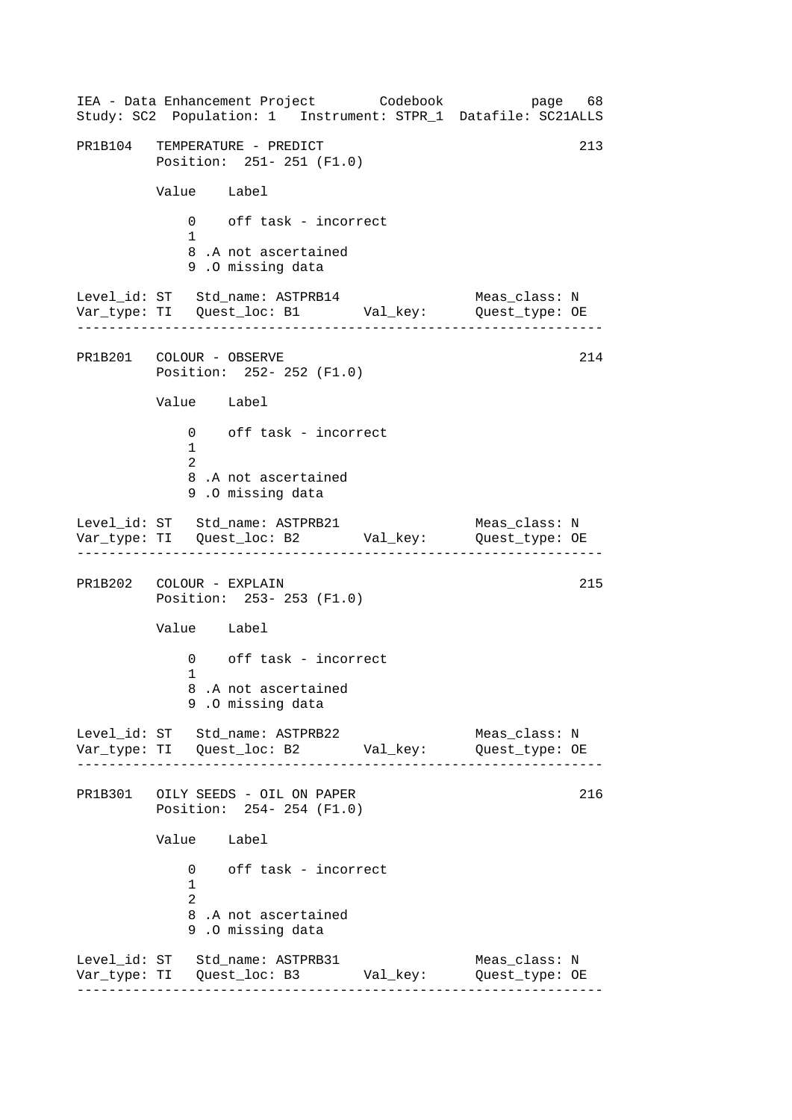------------------------------------------------------------------ ------------------------------------------------------------------ ------------------------------------------------------------------ ------------------------------------------------------------------ IEA - Data Enhancement Project Codebook page 68 Study: SC2 Population: 1 Instrument: STPR\_1 Datafile: SC21ALLS PR1B104 TEMPERATURE - PREDICT 213 Position: 251- 251 (F1.0) Value Label 0 off task - incorrect 1 8 .A not ascertained 9 .O missing data Level\_id: ST Std\_name: ASTPRB14 Meas\_class: N Var\_type: TI Quest\_loc: B1 Val\_key: Quest\_type: OE PR1B201 COLOUR - OBSERVE Position: 252- 252 (F1.0) Value Label 0 off task - incorrect 1 2 8 .A not ascertained 9 .O missing data Level\_id: ST Std\_name: ASTPRB21 Var\_type: TI Quest\_loc: B2 Val\_key: Quest\_type: OE Meas\_class: N PR1B202 COLOUR - EXPLAIN 215 Position: 253- 253 (F1.0) Value Label 0 off task - incorrect 1 8 .A not ascertained 9 .O missing data Level\_id: ST Std\_name: ASTPRB22 Meas\_class: N Var\_type: TI Quest\_loc: B2 Val\_key: Quest\_type: OE PR1B301 OILY SEEDS - OIL ON PAPER 216 Position: 254- 254 (F1.0) Value Label 0 off task - incorrect 1 2 8 .A not ascertained 9 .O missing data Level\_id: ST Std\_name: ASTPRB31 Meas\_class: N Var\_type: TI Quest\_loc: B3 Val\_key: Quest\_type: OE 214